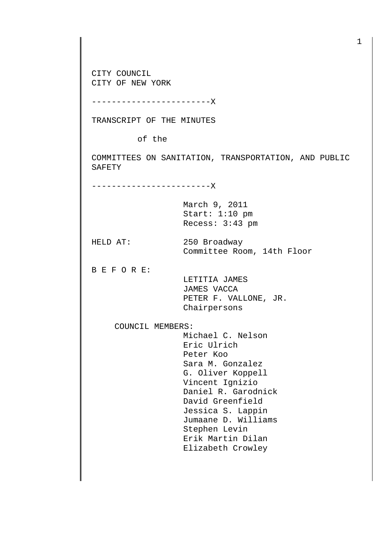CITY COUNCIL CITY OF NEW YORK

------------------------X

TRANSCRIPT OF THE MINUTES

of the

COMMITTEES ON SANITATION, TRANSPORTATION, AND PUBLIC SAFETY

------------------------X

March 9, 2011 Start: 1:10 pm Recess: 3:43 pm

HELD AT: 250 Broadway Committee Room, 14th Floor

B E F O R E:

 LETITIA JAMES JAMES VACCA PETER F. VALLONE, JR. Chairpersons

COUNCIL MEMBERS:

 Michael C. Nelson Eric Ulrich Peter Koo Sara M. Gonzalez G. Oliver Koppell Vincent Ignizio Daniel R. Garodnick David Greenfield Jessica S. Lappin Jumaane D. Williams Stephen Levin Erik Martin Dilan Elizabeth Crowley

1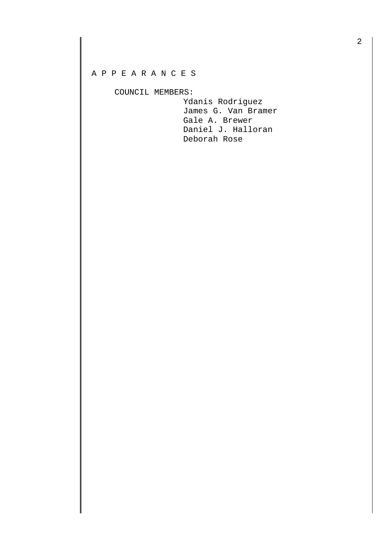## A P P E A R A N C E S

## COUNCIL MEMBERS:

 Ydanis Rodriguez James G. Van Bramer Gale A. Brewer Daniel J. Halloran Deborah Rose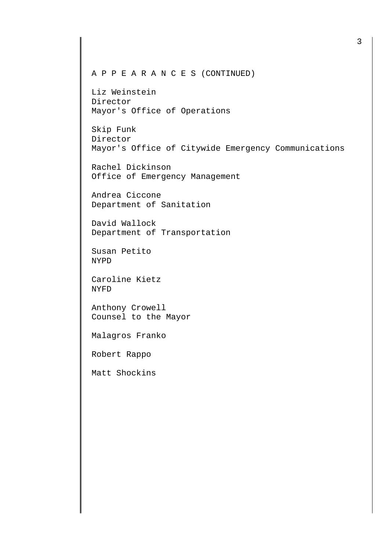## A P P E A R A N C E S (CONTINUED)

Liz Weinstein Director Mayor's Office of Operations

Skip Funk Director Mayor's Office of Citywide Emergency Communications

Rachel Dickinson Office of Emergency Management

Andrea Ciccone Department of Sanitation

David Wallock Department of Transportation

Susan Petito NYPD

Caroline Kietz NYFD

Anthony Crowell Counsel to the Mayor

Malagros Franko

Robert Rappo

Matt Shockins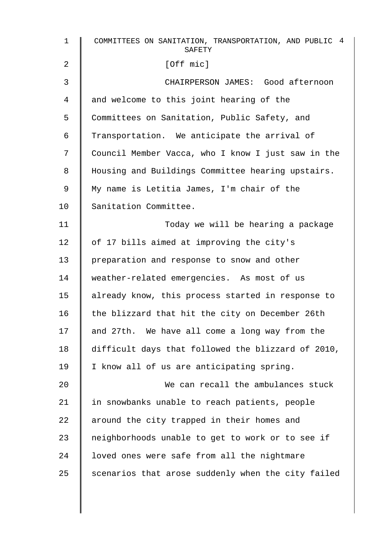| COMMITTEES ON SANITATION, TRANSPORTATION, AND PUBLIC 4<br>SAFETY |
|------------------------------------------------------------------|
| [Off mic]                                                        |
| CHAIRPERSON JAMES: Good afternoon                                |
| and welcome to this joint hearing of the                         |
| Committees on Sanitation, Public Safety, and                     |
| Transportation. We anticipate the arrival of                     |
| Council Member Vacca, who I know I just saw in the               |
| Housing and Buildings Committee hearing upstairs.                |
| My name is Letitia James, I'm chair of the                       |
| Sanitation Committee.                                            |
| Today we will be hearing a package                               |
| of 17 bills aimed at improving the city's                        |
| preparation and response to snow and other                       |
| weather-related emergencies. As most of us                       |
| already know, this process started in response to                |
| the blizzard that hit the city on December 26th                  |
| and 27th. We have all come a long way from the                   |
| difficult days that followed the blizzard of 2010,               |
| I know all of us are anticipating spring.                        |
| We can recall the ambulances stuck                               |
| in snowbanks unable to reach patients, people                    |
| around the city trapped in their homes and                       |
| neighborhoods unable to get to work or to see if                 |
| loved ones were safe from all the nightmare                      |
| scenarios that arose suddenly when the city failed               |
|                                                                  |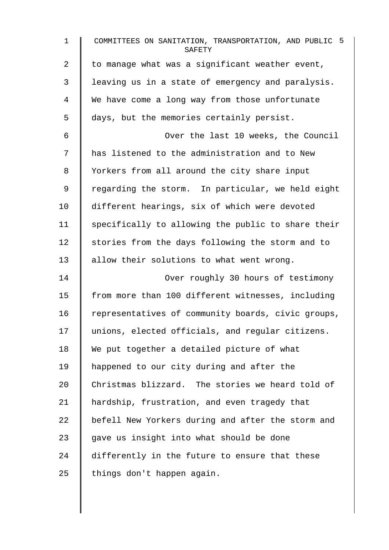| $\mathbf{1}$   | COMMITTEES ON SANITATION, TRANSPORTATION, AND PUBLIC 5<br>SAFETY |
|----------------|------------------------------------------------------------------|
| $\overline{2}$ | to manage what was a significant weather event,                  |
| 3              | leaving us in a state of emergency and paralysis.                |
| 4              | We have come a long way from those unfortunate                   |
| 5              | days, but the memories certainly persist.                        |
| 6              | Over the last 10 weeks, the Council                              |
| 7              | has listened to the administration and to New                    |
| 8              | Yorkers from all around the city share input                     |
| 9              | regarding the storm. In particular, we held eight                |
| 10             | different hearings, six of which were devoted                    |
| 11             | specifically to allowing the public to share their               |
| 12             | stories from the days following the storm and to                 |
| 13             | allow their solutions to what went wrong.                        |
| 14             | Over roughly 30 hours of testimony                               |
| 15             | from more than 100 different witnesses, including                |
| 16             | representatives of community boards, civic groups,               |
| 17             | unions, elected officials, and regular citizens.                 |
| 18             | We put together a detailed picture of what                       |
| 19             | happened to our city during and after the                        |
| 20             | Christmas blizzard. The stories we heard told of                 |
| 21             | hardship, frustration, and even tragedy that                     |
| 22             | befell New Yorkers during and after the storm and                |
| 23             | gave us insight into what should be done                         |
| 24             | differently in the future to ensure that these                   |
| 25             | things don't happen again.                                       |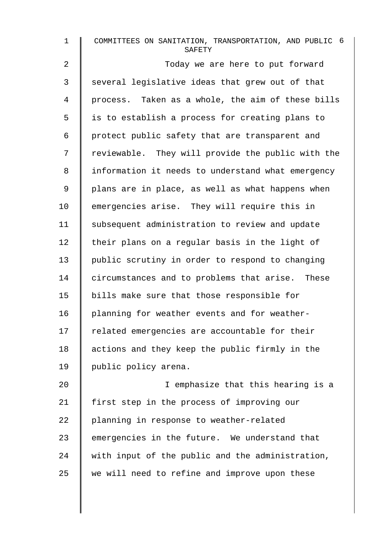| $\mathbf 1$    | COMMITTEES ON SANITATION, TRANSPORTATION, AND PUBLIC 6<br>SAFETY |
|----------------|------------------------------------------------------------------|
| $\overline{2}$ | Today we are here to put forward                                 |
| 3              | several legislative ideas that grew out of that                  |
| 4              | process. Taken as a whole, the aim of these bills                |
| 5              | is to establish a process for creating plans to                  |
| 6              | protect public safety that are transparent and                   |
| 7              | reviewable. They will provide the public with the                |
| 8              | information it needs to understand what emergency                |
| 9              | plans are in place, as well as what happens when                 |
| 10             | emergencies arise. They will require this in                     |
| 11             | subsequent administration to review and update                   |
| 12             | their plans on a regular basis in the light of                   |
| 13             | public scrutiny in order to respond to changing                  |
| 14             | circumstances and to problems that arise. These                  |
| 15             | bills make sure that those responsible for                       |
| 16             | planning for weather events and for weather-                     |
| 17             | related emergencies are accountable for their                    |
| 18             | actions and they keep the public firmly in the                   |
| 19             | public policy arena.                                             |
| 20             | I emphasize that this hearing is a                               |
| 21             | first step in the process of improving our                       |
| 22             | planning in response to weather-related                          |
| 23             | emergencies in the future. We understand that                    |
| 24             | with input of the public and the administration,                 |
| 25             | we will need to refine and improve upon these                    |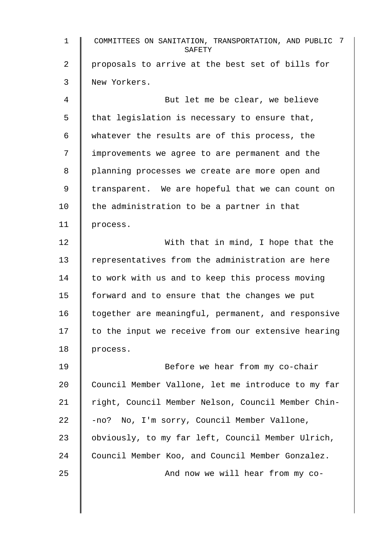1 COMMITTEES ON SANITATION, TRANSPORTATION, AND PUBLIC 7 **SAFETY** 2 | proposals to arrive at the best set of bills for 3 New Yorkers. 4 But let me be clear, we believe  $5 \parallel$  that legislation is necessary to ensure that, 6 whatever the results are of this process, the 7 | improvements we agree to are permanent and the 8 | planning processes we create are more open and 9 | transparent. We are hopeful that we can count on 10  $\parallel$  the administration to be a partner in that 11 process. 12 | With that in mind, I hope that the 13 Tepresentatives from the administration are here 14 | to work with us and to keep this process moving 15  $\parallel$  forward and to ensure that the changes we put 16 | together are meaningful, permanent, and responsive  $17$   $\parallel$  to the input we receive from our extensive hearing 18 | process. 19 | Refore we hear from my co-chair 20 Council Member Vallone, let me introduce to my far 21 | right, Council Member Nelson, Council Member Chin-22  $\parallel$  -no? No, I'm sorry, Council Member Vallone, 23 | obviously, to my far left, Council Member Ulrich, 24 Council Member Koo, and Council Member Gonzalez. 25 | And now we will hear from my co-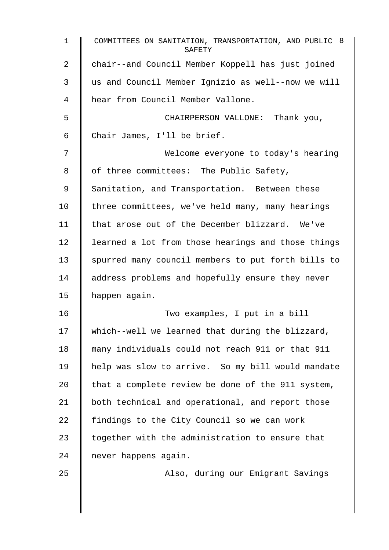| 1  | COMMITTEES ON SANITATION, TRANSPORTATION, AND PUBLIC 8<br>SAFETY |
|----|------------------------------------------------------------------|
| 2  | chair--and Council Member Koppell has just joined                |
| 3  | us and Council Member Ignizio as well--now we will               |
| 4  | hear from Council Member Vallone.                                |
| 5  | CHAIRPERSON VALLONE: Thank you,                                  |
| 6  | Chair James, I'll be brief.                                      |
| 7  | Welcome everyone to today's hearing                              |
| 8  | of three committees: The Public Safety,                          |
| 9  | Sanitation, and Transportation. Between these                    |
| 10 | three committees, we've held many, many hearings                 |
| 11 | that arose out of the December blizzard. We've                   |
| 12 | learned a lot from those hearings and those things               |
| 13 | spurred many council members to put forth bills to               |
| 14 | address problems and hopefully ensure they never                 |
| 15 | happen again.                                                    |
| 16 | Two examples, I put in a bill                                    |
| 17 | which--well we learned that during the blizzard,                 |
| 18 | many individuals could not reach 911 or that 911                 |
| 19 | help was slow to arrive. So my bill would mandate                |
| 20 | that a complete review be done of the 911 system,                |
| 21 | both technical and operational, and report those                 |
| 22 | findings to the City Council so we can work                      |
| 23 | together with the administration to ensure that                  |
| 24 | never happens again.                                             |
| 25 | Also, during our Emigrant Savings                                |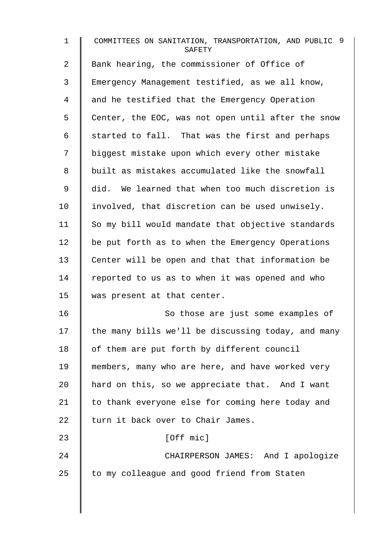| $\mathbf{1}$ | COMMITTEES ON SANITATION, TRANSPORTATION, AND PUBLIC 9<br>SAFETY |
|--------------|------------------------------------------------------------------|
| 2            | Bank hearing, the commissioner of Office of                      |
| 3            | Emergency Management testified, as we all know,                  |
| 4            | and he testified that the Emergency Operation                    |
| 5            | Center, the EOC, was not open until after the snow               |
| 6            | started to fall. That was the first and perhaps                  |
| 7            | biggest mistake upon which every other mistake                   |
| 8            | built as mistakes accumulated like the snowfall                  |
| 9            | did. We learned that when too much discretion is                 |
| 10           | involved, that discretion can be used unwisely.                  |
| 11           | So my bill would mandate that objective standards                |
| 12           | be put forth as to when the Emergency Operations                 |
| 13           | Center will be open and that that information be                 |
| 14           | reported to us as to when it was opened and who                  |
| 15           | was present at that center.                                      |
| 16           | So those are just some examples of                               |
| 17           | the many bills we'll be discussing today, and many               |
| 18           | of them are put forth by different council                       |
| 19           | members, many who are here, and have worked very                 |
| 20           | hard on this, so we appreciate that. And I want                  |
| 21           | to thank everyone else for coming here today and                 |
| 22           | turn it back over to Chair James.                                |
| 23           | [Off mic]                                                        |
| 24           | CHAIRPERSON JAMES: And I apologize                               |
| 25           | to my colleague and good friend from Staten                      |
|              |                                                                  |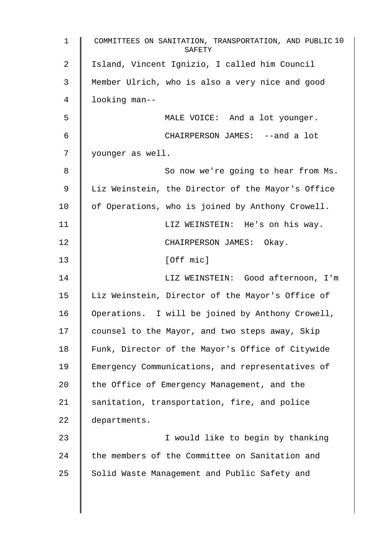1 COMMITTEES ON SANITATION, TRANSPORTATION, AND PUBLIC 10 **SAFETY** 2 | Island, Vincent Ignizio, I called him Council 3 Member Ulrich, who is also a very nice and good 4 looking man-- 5 MALE VOICE: And a lot younger. 6 CHAIRPERSON JAMES: --and a lot 7 | younger as well. 8 || So now we're going to hear from Ms. 9 Liz Weinstein, the Director of the Mayor's Office  $10$  | of Operations, who is joined by Anthony Crowell. 11 | LIZ WEINSTEIN: He's on his way. 12 | CHAIRPERSON JAMES: Okav. 13 | [Off mic] 14 | LIZ WEINSTEIN: Good afternoon, I'm 15 | Liz Weinstein, Director of the Mayor's Office of 16 | Operations. I will be joined by Anthony Crowell, 17 | counsel to the Mayor, and two steps away, Skip 18 Funk, Director of the Mayor's Office of Citywide 19 Emergency Communications, and representatives of 20  $\parallel$  the Office of Emergency Management, and the 21 Sanitation, transportation, fire, and police 22 departments. 23 | I would like to begin by thanking  $24$   $\parallel$  the members of the Committee on Sanitation and 25 Solid Waste Management and Public Safety and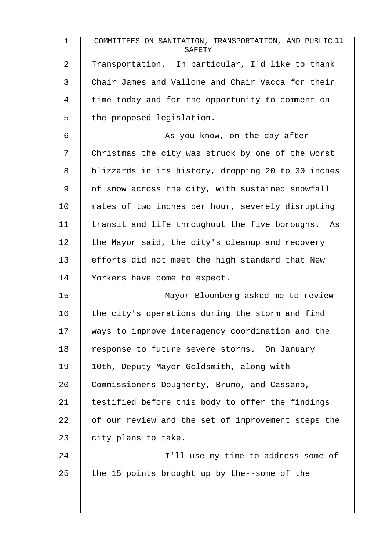| $\mathbf{1}$ | COMMITTEES ON SANITATION, TRANSPORTATION, AND PUBLIC 11<br>SAFETY |
|--------------|-------------------------------------------------------------------|
| 2            | Transportation. In particular, I'd like to thank                  |
| 3            | Chair James and Vallone and Chair Vacca for their                 |
| 4            | time today and for the opportunity to comment on                  |
| 5            | the proposed legislation.                                         |
| 6            | As you know, on the day after                                     |
| 7            | Christmas the city was struck by one of the worst                 |
| 8            | blizzards in its history, dropping 20 to 30 inches                |
| 9            | of snow across the city, with sustained snowfall                  |
| 10           | rates of two inches per hour, severely disrupting                 |
| 11           | transit and life throughout the five boroughs. As                 |
| 12           | the Mayor said, the city's cleanup and recovery                   |
| 13           | efforts did not meet the high standard that New                   |
| 14           | Yorkers have come to expect.                                      |
| 15           | Mayor Bloomberg asked me to review                                |
| 16           | the city's operations during the storm and find                   |
| 17           | ways to improve interagency coordination and the                  |
| 18           | response to future severe storms. On January                      |
| 19           | 10th, Deputy Mayor Goldsmith, along with                          |
| 20           | Commissioners Dougherty, Bruno, and Cassano,                      |
| 21           | testified before this body to offer the findings                  |
| 22           | of our review and the set of improvement steps the                |
| 23           | city plans to take.                                               |
| 24           | I'll use my time to address some of                               |
| 25           | the 15 points brought up by the--some of the                      |
|              |                                                                   |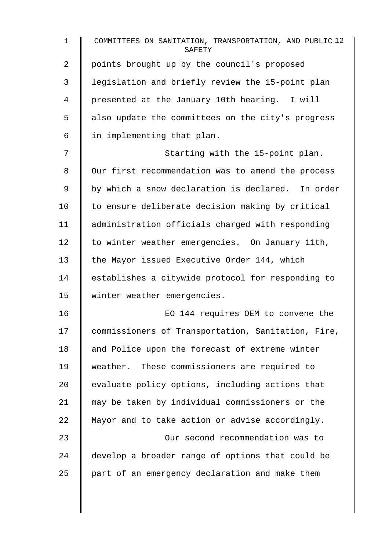| $\mathbf{1}$ | COMMITTEES ON SANITATION, TRANSPORTATION, AND PUBLIC 12<br>SAFETY |
|--------------|-------------------------------------------------------------------|
| 2            | points brought up by the council's proposed                       |
| 3            | legislation and briefly review the 15-point plan                  |
| 4            | presented at the January 10th hearing. I will                     |
| 5            | also update the committees on the city's progress                 |
| 6            | in implementing that plan.                                        |
| 7            | Starting with the 15-point plan.                                  |
| 8            | Our first recommendation was to amend the process                 |
| 9            | by which a snow declaration is declared. In order                 |
| 10           | to ensure deliberate decision making by critical                  |
| 11           | administration officials charged with responding                  |
| 12           | to winter weather emergencies. On January 11th,                   |
| 13           | the Mayor issued Executive Order 144, which                       |
| 14           | establishes a citywide protocol for responding to                 |
| 15           | winter weather emergencies.                                       |
| 16           | EO 144 requires OEM to convene the                                |
| 17           | commissioners of Transportation, Sanitation, Fire,                |
| 18           | and Police upon the forecast of extreme winter                    |
| 19           | weather. These commissioners are required to                      |
| 20           | evaluate policy options, including actions that                   |
| 21           | may be taken by individual commissioners or the                   |
| 22           | Mayor and to take action or advise accordingly.                   |
| 23           | Our second recommendation was to                                  |
| 24           | develop a broader range of options that could be                  |
| 25           | part of an emergency declaration and make them                    |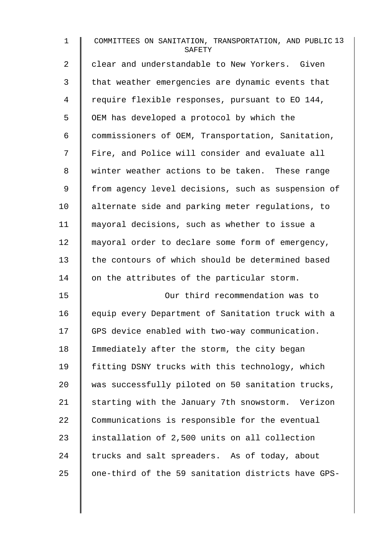| $\mathbf{1}$   | COMMITTEES ON SANITATION, TRANSPORTATION, AND PUBLIC 13<br>SAFETY |
|----------------|-------------------------------------------------------------------|
| $\overline{2}$ | clear and understandable to New Yorkers. Given                    |
| 3              | that weather emergencies are dynamic events that                  |
| 4              | require flexible responses, pursuant to EO 144,                   |
| 5              | OEM has developed a protocol by which the                         |
| 6              | commissioners of OEM, Transportation, Sanitation,                 |
| 7              | Fire, and Police will consider and evaluate all                   |
| 8              | winter weather actions to be taken. These range                   |
| 9              | from agency level decisions, such as suspension of                |
| 10             | alternate side and parking meter regulations, to                  |
| 11             | mayoral decisions, such as whether to issue a                     |
| 12             | mayoral order to declare some form of emergency,                  |
| 13             | the contours of which should be determined based                  |
| 14             | on the attributes of the particular storm.                        |
| 15             | Our third recommendation was to                                   |
| 16             | equip every Department of Sanitation truck with a                 |
| 17             | GPS device enabled with two-way communication.                    |
| 18             | Immediately after the storm, the city began                       |
| 19             | fitting DSNY trucks with this technology, which                   |
| 20             | was successfully piloted on 50 sanitation trucks,                 |
| 21             | starting with the January 7th snowstorm. Verizon                  |
| 22             | Communications is responsible for the eventual                    |
| 23             | installation of 2,500 units on all collection                     |
| 24             | trucks and salt spreaders. As of today, about                     |
| 25             | one-third of the 59 sanitation districts have GPS-                |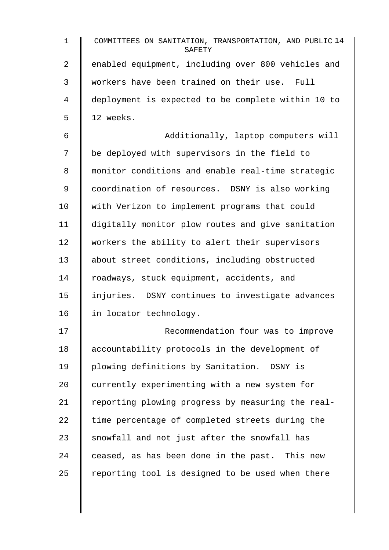| $\mathbf 1$ | COMMITTEES ON SANITATION, TRANSPORTATION, AND PUBLIC 14<br>SAFETY |
|-------------|-------------------------------------------------------------------|
| 2           | enabled equipment, including over 800 vehicles and                |
| 3           | workers have been trained on their use. Full                      |
| 4           | deployment is expected to be complete within 10 to                |
| 5           | 12 weeks.                                                         |
| 6           | Additionally, laptop computers will                               |
| 7           | be deployed with supervisors in the field to                      |
| 8           | monitor conditions and enable real-time strategic                 |
| 9           | coordination of resources. DSNY is also working                   |
| 10          | with Verizon to implement programs that could                     |
| 11          | digitally monitor plow routes and give sanitation                 |
| 12          | workers the ability to alert their supervisors                    |
| 13          | about street conditions, including obstructed                     |
| 14          | roadways, stuck equipment, accidents, and                         |
| 15          | injuries. DSNY continues to investigate advances                  |
| 16          | in locator technology.                                            |
| 17          | Recommendation four was to improve                                |
| 18          | accountability protocols in the development of                    |
| 19          | plowing definitions by Sanitation. DSNY is                        |
| 20          | currently experimenting with a new system for                     |
| 21          | reporting plowing progress by measuring the real-                 |
| 22          | time percentage of completed streets during the                   |
| 23          | snowfall and not just after the snowfall has                      |
| 24          | ceased, as has been done in the past. This new                    |
| 25          | reporting tool is designed to be used when there                  |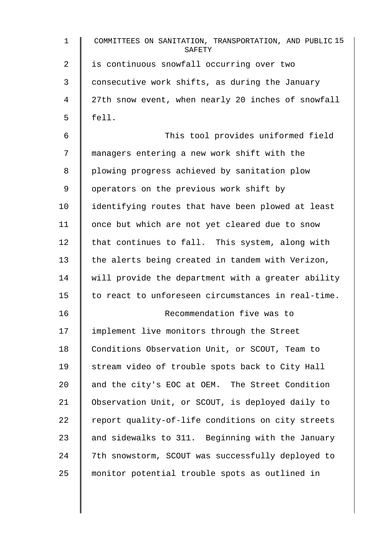| $\mathbf 1$ | COMMITTEES ON SANITATION, TRANSPORTATION, AND PUBLIC 15<br>SAFETY |
|-------------|-------------------------------------------------------------------|
| 2           | is continuous snowfall occurring over two                         |
| 3           | consecutive work shifts, as during the January                    |
| 4           | 27th snow event, when nearly 20 inches of snowfall                |
| 5           | fell.                                                             |
| 6           | This tool provides uniformed field                                |
| 7           | managers entering a new work shift with the                       |
| 8           | plowing progress achieved by sanitation plow                      |
| 9           | operators on the previous work shift by                           |
| 10          | identifying routes that have been plowed at least                 |
| 11          | once but which are not yet cleared due to snow                    |
| 12          | that continues to fall. This system, along with                   |
| 13          | the alerts being created in tandem with Verizon,                  |
| 14          | will provide the department with a greater ability                |
| 15          | to react to unforeseen circumstances in real-time.                |
| 16          | Recommendation five was to                                        |
| 17          | implement live monitors through the Street                        |
| 18          | Conditions Observation Unit, or SCOUT, Team to                    |
| 19          | stream video of trouble spots back to City Hall                   |
| 20          | and the city's EOC at OEM. The Street Condition                   |
| 21          | Observation Unit, or SCOUT, is deployed daily to                  |
| 22          | report quality-of-life conditions on city streets                 |
| 23          | and sidewalks to 311. Beginning with the January                  |
| 24          | 7th snowstorm, SCOUT was successfully deployed to                 |
| 25          | monitor potential trouble spots as outlined in                    |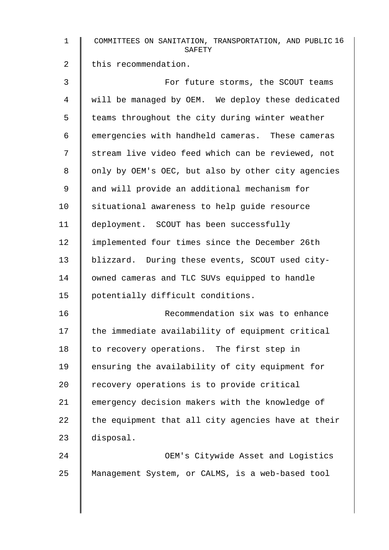| $\mathbf 1$    | COMMITTEES ON SANITATION, TRANSPORTATION, AND PUBLIC 16<br>SAFETY |
|----------------|-------------------------------------------------------------------|
| $\overline{2}$ | this recommendation.                                              |
| 3              | For future storms, the SCOUT teams                                |
| 4              | will be managed by OEM. We deploy these dedicated                 |
| 5              | teams throughout the city during winter weather                   |
| 6              | emergencies with handheld cameras. These cameras                  |
| 7              | stream live video feed which can be reviewed, not                 |
| 8              | only by OEM's OEC, but also by other city agencies                |
| 9              | and will provide an additional mechanism for                      |
| 10             | situational awareness to help guide resource                      |
| 11             | deployment. SCOUT has been successfully                           |
| 12             | implemented four times since the December 26th                    |
| 13             | blizzard. During these events, SCOUT used city-                   |
| 14             | owned cameras and TLC SUVs equipped to handle                     |
| 15             | potentially difficult conditions.                                 |
| 16             | Recommendation six was to enhance                                 |
| 17             | the immediate availability of equipment critical                  |
| 18             | to recovery operations. The first step in                         |
| 19             | ensuring the availability of city equipment for                   |
| 20             | recovery operations is to provide critical                        |
| 21             | emergency decision makers with the knowledge of                   |
| 22             | the equipment that all city agencies have at their                |
| 23             | disposal.                                                         |
| 24             | OEM's Citywide Asset and Logistics                                |
| 25             | Management System, or CALMS, is a web-based tool                  |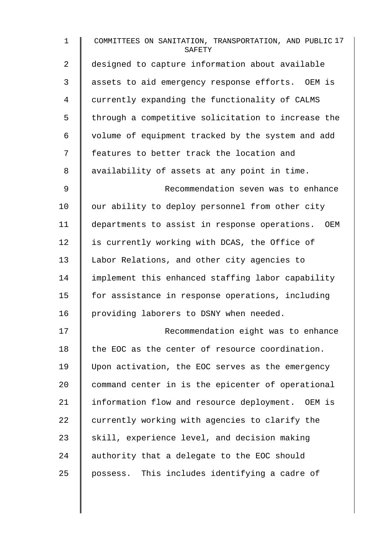| $\mathbf{1}$   | COMMITTEES ON SANITATION, TRANSPORTATION, AND PUBLIC 17<br>SAFETY |
|----------------|-------------------------------------------------------------------|
| $\overline{a}$ | designed to capture information about available                   |
| 3              | assets to aid emergency response efforts. OEM is                  |
| 4              | currently expanding the functionality of CALMS                    |
| 5              | through a competitive solicitation to increase the                |
| 6              | volume of equipment tracked by the system and add                 |
| 7              | features to better track the location and                         |
| 8              | availability of assets at any point in time.                      |
| $\mathsf 9$    | Recommendation seven was to enhance                               |
| 10             | our ability to deploy personnel from other city                   |
| 11             | departments to assist in response operations. OEM                 |
| 12             | is currently working with DCAS, the Office of                     |
| 13             | Labor Relations, and other city agencies to                       |
| 14             | implement this enhanced staffing labor capability                 |
| 15             | for assistance in response operations, including                  |
| 16             | providing laborers to DSNY when needed.                           |
| 17             | Recommendation eight was to enhance                               |
| 18             | the EOC as the center of resource coordination.                   |
| 19             | Upon activation, the EOC serves as the emergency                  |
| 20             | command center in is the epicenter of operational                 |
| 21             | information flow and resource deployment. OEM is                  |
| 22             | currently working with agencies to clarify the                    |
| 23             | skill, experience level, and decision making                      |
| 24             | authority that a delegate to the EOC should                       |
| 25             | possess. This includes identifying a cadre of                     |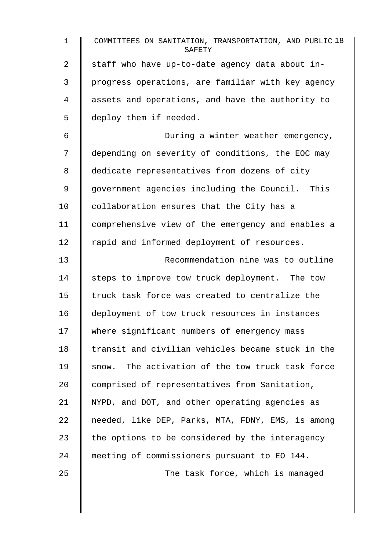| $\mathbf{1}$   | COMMITTEES ON SANITATION, TRANSPORTATION, AND PUBLIC 18<br>SAFETY |
|----------------|-------------------------------------------------------------------|
| $\overline{a}$ | staff who have up-to-date agency data about in-                   |
| 3              | progress operations, are familiar with key agency                 |
| 4              | assets and operations, and have the authority to                  |
| 5              | deploy them if needed.                                            |
| 6              | During a winter weather emergency,                                |
| 7              | depending on severity of conditions, the EOC may                  |
| 8              | dedicate representatives from dozens of city                      |
| 9              | government agencies including the Council. This                   |
| 10             | collaboration ensures that the City has a                         |
| 11             | comprehensive view of the emergency and enables a                 |
| 12             | rapid and informed deployment of resources.                       |
| 13             | Recommendation nine was to outline                                |
| 14             | steps to improve tow truck deployment. The tow                    |
| 15             | truck task force was created to centralize the                    |
| 16             | deployment of tow truck resources in instances                    |
| 17             | where significant numbers of emergency mass                       |
| 18             | transit and civilian vehicles became stuck in the                 |
| 19             | The activation of the tow truck task force<br>snow.               |
| 20             | comprised of representatives from Sanitation,                     |
| 21             | NYPD, and DOT, and other operating agencies as                    |
| 22             | needed, like DEP, Parks, MTA, FDNY, EMS, is among                 |
| 23             | the options to be considered by the interagency                   |
| 24             | meeting of commissioners pursuant to EO 144.                      |
| 25             | The task force, which is managed                                  |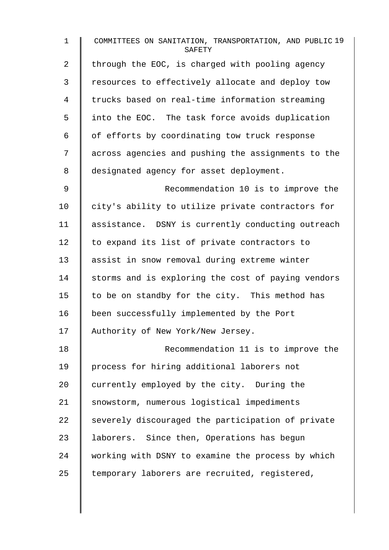| $\mathbf 1$    | COMMITTEES ON SANITATION, TRANSPORTATION, AND PUBLIC 19<br>SAFETY |
|----------------|-------------------------------------------------------------------|
| $\overline{2}$ | through the EOC, is charged with pooling agency                   |
| 3              | resources to effectively allocate and deploy tow                  |
| 4              | trucks based on real-time information streaming                   |
| 5              | into the EOC. The task force avoids duplication                   |
| 6              | of efforts by coordinating tow truck response                     |
| 7              | across agencies and pushing the assignments to the                |
| 8              | designated agency for asset deployment.                           |
| 9              | Recommendation 10 is to improve the                               |
| 10             | city's ability to utilize private contractors for                 |
| 11             | assistance. DSNY is currently conducting outreach                 |
| 12             | to expand its list of private contractors to                      |
| 13             | assist in snow removal during extreme winter                      |
| 14             | storms and is exploring the cost of paying vendors                |
| 15             | to be on standby for the city. This method has                    |
| 16             | been successfully implemented by the Port                         |
| 17             | Authority of New York/New Jersey.                                 |
| 18             | Recommendation 11 is to improve the                               |
| 19             | process for hiring additional laborers not                        |
| 20             | currently employed by the city. During the                        |
| 21             | snowstorm, numerous logistical impediments                        |
| 22             | severely discouraged the participation of private                 |
| 23             | laborers. Since then, Operations has begun                        |
| 24             | working with DSNY to examine the process by which                 |
| 25             | temporary laborers are recruited, registered,                     |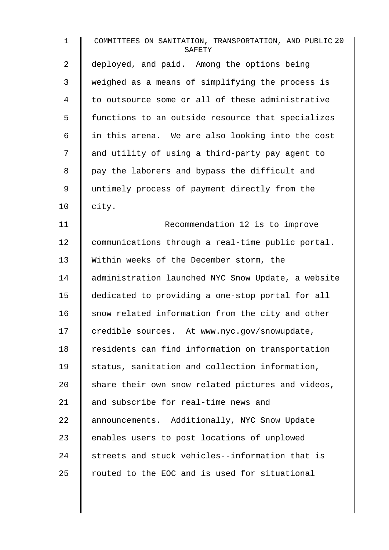| $\mathbf 1$ | COMMITTEES ON SANITATION, TRANSPORTATION, AND PUBLIC 20<br>SAFETY |
|-------------|-------------------------------------------------------------------|
| 2           | deployed, and paid. Among the options being                       |
| 3           | weighed as a means of simplifying the process is                  |
| 4           | to outsource some or all of these administrative                  |
| 5           | functions to an outside resource that specializes                 |
| 6           | in this arena. We are also looking into the cost                  |
| 7           | and utility of using a third-party pay agent to                   |
| 8           | pay the laborers and bypass the difficult and                     |
| 9           | untimely process of payment directly from the                     |
| 10          | city.                                                             |
| 11          | Recommendation 12 is to improve                                   |
| 12          | communications through a real-time public portal.                 |
| 13          | Within weeks of the December storm, the                           |
| 14          | administration launched NYC Snow Update, a website                |
| 15          | dedicated to providing a one-stop portal for all                  |
| 16          | snow related information from the city and other                  |
| 17          | credible sources. At www.nyc.gov/snowupdate,                      |
| 18          | residents can find information on transportation                  |
| 19          | status, sanitation and collection information,                    |
| 20          | share their own snow related pictures and videos,                 |
| 21          | and subscribe for real-time news and                              |
| 22          | announcements. Additionally, NYC Snow Update                      |
| 23          | enables users to post locations of unplowed                       |
| 24          | streets and stuck vehicles--information that is                   |
| 25          | routed to the EOC and is used for situational                     |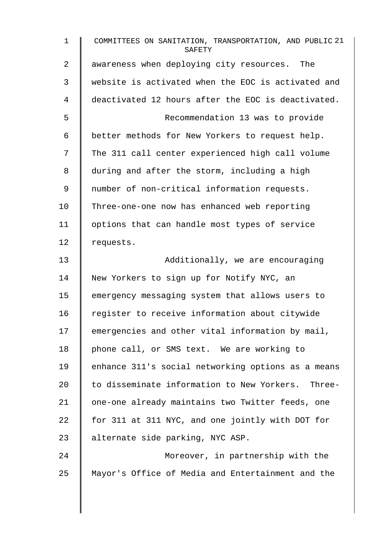| $\mathbf 1$ | COMMITTEES ON SANITATION, TRANSPORTATION, AND PUBLIC 21<br>SAFETY |
|-------------|-------------------------------------------------------------------|
| 2           | awareness when deploying city resources. The                      |
| 3           | website is activated when the EOC is activated and                |
| 4           | deactivated 12 hours after the EOC is deactivated.                |
| 5           | Recommendation 13 was to provide                                  |
| 6           | better methods for New Yorkers to request help.                   |
| 7           | The 311 call center experienced high call volume                  |
| 8           | during and after the storm, including a high                      |
| 9           | number of non-critical information requests.                      |
| 10          | Three-one-one now has enhanced web reporting                      |
| 11          | options that can handle most types of service                     |
| 12          | requests.                                                         |
| 13          | Additionally, we are encouraging                                  |
| 14          | New Yorkers to sign up for Notify NYC, an                         |
| 15          | emergency messaging system that allows users to                   |
| 16          | register to receive information about citywide                    |
| 17          | emergencies and other vital information by mail,                  |
| 18          | phone call, or SMS text. We are working to                        |
| 19          | enhance 311's social networking options as a means                |
| 20          | to disseminate information to New Yorkers. Three-                 |
| 21          | one-one already maintains two Twitter feeds, one                  |
| 22          | for 311 at 311 NYC, and one jointly with DOT for                  |
| 23          | alternate side parking, NYC ASP.                                  |
| 24          | Moreover, in partnership with the                                 |
| 25          | Mayor's Office of Media and Entertainment and the                 |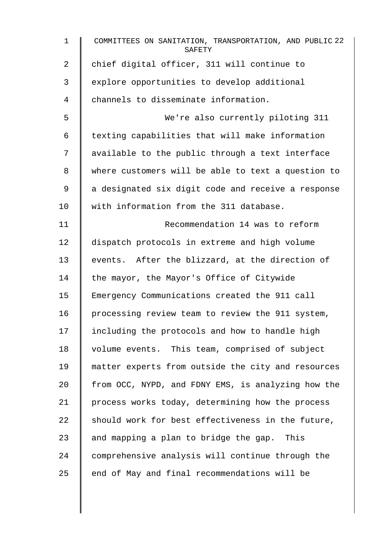| $\mathbf{1}$ | COMMITTEES ON SANITATION, TRANSPORTATION, AND PUBLIC 22<br>SAFETY |
|--------------|-------------------------------------------------------------------|
| 2            | chief digital officer, 311 will continue to                       |
| 3            | explore opportunities to develop additional                       |
| 4            | channels to disseminate information.                              |
| 5            | We're also currently piloting 311                                 |
| 6            | texting capabilities that will make information                   |
| 7            | available to the public through a text interface                  |
| 8            | where customers will be able to text a question to                |
| 9            | a designated six digit code and receive a response                |
| 10           | with information from the 311 database.                           |
| 11           | Recommendation 14 was to reform                                   |
| 12           | dispatch protocols in extreme and high volume                     |
| 13           | events. After the blizzard, at the direction of                   |
| 14           | the mayor, the Mayor's Office of Citywide                         |
| 15           | Emergency Communications created the 911 call                     |
| 16           | processing review team to review the 911 system,                  |
| 17           | including the protocols and how to handle high                    |
| 18           | volume events. This team, comprised of subject                    |
| 19           | matter experts from outside the city and resources                |
| 20           | from OCC, NYPD, and FDNY EMS, is analyzing how the                |
| 21           | process works today, determining how the process                  |
| 22           | should work for best effectiveness in the future,                 |
| 23           | and mapping a plan to bridge the gap. This                        |
| 24           | comprehensive analysis will continue through the                  |
| 25           | end of May and final recommendations will be                      |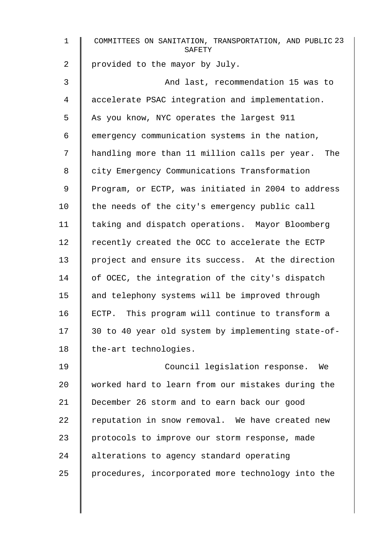| $\mathbf 1$ | COMMITTEES ON SANITATION, TRANSPORTATION, AND PUBLIC 23<br>SAFETY |
|-------------|-------------------------------------------------------------------|
| 2           | provided to the mayor by July.                                    |
| 3           | And last, recommendation 15 was to                                |
| 4           | accelerate PSAC integration and implementation.                   |
| 5           | As you know, NYC operates the largest 911                         |
| 6           | emergency communication systems in the nation,                    |
| 7           | handling more than 11 million calls per year. The                 |
| 8           | city Emergency Communications Transformation                      |
| 9           | Program, or ECTP, was initiated in 2004 to address                |
| 10          | the needs of the city's emergency public call                     |
| 11          | taking and dispatch operations. Mayor Bloomberg                   |
| 12          | recently created the OCC to accelerate the ECTP                   |
| 13          | project and ensure its success. At the direction                  |
| 14          | of OCEC, the integration of the city's dispatch                   |
| 15          | and telephony systems will be improved through                    |
| 16          | ECTP. This program will continue to transform a                   |
| 17          | 30 to 40 year old system by implementing state-of-                |
| 18          | the-art technologies.                                             |
| 19          | Council legislation response.<br>We                               |
| 20          | worked hard to learn from our mistakes during the                 |
| 21          | December 26 storm and to earn back our good                       |
| 22          | reputation in snow removal. We have created new                   |
| 23          | protocols to improve our storm response, made                     |
| 24          | alterations to agency standard operating                          |
| 25          | procedures, incorporated more technology into the                 |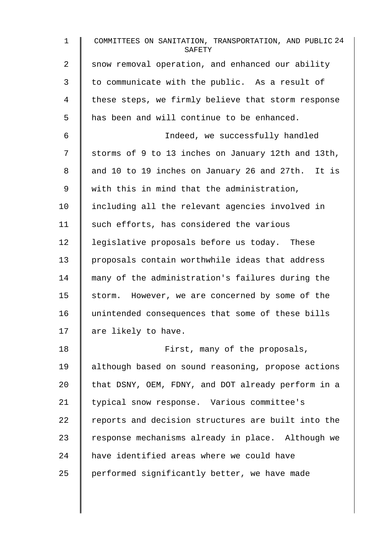| $\mathbf{1}$   | COMMITTEES ON SANITATION, TRANSPORTATION, AND PUBLIC 24<br>SAFETY |
|----------------|-------------------------------------------------------------------|
| $\overline{a}$ | snow removal operation, and enhanced our ability                  |
| 3              | to communicate with the public. As a result of                    |
| 4              | these steps, we firmly believe that storm response                |
| 5              | has been and will continue to be enhanced.                        |
| 6              | Indeed, we successfully handled                                   |
| 7              | storms of 9 to 13 inches on January 12th and 13th,                |
| 8              | and 10 to 19 inches on January 26 and 27th. It is                 |
| 9              | with this in mind that the administration,                        |
| 10             | including all the relevant agencies involved in                   |
| 11             | such efforts, has considered the various                          |
| 12             | legislative proposals before us today. These                      |
| 13             | proposals contain worthwhile ideas that address                   |
| 14             | many of the administration's failures during the                  |
| 15             | storm. However, we are concerned by some of the                   |
| 16             | unintended consequences that some of these bills                  |
| 17             | are likely to have.                                               |
| 18             | First, many of the proposals,                                     |
| 19             | although based on sound reasoning, propose actions                |
| 20             | that DSNY, OEM, FDNY, and DOT already perform in a                |
| 21             | typical snow response. Various committee's                        |
| 22             | reports and decision structures are built into the                |
| 23             | response mechanisms already in place. Although we                 |
| 24             | have identified areas where we could have                         |
| 25             | performed significantly better, we have made                      |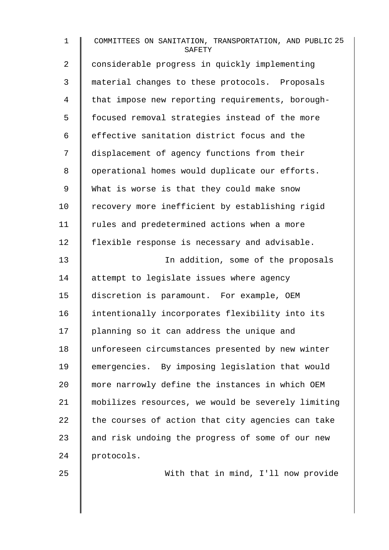1 COMMITTEES ON SANITATION, TRANSPORTATION, AND PUBLIC 25 **SAFETY** 2 | considerable progress in quickly implementing 3 material changes to these protocols. Proposals 4 that impose new reporting requirements, borough-5 | focused removal strategies instead of the more  $6 \parallel$  effective sanitation district focus and the 7 displacement of agency functions from their 8 | operational homes would duplicate our efforts. 9 | What is worse is that they could make snow 10 Tecovery more inefficient by establishing rigid 11 | rules and predetermined actions when a more 12 | flexible response is necessary and advisable. 13 | In addition, some of the proposals 14 | attempt to legislate issues where agency 15 discretion is paramount. For example, OEM 16 | intentionally incorporates flexibility into its 17 | planning so it can address the unique and 18 unforeseen circumstances presented by new winter 19 emergencies. By imposing legislation that would 20 more narrowly define the instances in which OEM 21 mobilizes resources, we would be severely limiting 22  $\parallel$  the courses of action that city agencies can take 23  $\parallel$  and risk undoing the progress of some of our new 24 protocols.

25 With that in mind, I'll now provide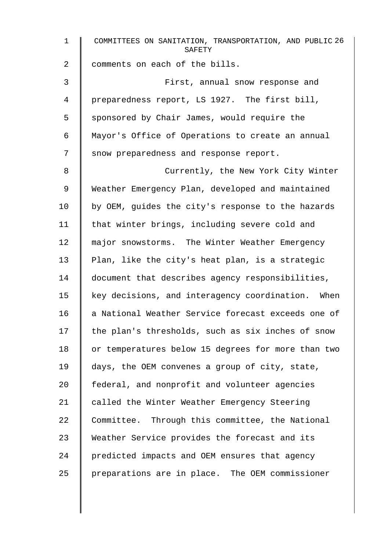| $\mathbf{1}$ | COMMITTEES ON SANITATION, TRANSPORTATION, AND PUBLIC 26<br>SAFETY |
|--------------|-------------------------------------------------------------------|
| 2            | comments on each of the bills.                                    |
| 3            | First, annual snow response and                                   |
| 4            | preparedness report, LS 1927. The first bill,                     |
| 5            | sponsored by Chair James, would require the                       |
| 6            | Mayor's Office of Operations to create an annual                  |
| 7            | snow preparedness and response report.                            |
| 8            | Currently, the New York City Winter                               |
| 9            | Weather Emergency Plan, developed and maintained                  |
| 10           | by OEM, guides the city's response to the hazards                 |
| 11           | that winter brings, including severe cold and                     |
| 12           | major snowstorms. The Winter Weather Emergency                    |
| 13           | Plan, like the city's heat plan, is a strategic                   |
| 14           | document that describes agency responsibilities,                  |
| 15           | key decisions, and interagency coordination. When                 |
| 16           | a National Weather Service forecast exceeds one of                |
| 17           | the plan's thresholds, such as six inches of snow                 |
| 18           | or temperatures below 15 degrees for more than two                |
| 19           | days, the OEM convenes a group of city, state,                    |
| 20           | federal, and nonprofit and volunteer agencies                     |
| 21           | called the Winter Weather Emergency Steering                      |
| 22           | Committee. Through this committee, the National                   |
| 23           | Weather Service provides the forecast and its                     |
| 24           | predicted impacts and OEM ensures that agency                     |
| 25           | preparations are in place. The OEM commissioner                   |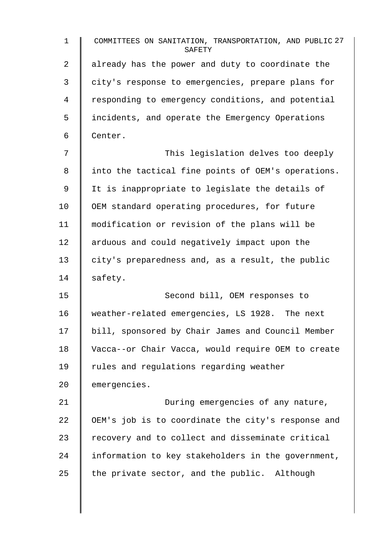1 COMMITTEES ON SANITATION, TRANSPORTATION, AND PUBLIC 27 **SAFETY** 2 | already has the power and duty to coordinate the 3 | city's response to emergencies, prepare plans for 4 Tesponding to emergency conditions, and potential 5 incidents, and operate the Emergency Operations 6 Center. 7 This legislation delves too deeply 8 | into the tactical fine points of OEM's operations. 9 | It is inappropriate to legislate the details of 10 | OEM standard operating procedures, for future 11 modification or revision of the plans will be 12 | arduous and could negatively impact upon the 13  $\parallel$  city's preparedness and, as a result, the public  $14$  safety. 15 | Second bill, OEM responses to 16 weather-related emergencies, LS 1928. The next 17 bill, sponsored by Chair James and Council Member 18 Vacca--or Chair Vacca, would require OEM to create 19 | rules and requlations regarding weather  $20$   $\parallel$  emergencies. 21 | During emergencies of any nature, 22 OEM's job is to coordinate the city's response and 23 Tecovery and to collect and disseminate critical 24 information to key stakeholders in the government, 25  $\parallel$  the private sector, and the public. Although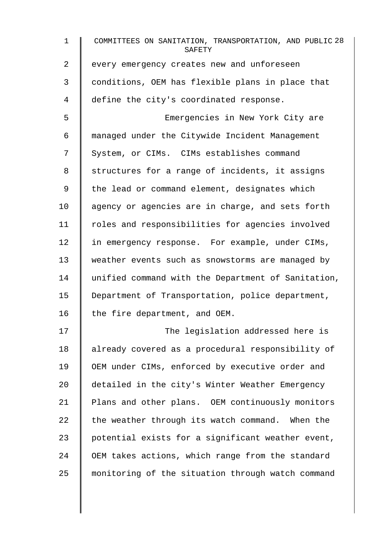| $\mathbf 1$ | COMMITTEES ON SANITATION, TRANSPORTATION, AND PUBLIC 28<br>SAFETY |
|-------------|-------------------------------------------------------------------|
| 2           | every emergency creates new and unforeseen                        |
| 3           | conditions, OEM has flexible plans in place that                  |
| 4           | define the city's coordinated response.                           |
| 5           | Emergencies in New York City are                                  |
| 6           | managed under the Citywide Incident Management                    |
| 7           | System, or CIMs. CIMs establishes command                         |
| 8           | structures for a range of incidents, it assigns                   |
| $\mathsf 9$ | the lead or command element, designates which                     |
| 10          | agency or agencies are in charge, and sets forth                  |
| 11          | roles and responsibilities for agencies involved                  |
| 12          | in emergency response. For example, under CIMs,                   |
| 13          | weather events such as snowstorms are managed by                  |
| 14          | unified command with the Department of Sanitation,                |
| 15          | Department of Transportation, police department,                  |
| 16          | the fire department, and OEM.                                     |
| 17          | The legislation addressed here is                                 |
| 18          | already covered as a procedural responsibility of                 |
| 19          | OEM under CIMs, enforced by executive order and                   |
| 20          | detailed in the city's Winter Weather Emergency                   |
| 21          | Plans and other plans. OEM continuously monitors                  |
| 22          | the weather through its watch command. When the                   |
| 23          | potential exists for a significant weather event,                 |
| 24          | OEM takes actions, which range from the standard                  |
| 25          | monitoring of the situation through watch command                 |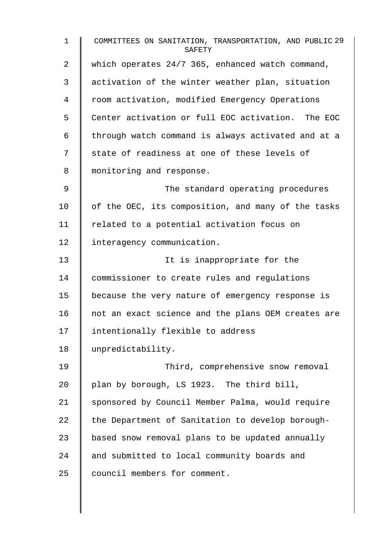1 COMMITTEES ON SANITATION, TRANSPORTATION, AND PUBLIC 29 SAFETY 2 Which operates 24/7 365, enhanced watch command, 3 activation of the winter weather plan, situation 4 Troom activation, modified Emergency Operations 5 Center activation or full EOC activation. The EOC 6  $\parallel$  through watch command is always activated and at a 7 | state of readiness at one of these levels of 8 | monitoring and response. 9 | The standard operating procedures 10  $\parallel$  of the OEC, its composition, and many of the tasks 11 | related to a potential activation focus on 12 | interagency communication. 13 It is inappropriate for the 14 commissioner to create rules and regulations 15 because the very nature of emergency response is 16 | not an exact science and the plans OEM creates are 17 | intentionally flexible to address 18 unpredictability. 19 **Third, comprehensive snow removal** 20  $\parallel$  plan by borough, LS 1923. The third bill, 21 Sponsored by Council Member Palma, would require 22  $\parallel$  the Department of Sanitation to develop borough-23 | based snow removal plans to be updated annually 24 and submitted to local community boards and 25 | council members for comment.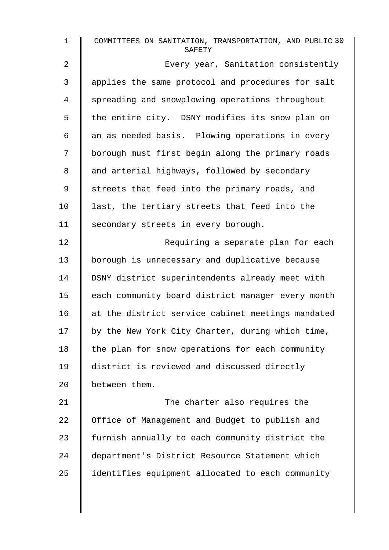| $\mathbf 1$    | COMMITTEES ON SANITATION, TRANSPORTATION, AND PUBLIC 30<br>SAFETY |
|----------------|-------------------------------------------------------------------|
| $\overline{a}$ | Every year, Sanitation consistently                               |
| 3              | applies the same protocol and procedures for salt                 |
| 4              | spreading and snowplowing operations throughout                   |
| 5              | the entire city. DSNY modifies its snow plan on                   |
| 6              | an as needed basis. Plowing operations in every                   |
| 7              | borough must first begin along the primary roads                  |
| 8              | and arterial highways, followed by secondary                      |
| $\mathsf 9$    | streets that feed into the primary roads, and                     |
| 10             | last, the tertiary streets that feed into the                     |
| 11             | secondary streets in every borough.                               |
| 12             | Requiring a separate plan for each                                |
| 13             | borough is unnecessary and duplicative because                    |
| 14             | DSNY district superintendents already meet with                   |
| 15             | each community board district manager every month                 |
| 16             | at the district service cabinet meetings mandated                 |
| 17             | by the New York City Charter, during which time,                  |
| 18             | the plan for snow operations for each community                   |
| 19             | district is reviewed and discussed directly                       |
| 20             | between them.                                                     |
| 21             | The charter also requires the                                     |
| 22             | Office of Management and Budget to publish and                    |
| 23             | furnish annually to each community district the                   |
| 24             | department's District Resource Statement which                    |
| 25             | identifies equipment allocated to each community                  |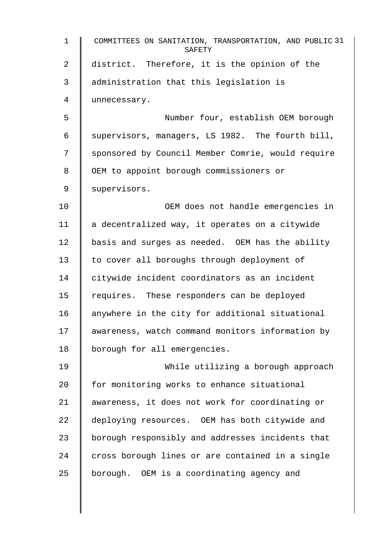| $\mathbf{1}$    | COMMITTEES ON SANITATION, TRANSPORTATION, AND PUBLIC 31<br>SAFETY |
|-----------------|-------------------------------------------------------------------|
| 2               | district. Therefore, it is the opinion of the                     |
| 3               | administration that this legislation is                           |
| 4               | unnecessary.                                                      |
| 5               | Number four, establish OEM borough                                |
| 6               | supervisors, managers, LS 1982. The fourth bill,                  |
| 7               | sponsored by Council Member Comrie, would require                 |
| 8               | OEM to appoint borough commissioners or                           |
| 9               | supervisors.                                                      |
| 10              | OEM does not handle emergencies in                                |
| 11              | a decentralized way, it operates on a citywide                    |
| 12 <sub>1</sub> | basis and surges as needed. OEM has the ability                   |
| 13              | to cover all boroughs through deployment of                       |
| 14              | citywide incident coordinators as an incident                     |
| 15              | requires. These responders can be deployed                        |
| 16              | anywhere in the city for additional situational                   |
| 17              | awareness, watch command monitors information by                  |
| 18              | borough for all emergencies.                                      |
| 19              | While utilizing a borough approach                                |
| 20              | for monitoring works to enhance situational                       |
| 21              | awareness, it does not work for coordinating or                   |
| 22              | deploying resources. OEM has both citywide and                    |
| 23              | borough responsibly and addresses incidents that                  |
| 24              | cross borough lines or are contained in a single                  |
| 25              | borough. OEM is a coordinating agency and                         |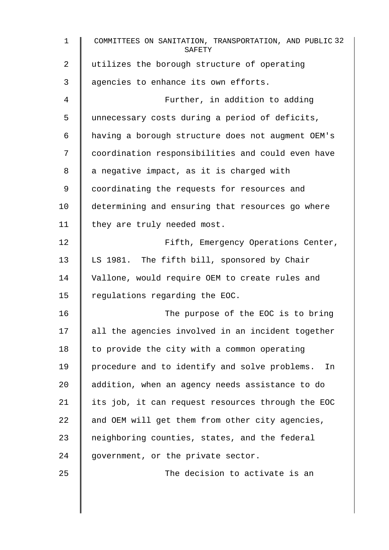| $\mathbf{1}$   | COMMITTEES ON SANITATION, TRANSPORTATION, AND PUBLIC 32<br>SAFETY |
|----------------|-------------------------------------------------------------------|
| $\overline{2}$ | utilizes the borough structure of operating                       |
| 3              | agencies to enhance its own efforts.                              |
| 4              | Further, in addition to adding                                    |
| 5              | unnecessary costs during a period of deficits,                    |
| 6              | having a borough structure does not augment OEM's                 |
| 7              | coordination responsibilities and could even have                 |
| 8              | a negative impact, as it is charged with                          |
| 9              | coordinating the requests for resources and                       |
| 10             | determining and ensuring that resources go where                  |
| 11             | they are truly needed most.                                       |
| 12             | Fifth, Emergency Operations Center,                               |
| 13             | LS 1981. The fifth bill, sponsored by Chair                       |
| 14             | Vallone, would require OEM to create rules and                    |
| 15             | regulations regarding the EOC.                                    |
| 16             | The purpose of the EOC is to bring                                |
| 17             | all the agencies involved in an incident together                 |
| 18             | to provide the city with a common operating                       |
| 19             | procedure and to identify and solve problems.<br>In               |
| 20             | addition, when an agency needs assistance to do                   |
| 21             | its job, it can request resources through the EOC                 |
| 22             | and OEM will get them from other city agencies,                   |
| 23             | neighboring counties, states, and the federal                     |
| 24             | government, or the private sector.                                |
| 25             | The decision to activate is an                                    |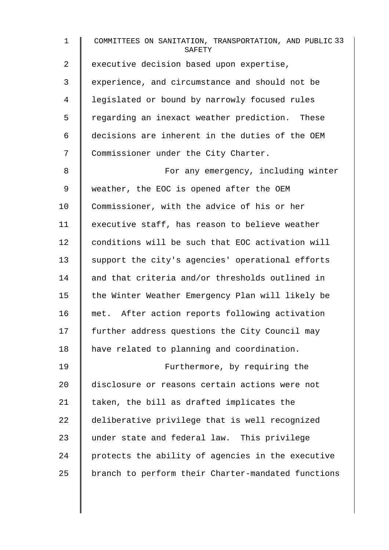1 COMMITTEES ON SANITATION, TRANSPORTATION, AND PUBLIC 33 **SAFETY** 2 executive decision based upon expertise, 3 experience, and circumstance and should not be 4 | legislated or bound by narrowly focused rules 5 Tegarding an inexact weather prediction. These 6 decisions are inherent in the duties of the OEM 7 Commissioner under the City Charter. 8 | For any emergency, including winter 9 Weather, the EOC is opened after the OEM 10 Commissioner, with the advice of his or her 11 | executive staff, has reason to believe weather 12 conditions will be such that EOC activation will 13 Support the city's agencies' operational efforts 14 and that criteria and/or thresholds outlined in 15 | the Winter Weather Emergency Plan will likely be 16 met. After action reports following activation 17 further address questions the City Council may 18 | have related to planning and coordination. 19 **Furthermore, by requiring the** 20 disclosure or reasons certain actions were not 21  $\parallel$  taken, the bill as drafted implicates the 22  $\parallel$  deliberative privilege that is well recognized 23 under state and federal law. This privilege  $24$  protects the ability of agencies in the executive 25 | branch to perform their Charter-mandated functions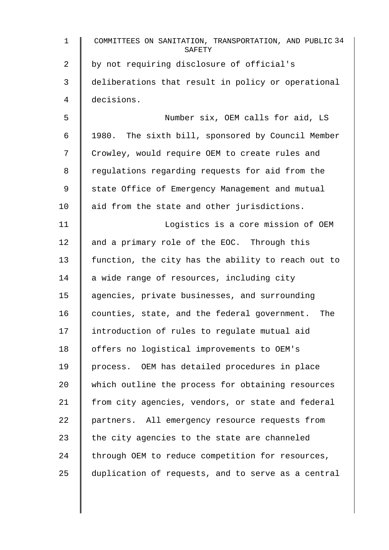| $\mathbf 1$    | COMMITTEES ON SANITATION, TRANSPORTATION, AND PUBLIC 34<br>SAFETY |
|----------------|-------------------------------------------------------------------|
| $\overline{2}$ | by not requiring disclosure of official's                         |
| 3              | deliberations that result in policy or operational                |
| $\overline{4}$ | decisions.                                                        |
| 5              | Number six, OEM calls for aid, LS                                 |
| 6              | 1980. The sixth bill, sponsored by Council Member                 |
| 7              | Crowley, would require OEM to create rules and                    |
| 8              | regulations regarding requests for aid from the                   |
| 9              | state Office of Emergency Management and mutual                   |
| 10             | aid from the state and other jurisdictions.                       |
| 11             | Logistics is a core mission of OEM                                |
| 12             | and a primary role of the EOC. Through this                       |
| 13             | function, the city has the ability to reach out to                |
| 14             | a wide range of resources, including city                         |
| 15             | agencies, private businesses, and surrounding                     |
| 16             | counties, state, and the federal government.<br>The               |
| 17             | introduction of rules to regulate mutual aid                      |
| 18             | offers no logistical improvements to OEM's                        |
| 19             | process. OEM has detailed procedures in place                     |
| 20             | which outline the process for obtaining resources                 |
| 21             | from city agencies, vendors, or state and federal                 |
| 22             | partners. All emergency resource requests from                    |
| 23             | the city agencies to the state are channeled                      |
| 24             | through OEM to reduce competition for resources,                  |
| 25             | duplication of requests, and to serve as a central                |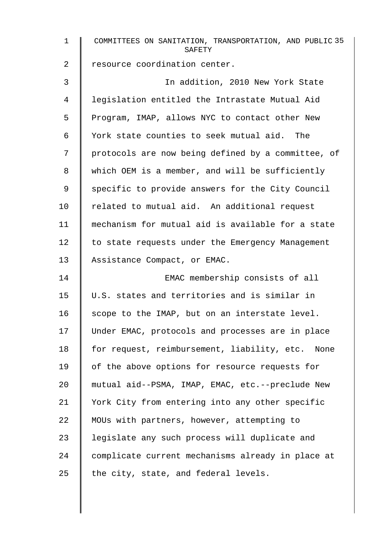| $\mathbf 1$ | COMMITTEES ON SANITATION, TRANSPORTATION, AND PUBLIC 35<br>SAFETY |
|-------------|-------------------------------------------------------------------|
| 2           | resource coordination center.                                     |
| 3           | In addition, 2010 New York State                                  |
| 4           | legislation entitled the Intrastate Mutual Aid                    |
| 5           | Program, IMAP, allows NYC to contact other New                    |
| 6           | York state counties to seek mutual aid. The                       |
| 7           | protocols are now being defined by a committee, of                |
| 8           | which OEM is a member, and will be sufficiently                   |
| 9           | specific to provide answers for the City Council                  |
| 10          | related to mutual aid. An additional request                      |
| 11          | mechanism for mutual aid is available for a state                 |
| 12          | to state requests under the Emergency Management                  |
| 13          | Assistance Compact, or EMAC.                                      |
| 14          | EMAC membership consists of all                                   |
| 15          | U.S. states and territories and is similar in                     |
| 16          | scope to the IMAP, but on an interstate level.                    |
| 17          | Under EMAC, protocols and processes are in place                  |
| 18          | for request, reimbursement, liability, etc. None                  |
| 19          | of the above options for resource requests for                    |
| 20          | mutual aid--PSMA, IMAP, EMAC, etc.--preclude New                  |
| 21          | York City from entering into any other specific                   |
| 22          | MOUs with partners, however, attempting to                        |
| 23          | legislate any such process will duplicate and                     |
| 24          | complicate current mechanisms already in place at                 |
| 25          | the city, state, and federal levels.                              |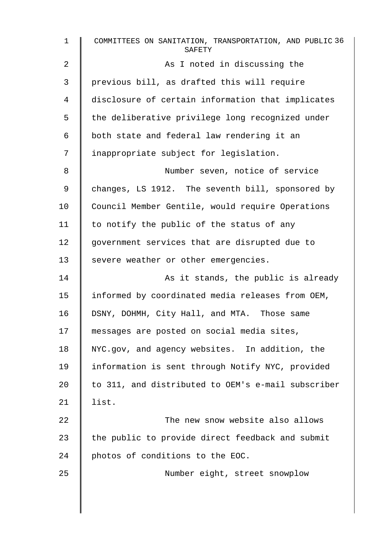| $\mathbf{1}$   | COMMITTEES ON SANITATION, TRANSPORTATION, AND PUBLIC 36<br>SAFETY |
|----------------|-------------------------------------------------------------------|
| $\overline{a}$ | As I noted in discussing the                                      |
| 3              | previous bill, as drafted this will require                       |
| 4              | disclosure of certain information that implicates                 |
| 5              | the deliberative privilege long recognized under                  |
| 6              | both state and federal law rendering it an                        |
| 7              | inappropriate subject for legislation.                            |
| 8              | Number seven, notice of service                                   |
| 9              | changes, LS 1912. The seventh bill, sponsored by                  |
| 10             | Council Member Gentile, would require Operations                  |
| 11             | to notify the public of the status of any                         |
| 12             | government services that are disrupted due to                     |
| 13             | severe weather or other emergencies.                              |
| 14             | As it stands, the public is already                               |
| 15             | informed by coordinated media releases from OEM,                  |
| 16             | DSNY, DOHMH, City Hall, and MTA. Those same                       |
| 17             | messages are posted on social media sites,                        |
| 18             | NYC.gov, and agency websites. In addition, the                    |
| 19             | information is sent through Notify NYC, provided                  |
| 20             | to 311, and distributed to OEM's e-mail subscriber                |
| 21             | list.                                                             |
| 22             | The new snow website also allows                                  |
| 23             | the public to provide direct feedback and submit                  |
| 24             | photos of conditions to the EOC.                                  |
| 25             | Number eight, street snowplow                                     |
|                |                                                                   |
|                |                                                                   |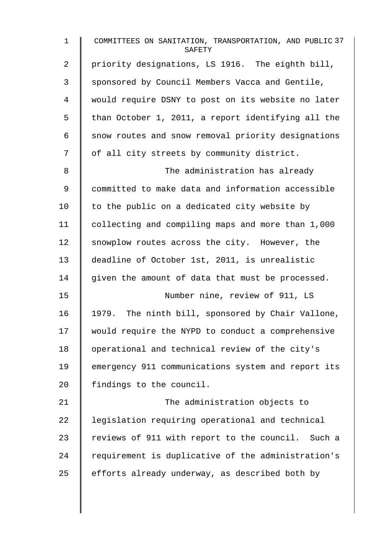| $\mathbf 1$    | COMMITTEES ON SANITATION, TRANSPORTATION, AND PUBLIC 37<br>SAFETY |
|----------------|-------------------------------------------------------------------|
| $\overline{a}$ | priority designations, LS 1916. The eighth bill,                  |
| 3              | sponsored by Council Members Vacca and Gentile,                   |
| 4              | would require DSNY to post on its website no later                |
| 5              | than October 1, 2011, a report identifying all the                |
| 6              | snow routes and snow removal priority designations                |
| 7              | of all city streets by community district.                        |
| 8              | The administration has already                                    |
| 9              | committed to make data and information accessible                 |
| 10             | to the public on a dedicated city website by                      |
| 11             | collecting and compiling maps and more than 1,000                 |
| 12             | snowplow routes across the city. However, the                     |
| 13             | deadline of October 1st, 2011, is unrealistic                     |
| 14             | given the amount of data that must be processed.                  |
| 15             | Number nine, review of 911, LS                                    |
| 16             | 1979. The ninth bill, sponsored by Chair Vallone,                 |
| 17             | would require the NYPD to conduct a comprehensive                 |
| 18             | operational and technical review of the city's                    |
| 19             | emergency 911 communications system and report its                |
| 20             | findings to the council.                                          |
| 21             | The administration objects to                                     |
| 22             | legislation requiring operational and technical                   |
| 23             | reviews of 911 with report to the council. Such a                 |
| 24             | requirement is duplicative of the administration's                |
| 25             | efforts already underway, as described both by                    |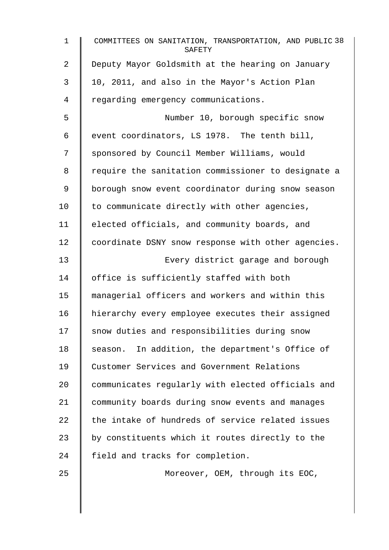| $\mathbf{1}$   | COMMITTEES ON SANITATION, TRANSPORTATION, AND PUBLIC 38<br>SAFETY |
|----------------|-------------------------------------------------------------------|
| $\overline{a}$ | Deputy Mayor Goldsmith at the hearing on January                  |
| 3              | 10, 2011, and also in the Mayor's Action Plan                     |
| 4              | regarding emergency communications.                               |
| 5              | Number 10, borough specific snow                                  |
| 6              | event coordinators, LS 1978. The tenth bill,                      |
| 7              | sponsored by Council Member Williams, would                       |
| 8              | require the sanitation commissioner to designate a                |
| 9              | borough snow event coordinator during snow season                 |
| 10             | to communicate directly with other agencies,                      |
| 11             | elected officials, and community boards, and                      |
| 12             | coordinate DSNY snow response with other agencies.                |
| 13             | Every district garage and borough                                 |
| 14             | office is sufficiently staffed with both                          |
| 15             | managerial officers and workers and within this                   |
| 16             | hierarchy every employee executes their assigned                  |
| 17             | snow duties and responsibilities during snow                      |
| 18             | season. In addition, the department's Office of                   |
| 19             | Customer Services and Government Relations                        |
| 20             | communicates regularly with elected officials and                 |
| 21             | community boards during snow events and manages                   |
| 22             | the intake of hundreds of service related issues                  |
| 23             | by constituents which it routes directly to the                   |
| 24             | field and tracks for completion.                                  |
| 25             | Moreover, OEM, through its EOC,                                   |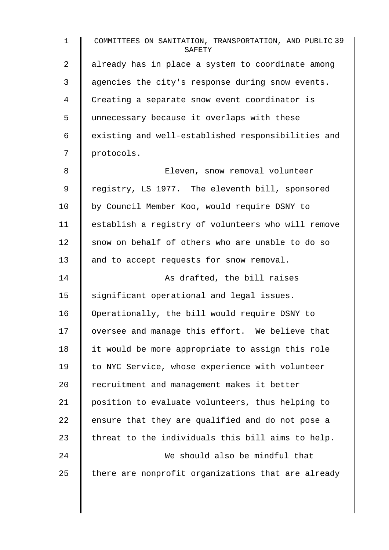1 COMMITTEES ON SANITATION, TRANSPORTATION, AND PUBLIC 39 **SAFETY** 2 | already has in place a system to coordinate among 3 agencies the city's response during snow events. 4 Creating a separate snow event coordinator is 5 unnecessary because it overlaps with these  $6$   $\parallel$  existing and well-established responsibilities and 7 | protocols. 8 Eleven, snow removal volunteer 9 | registry, LS 1977. The eleventh bill, sponsored 10 | by Council Member Koo, would require DSNY to 11 establish a registry of volunteers who will remove 12 snow on behalf of others who are unable to do so 13 || and to accept requests for snow removal. 14 | As drafted, the bill raises 15 | significant operational and legal issues. 16 Operationally, the bill would require DSNY to 17 oversee and manage this effort. We believe that 18 | it would be more appropriate to assign this role 19 to NYC Service, whose experience with volunteer 20 Fecruitment and management makes it better 21 position to evaluate volunteers, thus helping to 22 ensure that they are qualified and do not pose a 23  $\parallel$  threat to the individuals this bill aims to help. 24 We should also be mindful that 25  $\parallel$  there are nonprofit organizations that are already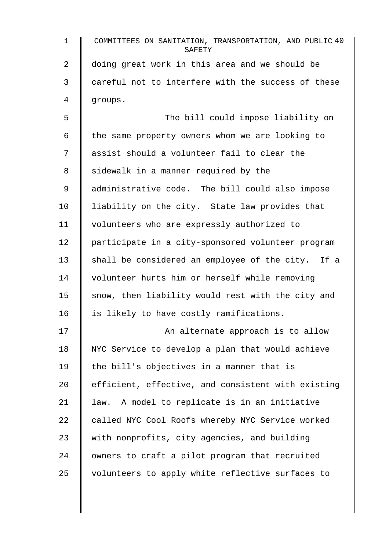| $\mathbf 1$ | COMMITTEES ON SANITATION, TRANSPORTATION, AND PUBLIC 40<br>SAFETY |
|-------------|-------------------------------------------------------------------|
| 2           | doing great work in this area and we should be                    |
| 3           | careful not to interfere with the success of these                |
| 4           | groups.                                                           |
| 5           | The bill could impose liability on                                |
| 6           | the same property owners whom we are looking to                   |
| 7           | assist should a volunteer fail to clear the                       |
| 8           | sidewalk in a manner required by the                              |
| 9           | administrative code. The bill could also impose                   |
| 10          | liability on the city. State law provides that                    |
| 11          | volunteers who are expressly authorized to                        |
| 12          | participate in a city-sponsored volunteer program                 |
| 13          | shall be considered an employee of the city. If a                 |
| 14          | volunteer hurts him or herself while removing                     |
| 15          | snow, then liability would rest with the city and                 |
| 16          | is likely to have costly ramifications.                           |
| 17          | An alternate approach is to allow                                 |
| 18          | NYC Service to develop a plan that would achieve                  |
| 19          | the bill's objectives in a manner that is                         |
| 20          | efficient, effective, and consistent with existing                |
| 21          | A model to replicate is in an initiative<br>law.                  |
| 22          | called NYC Cool Roofs whereby NYC Service worked                  |
| 23          | with nonprofits, city agencies, and building                      |
| 24          | owners to craft a pilot program that recruited                    |
| 25          | volunteers to apply white reflective surfaces to                  |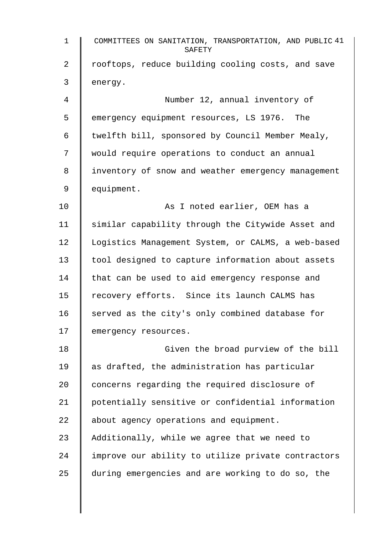| $\mathbf{1}$ | COMMITTEES ON SANITATION, TRANSPORTATION, AND PUBLIC 41<br>SAFETY |
|--------------|-------------------------------------------------------------------|
| 2            | rooftops, reduce building cooling costs, and save                 |
| 3            | energy.                                                           |
| 4            | Number 12, annual inventory of                                    |
| 5            | emergency equipment resources, LS 1976. The                       |
| 6            | twelfth bill, sponsored by Council Member Mealy,                  |
| 7            | would require operations to conduct an annual                     |
| 8            | inventory of snow and weather emergency management                |
| 9            | equipment.                                                        |
| 10           | As I noted earlier, OEM has a                                     |
| 11           | similar capability through the Citywide Asset and                 |
| 12           | Logistics Management System, or CALMS, a web-based                |
| 13           | tool designed to capture information about assets                 |
| 14           | that can be used to aid emergency response and                    |
| 15           | recovery efforts. Since its launch CALMS has                      |
| 16           | served as the city's only combined database for                   |
| 17           | emergency resources.                                              |
| 18           | Given the broad purview of the bill                               |
| 19           | as drafted, the administration has particular                     |
| 20           | concerns regarding the required disclosure of                     |
| 21           | potentially sensitive or confidential information                 |
| 22           | about agency operations and equipment.                            |
| 23           | Additionally, while we agree that we need to                      |
| 24           | improve our ability to utilize private contractors                |
| 25           | during emergencies and are working to do so, the                  |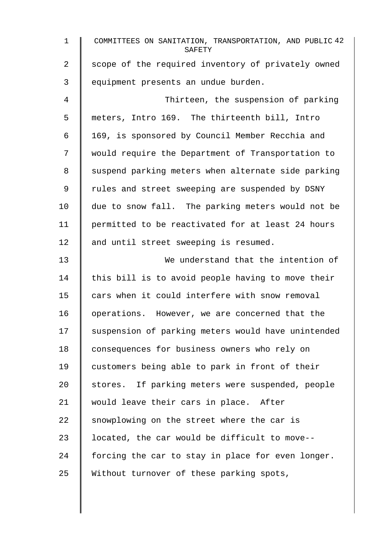| $\mathbf 1$    | COMMITTEES ON SANITATION, TRANSPORTATION, AND PUBLIC 42<br>SAFETY |
|----------------|-------------------------------------------------------------------|
| $\overline{2}$ | scope of the required inventory of privately owned                |
| 3              | equipment presents an undue burden.                               |
| 4              | Thirteen, the suspension of parking                               |
| 5              | meters, Intro 169. The thirteenth bill, Intro                     |
| 6              | 169, is sponsored by Council Member Recchia and                   |
| 7              | would require the Department of Transportation to                 |
| 8              | suspend parking meters when alternate side parking                |
| 9              | rules and street sweeping are suspended by DSNY                   |
| 10             | due to snow fall. The parking meters would not be                 |
| 11             | permitted to be reactivated for at least 24 hours                 |
| 12             | and until street sweeping is resumed.                             |
| 13             | We understand that the intention of                               |
| 14             | this bill is to avoid people having to move their                 |
| 15             | cars when it could interfere with snow removal                    |
| 16             | operations. However, we are concerned that the                    |
| 17             | suspension of parking meters would have unintended                |
| 18             | consequences for business owners who rely on                      |
| 19             | customers being able to park in front of their                    |
| 20             | stores. If parking meters were suspended, people                  |
| 21             | would leave their cars in place. After                            |
| 22             | snowplowing on the street where the car is                        |
| 23             | located, the car would be difficult to move--                     |
| 24             | forcing the car to stay in place for even longer.                 |
| 25             | Without turnover of these parking spots,                          |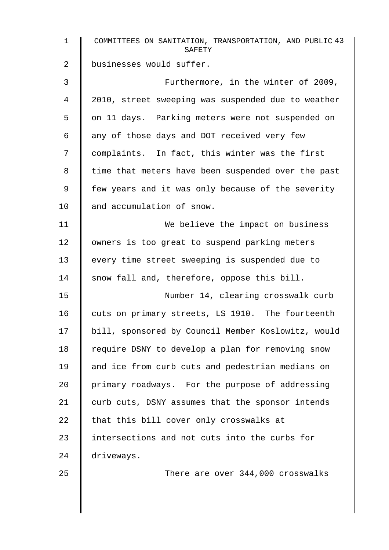| $\mathbf 1$ | COMMITTEES ON SANITATION, TRANSPORTATION, AND PUBLIC 43<br>SAFETY |
|-------------|-------------------------------------------------------------------|
| 2           | businesses would suffer.                                          |
| 3           | Furthermore, in the winter of 2009,                               |
| 4           | 2010, street sweeping was suspended due to weather                |
| 5           | on 11 days. Parking meters were not suspended on                  |
| 6           | any of those days and DOT received very few                       |
| 7           | complaints. In fact, this winter was the first                    |
| 8           | time that meters have been suspended over the past                |
| 9           | few years and it was only because of the severity                 |
| 10          | and accumulation of snow.                                         |
| 11          | We believe the impact on business                                 |
| 12          | owners is too great to suspend parking meters                     |
| 13          | every time street sweeping is suspended due to                    |
| 14          | snow fall and, therefore, oppose this bill.                       |
| 15          | Number 14, clearing crosswalk curb                                |
| 16          | cuts on primary streets, LS 1910. The fourteenth                  |
| 17          | bill, sponsored by Council Member Koslowitz, would                |
| 18          | require DSNY to develop a plan for removing snow                  |
| 19          | and ice from curb cuts and pedestrian medians on                  |
| 20          | primary roadways. For the purpose of addressing                   |
| 21          | curb cuts, DSNY assumes that the sponsor intends                  |
| 22          | that this bill cover only crosswalks at                           |
| 23          | intersections and not cuts into the curbs for                     |
| 24          | driveways.                                                        |
| 25          | There are over 344,000 crosswalks                                 |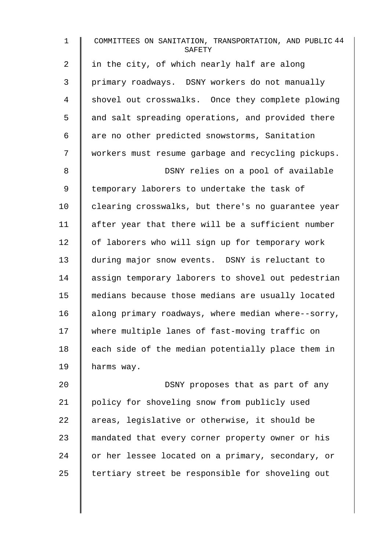| $\mathbf 1$    | COMMITTEES ON SANITATION, TRANSPORTATION, AND PUBLIC 44<br>SAFETY |
|----------------|-------------------------------------------------------------------|
| $\overline{2}$ | in the city, of which nearly half are along                       |
| 3              | primary roadways. DSNY workers do not manually                    |
| 4              | shovel out crosswalks. Once they complete plowing                 |
| 5              | and salt spreading operations, and provided there                 |
| 6              | are no other predicted snowstorms, Sanitation                     |
| 7              | workers must resume garbage and recycling pickups.                |
| 8              | DSNY relies on a pool of available                                |
| 9              | temporary laborers to undertake the task of                       |
| 10             | clearing crosswalks, but there's no guarantee year                |
| 11             | after year that there will be a sufficient number                 |
| 12             | of laborers who will sign up for temporary work                   |
| 13             | during major snow events. DSNY is reluctant to                    |
| 14             | assign temporary laborers to shovel out pedestrian                |
| 15             | medians because those medians are usually located                 |
| 16             | along primary roadways, where median where--sorry,                |
| 17             | where multiple lanes of fast-moving traffic on                    |
| 18             | each side of the median potentially place them in                 |
| 19             | harms way.                                                        |
| 20             | DSNY proposes that as part of any                                 |
| 21             | policy for shoveling snow from publicly used                      |
| 22             | areas, legislative or otherwise, it should be                     |

24 or her lessee located on a primary, secondary, or

23 mandated that every corner property owner or his

 $25$  tertiary street be responsible for shoveling out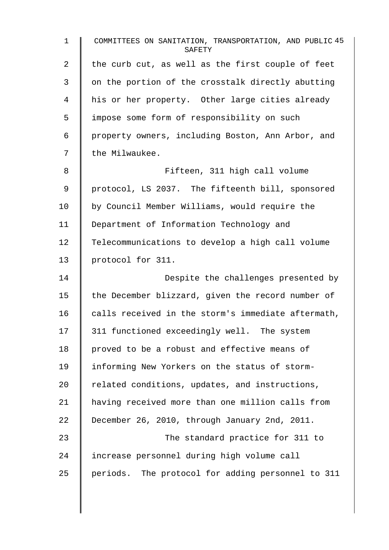| 1  | COMMITTEES ON SANITATION, TRANSPORTATION, AND PUBLIC 45<br>SAFETY |
|----|-------------------------------------------------------------------|
| 2  | the curb cut, as well as the first couple of feet                 |
| 3  | on the portion of the crosstalk directly abutting                 |
| 4  | his or her property. Other large cities already                   |
| 5  | impose some form of responsibility on such                        |
| 6  | property owners, including Boston, Ann Arbor, and                 |
| 7  | the Milwaukee.                                                    |
| 8  | Fifteen, 311 high call volume                                     |
| 9  | protocol, LS 2037. The fifteenth bill, sponsored                  |
| 10 | by Council Member Williams, would require the                     |
| 11 | Department of Information Technology and                          |
| 12 | Telecommunications to develop a high call volume                  |
| 13 | protocol for 311.                                                 |
| 14 | Despite the challenges presented by                               |
| 15 | the December blizzard, given the record number of                 |
| 16 | calls received in the storm's immediate aftermath,                |
| 17 | 311 functioned exceedingly well. The system                       |
| 18 | proved to be a robust and effective means of                      |
| 19 | informing New Yorkers on the status of storm-                     |
| 20 | related conditions, updates, and instructions,                    |
| 21 | having received more than one million calls from                  |
| 22 | December 26, 2010, through January 2nd, 2011.                     |
| 23 | The standard practice for 311 to                                  |
| 24 | increase personnel during high volume call                        |
| 25 | periods. The protocol for adding personnel to 311                 |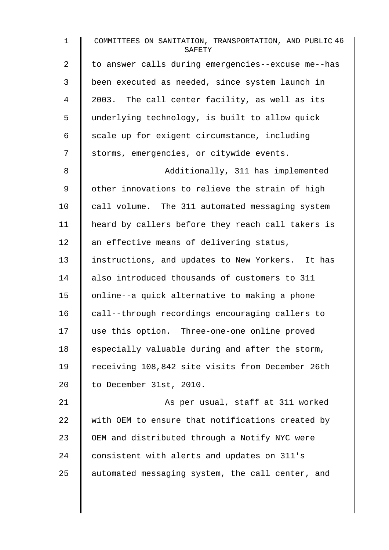| $\mathbf 1$    | COMMITTEES ON SANITATION, TRANSPORTATION, AND PUBLIC 46<br>SAFETY |
|----------------|-------------------------------------------------------------------|
| $\overline{2}$ | to answer calls during emergencies--excuse me--has                |
| 3              | been executed as needed, since system launch in                   |
| 4              | 2003. The call center facility, as well as its                    |
| 5              | underlying technology, is built to allow quick                    |
| 6              | scale up for exigent circumstance, including                      |
| 7              | storms, emergencies, or citywide events.                          |
| 8              | Additionally, 311 has implemented                                 |
| 9              | other innovations to relieve the strain of high                   |
| 10             | call volume. The 311 automated messaging system                   |
| 11             | heard by callers before they reach call takers is                 |
| 12             | an effective means of delivering status,                          |
| 13             | instructions, and updates to New Yorkers. It has                  |
| 14             | also introduced thousands of customers to 311                     |
| 15             | online--a quick alternative to making a phone                     |
| 16             | call--through recordings encouraging callers to                   |
| 17             | use this option. Three-one-one online proved                      |
| 18             | especially valuable during and after the storm,                   |
| 19             | receiving 108,842 site visits from December 26th                  |
| 20             | to December 31st, 2010.                                           |
| 21             | As per usual, staff at 311 worked                                 |
| 22             | with OEM to ensure that notifications created by                  |
| 23             | OEM and distributed through a Notify NYC were                     |
| 24             | consistent with alerts and updates on 311's                       |
| 25             | automated messaging system, the call center, and                  |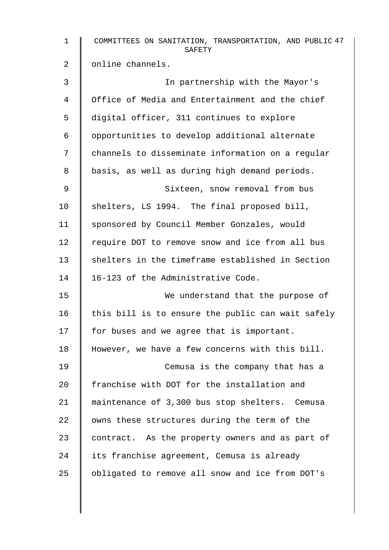| $\mathbf{1}$   | COMMITTEES ON SANITATION, TRANSPORTATION, AND PUBLIC 47<br>SAFETY |
|----------------|-------------------------------------------------------------------|
| $\overline{2}$ | online channels.                                                  |
| 3              | In partnership with the Mayor's                                   |
| 4              | Office of Media and Entertainment and the chief                   |
| 5              | digital officer, 311 continues to explore                         |
| 6              | opportunities to develop additional alternate                     |
| 7              | channels to disseminate information on a regular                  |
| 8              | basis, as well as during high demand periods.                     |
| 9              | Sixteen, snow removal from bus                                    |
| 10             | shelters, LS 1994. The final proposed bill,                       |
| 11             | sponsored by Council Member Gonzales, would                       |
| 12             | require DOT to remove snow and ice from all bus                   |
| 13             | shelters in the timeframe established in Section                  |
| 14             | 16-123 of the Administrative Code.                                |
| 15             | We understand that the purpose of                                 |
| 16             | this bill is to ensure the public can wait safely                 |
| 17             | for buses and we agree that is important.                         |
| 18             | However, we have a few concerns with this bill.                   |
| 19             | Cemusa is the company that has a                                  |
| 20             | franchise with DOT for the installation and                       |
| 21             | maintenance of 3,300 bus stop shelters. Cemusa                    |
| 22             | owns these structures during the term of the                      |
| 23             | contract. As the property owners and as part of                   |
| 24             | its franchise agreement, Cemusa is already                        |
| 25             | obligated to remove all snow and ice from DOT's                   |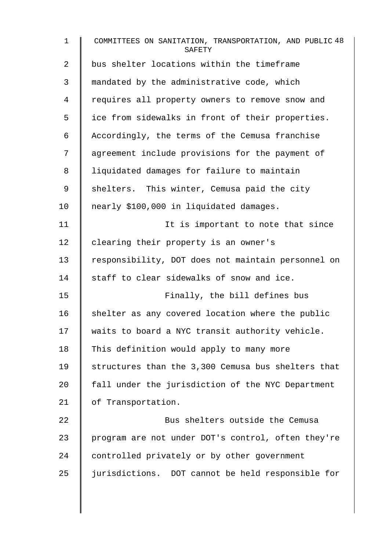| $\mathbf{1}$   | COMMITTEES ON SANITATION, TRANSPORTATION, AND PUBLIC 48<br>SAFETY |
|----------------|-------------------------------------------------------------------|
| $\overline{2}$ | bus shelter locations within the timeframe                        |
| 3              | mandated by the administrative code, which                        |
| 4              | requires all property owners to remove snow and                   |
| 5              | ice from sidewalks in front of their properties.                  |
| 6              | Accordingly, the terms of the Cemusa franchise                    |
| 7              | agreement include provisions for the payment of                   |
| 8              | liquidated damages for failure to maintain                        |
| 9              | shelters. This winter, Cemusa paid the city                       |
| 10             | nearly \$100,000 in liquidated damages.                           |
| 11             | It is important to note that since                                |
| 12             | clearing their property is an owner's                             |
| 13             | responsibility, DOT does not maintain personnel on                |
| 14             | staff to clear sidewalks of snow and ice.                         |
| 15             | Finally, the bill defines bus                                     |
| 16             | shelter as any covered location where the public                  |
| 17             | waits to board a NYC transit authority vehicle.                   |
| 18             | This definition would apply to many more                          |
| 19             | structures than the 3,300 Cemusa bus shelters that                |
| 20             | fall under the jurisdiction of the NYC Department                 |
| 21             | of Transportation.                                                |
| 22             | Bus shelters outside the Cemusa                                   |
| 23             | program are not under DOT's control, often they're                |
| 24             | controlled privately or by other government                       |
| 25             | jurisdictions. DOT cannot be held responsible for                 |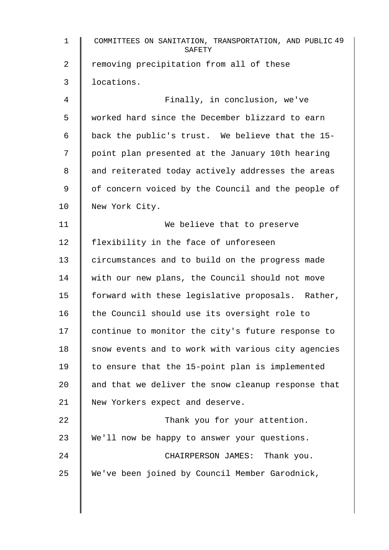| $\mathbf{1}$ | COMMITTEES ON SANITATION, TRANSPORTATION, AND PUBLIC 49<br>SAFETY |
|--------------|-------------------------------------------------------------------|
| 2            | removing precipitation from all of these                          |
| 3            | locations.                                                        |
| 4            | Finally, in conclusion, we've                                     |
| 5            | worked hard since the December blizzard to earn                   |
| 6            | back the public's trust. We believe that the 15-                  |
| 7            | point plan presented at the January 10th hearing                  |
| 8            | and reiterated today actively addresses the areas                 |
| 9            | of concern voiced by the Council and the people of                |
| 10           | New York City.                                                    |
| 11           | We believe that to preserve                                       |
| 12           | flexibility in the face of unforeseen                             |
| 13           | circumstances and to build on the progress made                   |
| 14           | with our new plans, the Council should not move                   |
| 15           | forward with these legislative proposals. Rather,                 |
| 16           | the Council should use its oversight role to                      |
| 17           | continue to monitor the city's future response to                 |
| 18           | snow events and to work with various city agencies                |
| 19           | to ensure that the 15-point plan is implemented                   |
| 20           | and that we deliver the snow cleanup response that                |
| 21           | New Yorkers expect and deserve.                                   |
| 22           | Thank you for your attention.                                     |
| 23           | We'll now be happy to answer your questions.                      |
| 24           | CHAIRPERSON JAMES: Thank you.                                     |
| 25           | We've been joined by Council Member Garodnick,                    |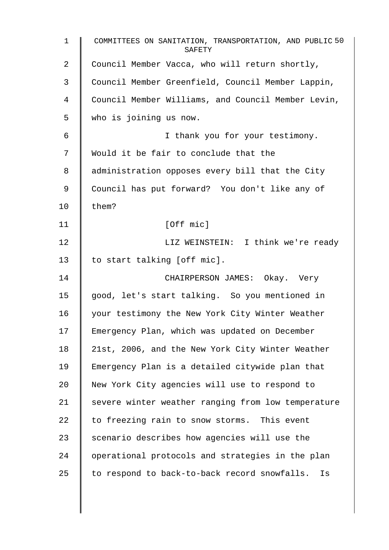| $\mathbf 1$    | COMMITTEES ON SANITATION, TRANSPORTATION, AND PUBLIC 50<br>SAFETY |
|----------------|-------------------------------------------------------------------|
| $\overline{2}$ | Council Member Vacca, who will return shortly,                    |
| 3              | Council Member Greenfield, Council Member Lappin,                 |
| 4              | Council Member Williams, and Council Member Levin,                |
| 5              | who is joining us now.                                            |
| 6              | I thank you for your testimony.                                   |
| 7              | Would it be fair to conclude that the                             |
| 8              | administration opposes every bill that the City                   |
| 9              | Council has put forward? You don't like any of                    |
| 10             | them?                                                             |
| 11             | [Off mic]                                                         |
| 12             | LIZ WEINSTEIN: I think we're ready                                |
| 13             | to start talking [off mic].                                       |
| 14             | CHAIRPERSON JAMES: Okay. Very                                     |
| 15             | good, let's start talking. So you mentioned in                    |
| 16             | your testimony the New York City Winter Weather                   |
| 17             | Emergency Plan, which was updated on December                     |
| 18             | 21st, 2006, and the New York City Winter Weather                  |
| 19             | Emergency Plan is a detailed citywide plan that                   |
| 20             | New York City agencies will use to respond to                     |
| 21             | severe winter weather ranging from low temperature                |
| 22             | to freezing rain to snow storms. This event                       |
| 23             | scenario describes how agencies will use the                      |
| 24             | operational protocols and strategies in the plan                  |
| 25             | to respond to back-to-back record snowfalls.<br>Is                |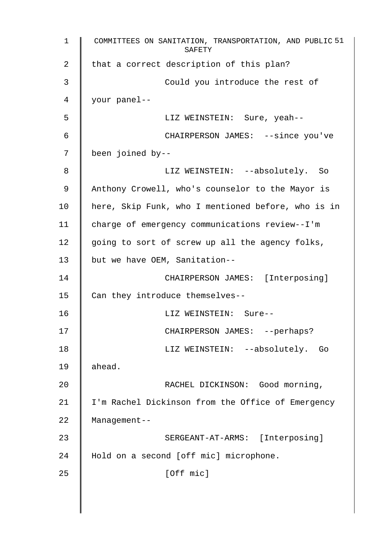1 COMMITTEES ON SANITATION, TRANSPORTATION, AND PUBLIC 51 SAFETY 2 | that a correct description of this plan? 3 **Could** you introduce the rest of 4 your panel-- 5 LIZ WEINSTEIN: Sure, yeah-- 6 CHAIRPERSON JAMES: --since you've 7 been joined by-- 8 LIZ WEINSTEIN: --absolutely. So 9 Anthony Crowell, who's counselor to the Mayor is 10 | here, Skip Funk, who I mentioned before, who is in 11 charge of emergency communications review--I'm 12  $\parallel$  going to sort of screw up all the agency folks, 13 | but we have OEM, Sanitation--14 | CHAIRPERSON JAMES: [Interposing] 15 Can they introduce themselves--16 LIZ WEINSTEIN: Sure-- 17 || CHAIRPERSON JAMES: --perhaps? 18 || LIZ WEINSTEIN: --absolutely. Go 19 ahead. 20 **COOL COOLS IN THE RACHEL DICKINSON:** Good morning, 21 | I'm Rachel Dickinson from the Office of Emergency 22 Management-- 23 | SERGEANT-AT-ARMS: [Interposing] 24 | Hold on a second [off mic] microphone.  $25$  [Off mic]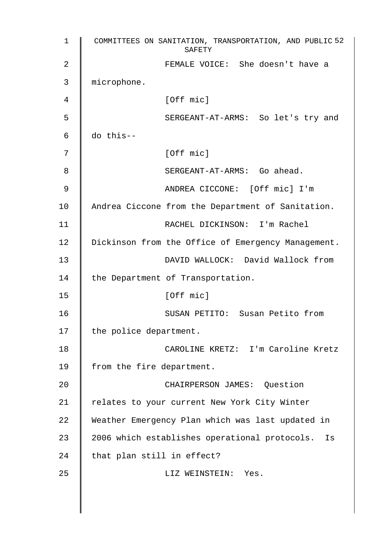| 1  | COMMITTEES ON SANITATION, TRANSPORTATION, AND PUBLIC 52<br>SAFETY |
|----|-------------------------------------------------------------------|
| 2  | FEMALE VOICE: She doesn't have a                                  |
| 3  | microphone.                                                       |
| 4  | [Off mic]                                                         |
| 5  | SERGEANT-AT-ARMS: So let's try and                                |
| 6  | do this--                                                         |
| 7  | [Off mic]                                                         |
| 8  | SERGEANT-AT-ARMS: Go ahead.                                       |
| 9  | ANDREA CICCONE: [Off mic] I'm                                     |
| 10 | Andrea Ciccone from the Department of Sanitation.                 |
| 11 | RACHEL DICKINSON: I'm Rachel                                      |
| 12 | Dickinson from the Office of Emergency Management.                |
| 13 | DAVID WALLOCK: David Wallock from                                 |
| 14 | the Department of Transportation.                                 |
| 15 | [Off mic]                                                         |
| 16 | SUSAN PETITO: Susan Petito from                                   |
| 17 | the police department.                                            |
| 18 | CAROLINE KRETZ: I'm Caroline Kretz                                |
| 19 | from the fire department.                                         |
| 20 | CHAIRPERSON JAMES: Question                                       |
| 21 | relates to your current New York City Winter                      |
| 22 | Weather Emergency Plan which was last updated in                  |
| 23 | 2006 which establishes operational protocols.<br>Is               |
| 24 | that plan still in effect?                                        |
| 25 | LIZ WEINSTEIN: Yes.                                               |
|    |                                                                   |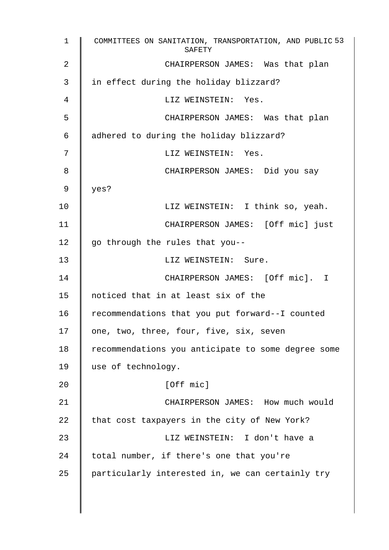1 COMMITTEES ON SANITATION, TRANSPORTATION, AND PUBLIC 53 SAFETY 2 **CHAIRPERSON JAMES:** Was that plan 3 I in effect during the holiday blizzard? 4 LIZ WEINSTEIN: Yes. 5 CHAIRPERSON JAMES: Was that plan 6 | adhered to during the holiday blizzard? 7 || LIZ WEINSTEIN: Yes. 8 CHAIRPERSON JAMES: Did you say 9  $|$  yes? 10 | LIZ WEINSTEIN: I think so, yeah. 11 | CHAIRPERSON JAMES: [Off mic] just 12  $\parallel$  go through the rules that you--13 LIZ WEINSTEIN: Sure. 14 CHAIRPERSON JAMES: [Off mic]. I 15 noticed that in at least six of the 16 Tecommendations that you put forward--I counted 17 | one, two, three, four, five, six, seven 18 | recommendations you anticipate to some degree some 19 use of technology. 20 | [Off mic] 21 **CHAIRPERSON JAMES:** How much would 22  $\parallel$  that cost taxpayers in the city of New York? 23 LIZ WEINSTEIN: I don't have a  $24$  | total number, if there's one that you're  $25$  | particularly interested in, we can certainly try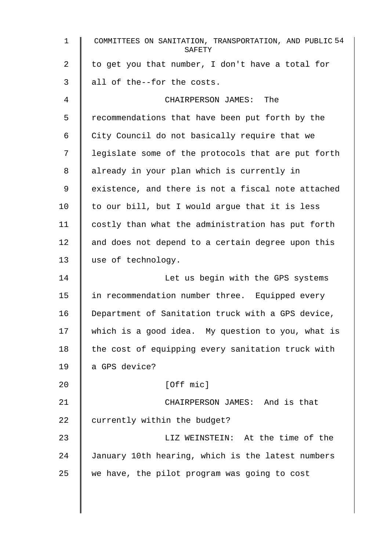| $\mathbf{1}$ | COMMITTEES ON SANITATION, TRANSPORTATION, AND PUBLIC 54<br>SAFETY |
|--------------|-------------------------------------------------------------------|
| 2            | to get you that number, I don't have a total for                  |
| 3            | all of the--for the costs.                                        |
| 4            | CHAIRPERSON JAMES: The                                            |
| 5            | recommendations that have been put forth by the                   |
| 6            | City Council do not basically require that we                     |
| 7            | legislate some of the protocols that are put forth                |
| 8            | already in your plan which is currently in                        |
| 9            | existence, and there is not a fiscal note attached                |
| 10           | to our bill, but I would argue that it is less                    |
| 11           | costly than what the administration has put forth                 |
| 12           | and does not depend to a certain degree upon this                 |
| 13           | use of technology.                                                |
| 14           | Let us begin with the GPS systems                                 |
| 15           | in recommendation number three. Equipped every                    |
| 16           | Department of Sanitation truck with a GPS device,                 |
| 17           | which is a good idea. My question to you, what is                 |
| 18           | the cost of equipping every sanitation truck with                 |
| 19           | a GPS device?                                                     |
| 20           | [Off mic]                                                         |
| 21           | CHAIRPERSON JAMES: And is that                                    |
| 22           | currently within the budget?                                      |
| 23           | LIZ WEINSTEIN: At the time of the                                 |
| 24           | January 10th hearing, which is the latest numbers                 |
| 25           | we have, the pilot program was going to cost                      |
|              |                                                                   |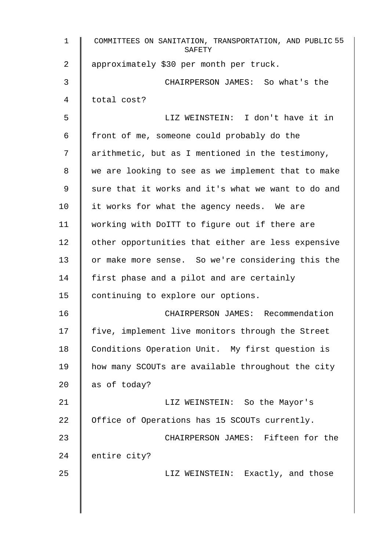| $\mathbf 1$ | COMMITTEES ON SANITATION, TRANSPORTATION, AND PUBLIC 55<br>SAFETY |
|-------------|-------------------------------------------------------------------|
| 2           | approximately \$30 per month per truck.                           |
| 3           | CHAIRPERSON JAMES: So what's the                                  |
| 4           | total cost?                                                       |
| 5           | LIZ WEINSTEIN: I don't have it in                                 |
| 6           | front of me, someone could probably do the                        |
| 7           | arithmetic, but as I mentioned in the testimony,                  |
| 8           | we are looking to see as we implement that to make                |
| 9           | sure that it works and it's what we want to do and                |
| 10          | it works for what the agency needs. We are                        |
| 11          | working with DoITT to figure out if there are                     |
| 12          | other opportunities that either are less expensive                |
| 13          | or make more sense. So we're considering this the                 |
| 14          | first phase and a pilot and are certainly                         |
| 15          | continuing to explore our options.                                |
| 16          | CHAIRPERSON JAMES: Recommendation                                 |
| 17          | five, implement live monitors through the Street                  |
| 18          | Conditions Operation Unit. My first question is                   |
| 19          | how many SCOUTs are available throughout the city                 |
| 20          | as of today?                                                      |
| 21          | LIZ WEINSTEIN: So the Mayor's                                     |
| 22          | Office of Operations has 15 SCOUTs currently.                     |
| 23          | CHAIRPERSON JAMES: Fifteen for the                                |
| 24          | entire city?                                                      |
| 25          | LIZ WEINSTEIN: Exactly, and those                                 |
|             |                                                                   |
|             |                                                                   |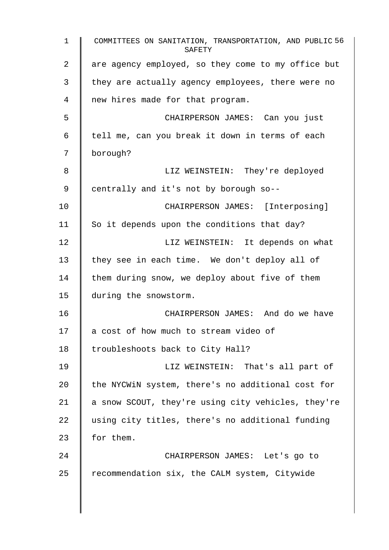1 COMMITTEES ON SANITATION, TRANSPORTATION, AND PUBLIC 56 **SAFETY** 2 are agency employed, so they come to my office but  $3 \parallel$  they are actually agency employees, there were no 4 new hires made for that program. 5 CHAIRPERSON JAMES: Can you just  $6 \parallel$  tell me, can you break it down in terms of each 7 borough? 8 LIZ WEINSTEIN: They're deployed 9 centrally and it's not by borough so--10 | CHAIRPERSON JAMES: [Interposing] 11  $\parallel$  So it depends upon the conditions that day? 12 | LIZ WEINSTEIN: It depends on what 13  $\parallel$  they see in each time. We don't deploy all of 14  $\parallel$  them during snow, we deploy about five of them 15 during the snowstorm. 16 CHAIRPERSON JAMES: And do we have 17 | a cost of how much to stream video of 18 | troubleshoots back to City Hall? 19 LIZ WEINSTEIN: That's all part of 20  $\parallel$  the NYCWiN system, there's no additional cost for 21  $\parallel$  a snow SCOUT, they're using city vehicles, they're 22 using city titles, there's no additional funding 23  $\parallel$  for them. 24 **CHAIRPERSON JAMES:** Let's go to  $25$  recommendation six, the CALM system, Citywide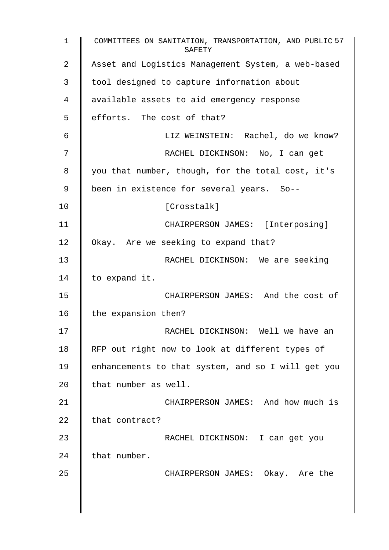1 COMMITTEES ON SANITATION, TRANSPORTATION, AND PUBLIC 57 SAFETY 2 | Asset and Logistics Management System, a web-based 3 | tool designed to capture information about 4 | available assets to aid emergency response 5 efforts. The cost of that? 6 | LIZ WEINSTEIN: Rachel, do we know? 7 || RACHEL DICKINSON: No, I can get 8 | you that number, though, for the total cost, it's 9 | been in existence for several years. So--10 | Crosstalk] 11 | CHAIRPERSON JAMES: [Interposing] 12 | Okay. Are we seeking to expand that? 13 RACHEL DICKINSON: We are seeking 14 | to expand it. 15 CHAIRPERSON JAMES: And the cost of 16  $\parallel$  the expansion then? 17 || RACHEL DICKINSON: Well we have an 18 | RFP out right now to look at different types of 19 | enhancements to that system, and so I will get you 20  $\parallel$  that number as well. 21 | CHAIRPERSON JAMES: And how much is 22  $\parallel$  that contract? 23 RACHEL DICKINSON: I can get you  $24$  that number. 25 CHAIRPERSON JAMES: Okay. Are the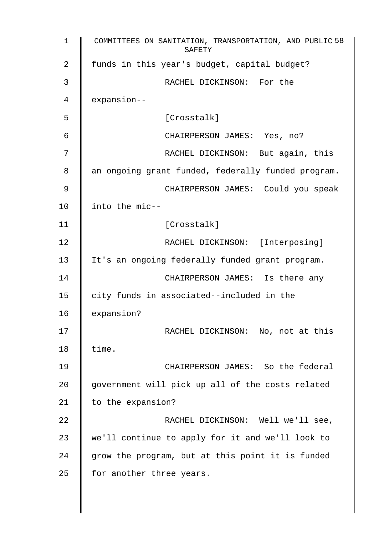| 1  | COMMITTEES ON SANITATION, TRANSPORTATION, AND PUBLIC 58<br>SAFETY |
|----|-------------------------------------------------------------------|
| 2  | funds in this year's budget, capital budget?                      |
| 3  | RACHEL DICKINSON: For the                                         |
| 4  | expansion--                                                       |
| 5  | [Crosstalk]                                                       |
| 6  | CHAIRPERSON JAMES: Yes, no?                                       |
| 7  | RACHEL DICKINSON: But again, this                                 |
| 8  | an ongoing grant funded, federally funded program.                |
| 9  | CHAIRPERSON JAMES: Could you speak                                |
| 10 | into the mic--                                                    |
| 11 | [Crosstalk]                                                       |
| 12 | RACHEL DICKINSON: [Interposing]                                   |
| 13 | It's an ongoing federally funded grant program.                   |
| 14 | CHAIRPERSON JAMES: Is there any                                   |
| 15 | city funds in associated--included in the                         |
| 16 | expansion?                                                        |
| 17 | RACHEL DICKINSON: No, not at this                                 |
| 18 | time.                                                             |
| 19 | CHAIRPERSON JAMES: So the federal                                 |
| 20 | government will pick up all of the costs related                  |
| 21 | to the expansion?                                                 |
| 22 | RACHEL DICKINSON: Well we'll see,                                 |
| 23 | we'll continue to apply for it and we'll look to                  |
| 24 | grow the program, but at this point it is funded                  |
| 25 | for another three years.                                          |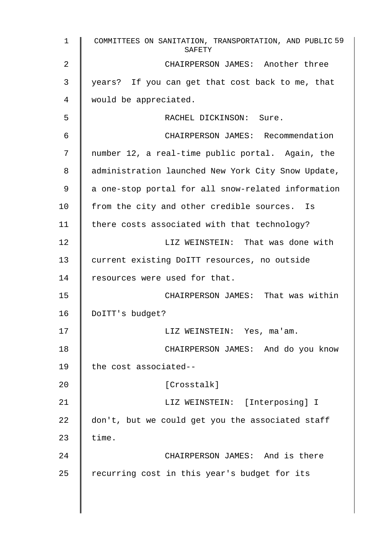| $\mathbf{1}$   | COMMITTEES ON SANITATION, TRANSPORTATION, AND PUBLIC 59<br>SAFETY |
|----------------|-------------------------------------------------------------------|
| $\overline{2}$ | CHAIRPERSON JAMES: Another three                                  |
| 3              | years? If you can get that cost back to me, that                  |
| 4              | would be appreciated.                                             |
| 5              | RACHEL DICKINSON: Sure.                                           |
| 6              | CHAIRPERSON JAMES: Recommendation                                 |
| 7              | number 12, a real-time public portal. Again, the                  |
| 8              | administration launched New York City Snow Update,                |
| 9              | a one-stop portal for all snow-related information                |
| 10             | from the city and other credible sources. Is                      |
| 11             | there costs associated with that technology?                      |
| 12             | LIZ WEINSTEIN: That was done with                                 |
| 13             | current existing DoITT resources, no outside                      |
| 14             | resources were used for that.                                     |
| 15             | CHAIRPERSON JAMES: That was within                                |
| 16             | DoITT's budget?                                                   |
| 17             | LIZ WEINSTEIN: Yes, ma'am.                                        |
| 18             | CHAIRPERSON JAMES: And do you know                                |
| 19             | the cost associated--                                             |
| 20             | [Crosstalk]                                                       |
| 21             | LIZ WEINSTEIN: [Interposing] I                                    |
| 22             | don't, but we could get you the associated staff                  |
| 23             | time.                                                             |
| 24             | CHAIRPERSON JAMES: And is there                                   |
| 25             | recurring cost in this year's budget for its                      |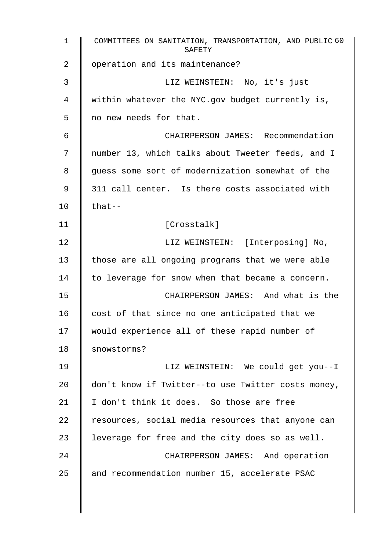| COMMITTEES ON SANITATION, TRANSPORTATION, AND PUBLIC 60<br>SAFETY |
|-------------------------------------------------------------------|
| operation and its maintenance?                                    |
| LIZ WEINSTEIN: No, it's just                                      |
| within whatever the NYC.gov budget currently is,                  |
| no new needs for that.                                            |
| CHAIRPERSON JAMES: Recommendation                                 |
| number 13, which talks about Tweeter feeds, and I                 |
| guess some sort of modernization somewhat of the                  |
| 311 call center. Is there costs associated with                   |
| $that--$                                                          |
| [Crosstalk]                                                       |
| LIZ WEINSTEIN: [Interposing] No,                                  |
| those are all ongoing programs that we were able                  |
| to leverage for snow when that became a concern.                  |
| CHAIRPERSON JAMES: And what is the                                |
| cost of that since no one anticipated that we                     |
| would experience all of these rapid number of                     |
| snowstorms?                                                       |
| LIZ WEINSTEIN: We could get you--I                                |
| don't know if Twitter--to use Twitter costs money,                |
| I don't think it does. So those are free                          |
| resources, social media resources that anyone can                 |
| leverage for free and the city does so as well.                   |
| CHAIRPERSON JAMES: And operation                                  |
| and recommendation number 15, accelerate PSAC                     |
|                                                                   |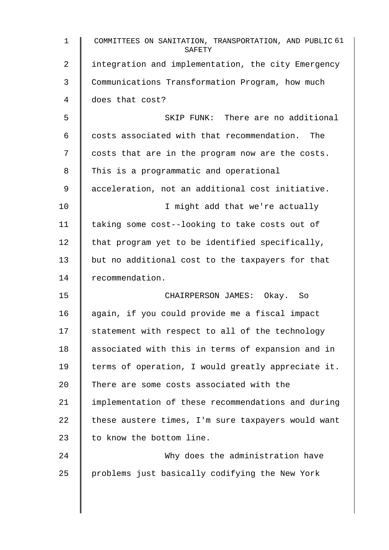| $\mathbf{1}$    | COMMITTEES ON SANITATION, TRANSPORTATION, AND PUBLIC 61<br>SAFETY |
|-----------------|-------------------------------------------------------------------|
| 2               | integration and implementation, the city Emergency                |
| 3               | Communications Transformation Program, how much                   |
| 4               | does that cost?                                                   |
| 5               | SKIP FUNK: There are no additional                                |
| 6               | costs associated with that recommendation. The                    |
| 7               | costs that are in the program now are the costs.                  |
| 8               | This is a programmatic and operational                            |
| 9               | acceleration, not an additional cost initiative.                  |
| 10              | I might add that we're actually                                   |
| 11              | taking some cost--looking to take costs out of                    |
| 12 <sub>1</sub> | that program yet to be identified specifically,                   |
| 13              | but no additional cost to the taxpayers for that                  |
| 14              | recommendation.                                                   |
| 15              | CHAIRPERSON JAMES: Okay. So                                       |
| 16              | again, if you could provide me a fiscal impact                    |
| 17              | statement with respect to all of the technology                   |
| 18              | associated with this in terms of expansion and in                 |
| 19              | terms of operation, I would greatly appreciate it.                |
| 20              | There are some costs associated with the                          |
| 21              | implementation of these recommendations and during                |
| 22              | these austere times, I'm sure taxpayers would want                |
| 23              | to know the bottom line.                                          |
| 24              | Why does the administration have                                  |
| 25              | problems just basically codifying the New York                    |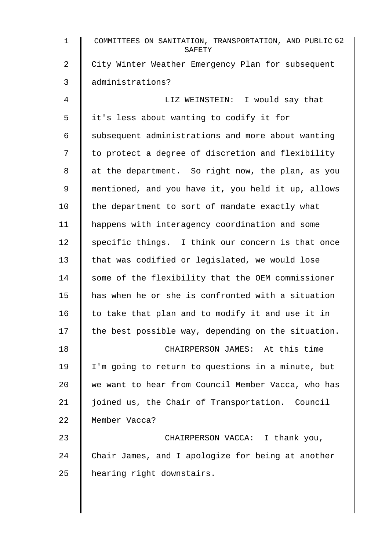| $\mathbf{1}$   | COMMITTEES ON SANITATION, TRANSPORTATION, AND PUBLIC 62<br>SAFETY |
|----------------|-------------------------------------------------------------------|
| $\overline{2}$ | City Winter Weather Emergency Plan for subsequent                 |
| 3              | administrations?                                                  |
| 4              | LIZ WEINSTEIN: I would say that                                   |
| 5              | it's less about wanting to codify it for                          |
| 6              | subsequent administrations and more about wanting                 |
| 7              | to protect a degree of discretion and flexibility                 |
| 8              | at the department. So right now, the plan, as you                 |
| 9              | mentioned, and you have it, you held it up, allows                |
| 10             | the department to sort of mandate exactly what                    |
| 11             | happens with interagency coordination and some                    |
| 12             | specific things. I think our concern is that once                 |
| 13             | that was codified or legislated, we would lose                    |
| 14             | some of the flexibility that the OEM commissioner                 |
| 15             | has when he or she is confronted with a situation                 |
| 16             | to take that plan and to modify it and use it in                  |
| 17             | the best possible way, depending on the situation.                |
| 18             | CHAIRPERSON JAMES: At this time                                   |
| 19             | I'm going to return to questions in a minute, but                 |
| 20             | we want to hear from Council Member Vacca, who has                |
| 21             | joined us, the Chair of Transportation. Council                   |
| 22             | Member Vacca?                                                     |
| 23             | CHAIRPERSON VACCA: I thank you,                                   |
| 24             | Chair James, and I apologize for being at another                 |
| 25             | hearing right downstairs.                                         |
|                |                                                                   |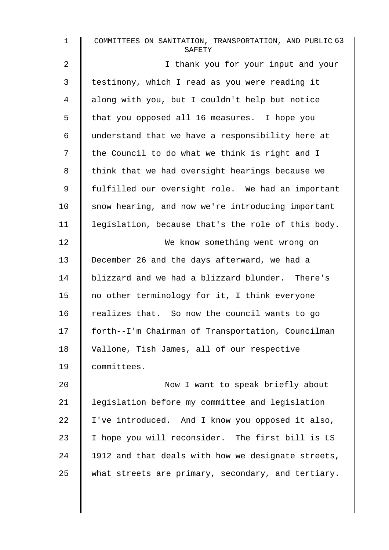| $\mathbf{1}$   | COMMITTEES ON SANITATION, TRANSPORTATION, AND PUBLIC 63<br>SAFETY |
|----------------|-------------------------------------------------------------------|
| $\overline{a}$ | I thank you for your input and your                               |
| 3              | testimony, which I read as you were reading it                    |
| 4              | along with you, but I couldn't help but notice                    |
| 5              | that you opposed all 16 measures. I hope you                      |
| 6              | understand that we have a responsibility here at                  |
| 7              | the Council to do what we think is right and I                    |
| 8              | think that we had oversight hearings because we                   |
| 9              | fulfilled our oversight role. We had an important                 |
| 10             | snow hearing, and now we're introducing important                 |
| 11             | legislation, because that's the role of this body.                |
| 12             | We know something went wrong on                                   |
| 13             | December 26 and the days afterward, we had a                      |
| 14             | blizzard and we had a blizzard blunder. There's                   |
| 15             | no other terminology for it, I think everyone                     |
| 16             | realizes that. So now the council wants to go                     |
| 17             | forth--I'm Chairman of Transportation, Councilman                 |
| 18             | Vallone, Tish James, all of our respective                        |
| 19             | committees.                                                       |
| 20             | Now I want to speak briefly about                                 |
| 21             | legislation before my committee and legislation                   |
| 22             | I've introduced. And I know you opposed it also,                  |
| 23             | I hope you will reconsider. The first bill is LS                  |
| 24             | 1912 and that deals with how we designate streets,                |
| 25             | what streets are primary, secondary, and tertiary.                |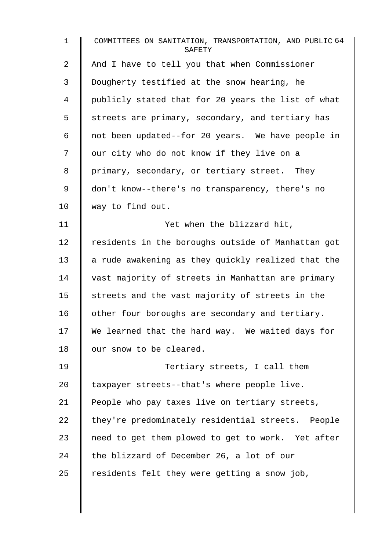| $\mathbf{1}$ | COMMITTEES ON SANITATION, TRANSPORTATION, AND PUBLIC 64<br>SAFETY |
|--------------|-------------------------------------------------------------------|
| 2            | And I have to tell you that when Commissioner                     |
| 3            | Dougherty testified at the snow hearing, he                       |
| 4            | publicly stated that for 20 years the list of what                |
| 5            | streets are primary, secondary, and tertiary has                  |
| 6            | not been updated--for 20 years. We have people in                 |
| 7            | our city who do not know if they live on a                        |
| 8            | primary, secondary, or tertiary street. They                      |
| 9            | don't know--there's no transparency, there's no                   |
| 10           | way to find out.                                                  |
| 11           | Yet when the blizzard hit,                                        |
| 12           | residents in the boroughs outside of Manhattan got                |
| 13           | a rude awakening as they quickly realized that the                |
| 14           | vast majority of streets in Manhattan are primary                 |
| 15           | streets and the vast majority of streets in the                   |
| 16           | other four boroughs are secondary and tertiary.                   |
| 17           | We learned that the hard way. We waited days for                  |
| 18           | our snow to be cleared.                                           |
| 19           | Tertiary streets, I call them                                     |
| 20           | taxpayer streets--that's where people live.                       |
| 21           | People who pay taxes live on tertiary streets,                    |
| 22           | they're predominately residential streets. People                 |
| 23           | need to get them plowed to get to work. Yet after                 |
| 24           | the blizzard of December 26, a lot of our                         |
| 25           | residents felt they were getting a snow job,                      |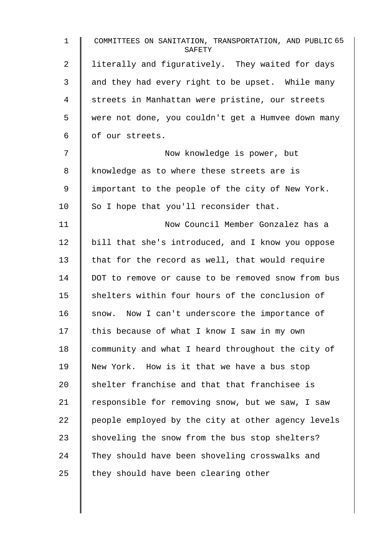| $\mathbf 1$ | COMMITTEES ON SANITATION, TRANSPORTATION, AND PUBLIC 65<br>SAFETY |
|-------------|-------------------------------------------------------------------|
| 2           | literally and figuratively. They waited for days                  |
| 3           | and they had every right to be upset. While many                  |
| 4           | streets in Manhattan were pristine, our streets                   |
| 5           | were not done, you couldn't get a Humvee down many                |
| 6           | of our streets.                                                   |
| 7           | Now knowledge is power, but                                       |
| 8           | knowledge as to where these streets are is                        |
| 9           | important to the people of the city of New York.                  |
| 10          | So I hope that you'll reconsider that.                            |
| 11          | Now Council Member Gonzalez has a                                 |
| 12          | bill that she's introduced, and I know you oppose                 |
| 13          | that for the record as well, that would require                   |
| 14          | DOT to remove or cause to be removed snow from bus                |
| 15          | shelters within four hours of the conclusion of                   |
| 16          | Now I can't underscore the importance of<br>snow.                 |
| 17          | this because of what I know I saw in my own                       |
| 18          | community and what I heard throughout the city of                 |
| 19          | New York. How is it that we have a bus stop                       |
| 20          | shelter franchise and that that franchisee is                     |
| 21          | responsible for removing snow, but we saw, I saw                  |
| 22          | people employed by the city at other agency levels                |
| 23          | shoveling the snow from the bus stop shelters?                    |
| 24          | They should have been shoveling crosswalks and                    |
| 25          | they should have been clearing other                              |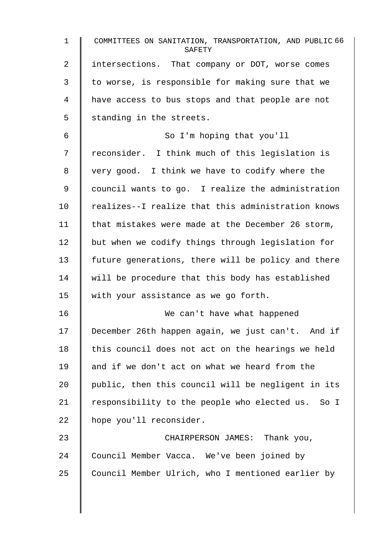| $\mathbf{1}$ | COMMITTEES ON SANITATION, TRANSPORTATION, AND PUBLIC 66<br>SAFETY |
|--------------|-------------------------------------------------------------------|
| 2            | intersections. That company or DOT, worse comes                   |
| 3            | to worse, is responsible for making sure that we                  |
| 4            | have access to bus stops and that people are not                  |
| 5            | standing in the streets.                                          |
| 6            | So I'm hoping that you'll                                         |
| 7            | reconsider. I think much of this legislation is                   |
| 8            | very good. I think we have to codify where the                    |
| 9            | council wants to go. I realize the administration                 |
| 10           | realizes--I realize that this administration knows                |
| 11           | that mistakes were made at the December 26 storm,                 |
| 12           | but when we codify things through legislation for                 |
| 13           | future generations, there will be policy and there                |
| 14           | will be procedure that this body has established                  |
| 15           | with your assistance as we go forth.                              |
| 16           | We can't have what happened                                       |
| 17           | December 26th happen again, we just can't. And if                 |
| 18           | this council does not act on the hearings we held                 |
| 19           | and if we don't act on what we heard from the                     |
| 20           | public, then this council will be negligent in its                |
| 21           | responsibility to the people who elected us. So I                 |
| 22           | hope you'll reconsider.                                           |
| 23           | CHAIRPERSON JAMES: Thank you,                                     |
| 24           | Council Member Vacca. We've been joined by                        |
| 25           | Council Member Ulrich, who I mentioned earlier by                 |
|              |                                                                   |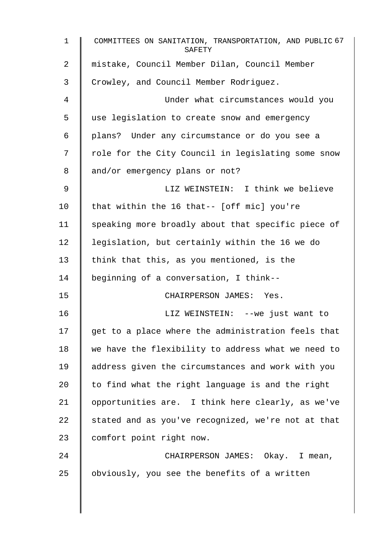| $\mathbf 1$    | COMMITTEES ON SANITATION, TRANSPORTATION, AND PUBLIC 67<br>SAFETY |
|----------------|-------------------------------------------------------------------|
| $\overline{2}$ | mistake, Council Member Dilan, Council Member                     |
| 3              | Crowley, and Council Member Rodriguez.                            |
| 4              | Under what circumstances would you                                |
| 5              | use legislation to create snow and emergency                      |
| 6              | plans? Under any circumstance or do you see a                     |
| 7              | role for the City Council in legislating some snow                |
| 8              | and/or emergency plans or not?                                    |
| 9              | LIZ WEINSTEIN: I think we believe                                 |
| 10             | that within the 16 that-- [off mic] you're                        |
| 11             | speaking more broadly about that specific piece of                |
| 12             | legislation, but certainly within the 16 we do                    |
| 13             | think that this, as you mentioned, is the                         |
| 14             | beginning of a conversation, I think--                            |
| 15             | CHAIRPERSON JAMES: Yes.                                           |
| 16             | LIZ WEINSTEIN: --we just want to                                  |
| 17             | get to a place where the administration feels that                |
| 18             | we have the flexibility to address what we need to                |
| 19             | address given the circumstances and work with you                 |
| 20             | to find what the right language is and the right                  |
| 21             | opportunities are. I think here clearly, as we've                 |
| 22             | stated and as you've recognized, we're not at that                |
| 23             | comfort point right now.                                          |
| 24             | CHAIRPERSON JAMES: Okay. I mean,                                  |
| 25             | obviously, you see the benefits of a written                      |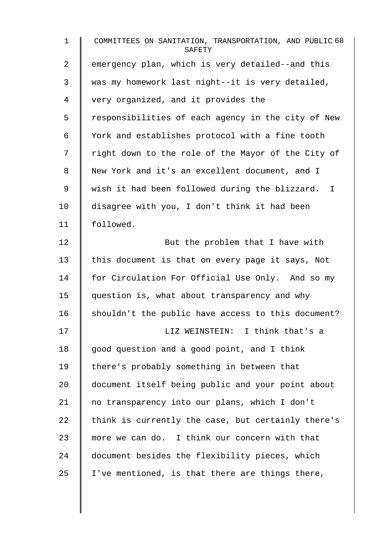| $\mathbf{1}$ | COMMITTEES ON SANITATION, TRANSPORTATION, AND PUBLIC 68<br>SAFETY |
|--------------|-------------------------------------------------------------------|
| 2            | emergency plan, which is very detailed--and this                  |
| 3            | was my homework last night--it is very detailed,                  |
| 4            | very organized, and it provides the                               |
| 5            | responsibilities of each agency in the city of New                |
| $\epsilon$   | York and establishes protocol with a fine tooth                   |
| 7            | right down to the role of the Mayor of the City of                |
| 8            | New York and it's an excellent document, and I                    |
| $\mathsf 9$  | wish it had been followed during the blizzard. I                  |
| 10           | disagree with you, I don't think it had been                      |
| 11           | followed.                                                         |
| 12           | But the problem that I have with                                  |
| 13           | this document is that on every page it says, Not                  |
| 14           | for Circulation For Official Use Only. And so my                  |
| 15           | question is, what about transparency and why                      |
| 16           | shouldn't the public have access to this document?                |
| 17           | LIZ WEINSTEIN: I think that's a                                   |
| 18           | good question and a good point, and I think                       |
| 19           | there's probably something in between that                        |
| 20           | document itself being public and your point about                 |
| 21           | no transparency into our plans, which I don't                     |
| 22           | think is currently the case, but certainly there's                |
| 23           | more we can do. I think our concern with that                     |
| 24           | document besides the flexibility pieces, which                    |
| 25           | I've mentioned, is that there are things there,                   |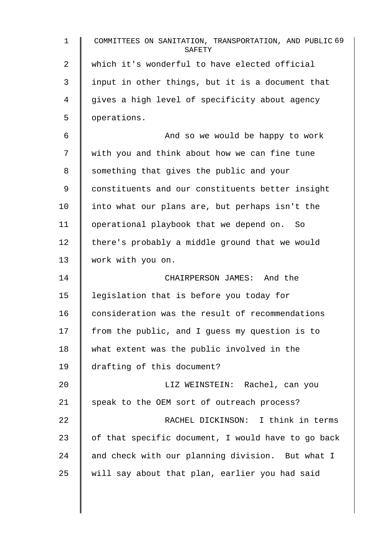| 1  | COMMITTEES ON SANITATION, TRANSPORTATION, AND PUBLIC 69<br>SAFETY |
|----|-------------------------------------------------------------------|
| 2  | which it's wonderful to have elected official                     |
| 3  | input in other things, but it is a document that                  |
| 4  | gives a high level of specificity about agency                    |
| 5  | operations.                                                       |
| 6  | And so we would be happy to work                                  |
| 7  | with you and think about how we can fine tune                     |
| 8  | something that gives the public and your                          |
| 9  | constituents and our constituents better insight                  |
| 10 | into what our plans are, but perhaps isn't the                    |
| 11 | operational playbook that we depend on. So                        |
| 12 | there's probably a middle ground that we would                    |
| 13 | work with you on.                                                 |
| 14 | CHAIRPERSON JAMES: And the                                        |
| 15 | legislation that is before you today for                          |
| 16 | consideration was the result of recommendations                   |
| 17 | from the public, and I guess my question is to                    |
| 18 | what extent was the public involved in the                        |
| 19 | drafting of this document?                                        |
| 20 | LIZ WEINSTEIN: Rachel, can you                                    |
| 21 | speak to the OEM sort of outreach process?                        |
| 22 | RACHEL DICKINSON: I think in terms                                |
| 23 | of that specific document, I would have to go back                |
| 24 | and check with our planning division. But what I                  |
| 25 | will say about that plan, earlier you had said                    |
|    |                                                                   |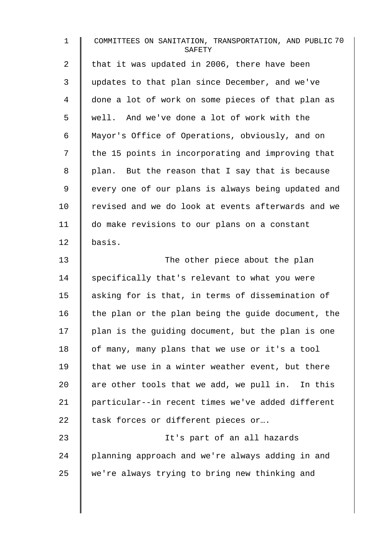| $\mathbf{1}$   | COMMITTEES ON SANITATION, TRANSPORTATION, AND PUBLIC 70<br>SAFETY |
|----------------|-------------------------------------------------------------------|
| 2              | that it was updated in 2006, there have been                      |
| 3              | updates to that plan since December, and we've                    |
| $\overline{4}$ | done a lot of work on some pieces of that plan as                 |
| 5              | well. And we've done a lot of work with the                       |
| 6              | Mayor's Office of Operations, obviously, and on                   |
| 7              | the 15 points in incorporating and improving that                 |
| 8              | plan. But the reason that I say that is because                   |
| 9              | every one of our plans is always being updated and                |
| 10             | revised and we do look at events afterwards and we                |
| 11             | do make revisions to our plans on a constant                      |
| 12             | basis.                                                            |
| 13             | The other piece about the plan                                    |
| 14             | specifically that's relevant to what you were                     |
| 15             | asking for is that, in terms of dissemination of                  |
| 16             | the plan or the plan being the guide document, the                |
| 17             | plan is the guiding document, but the plan is one                 |
| 18             | of many, many plans that we use or it's a tool                    |
| 19             | that we use in a winter weather event, but there                  |
| 20             | are other tools that we add, we pull in. In this                  |
| 21             | particular--in recent times we've added different                 |
| 22             | task forces or different pieces or                                |
| 23             | It's part of an all hazards                                       |
| 24             | planning approach and we're always adding in and                  |
| 25             | we're always trying to bring new thinking and                     |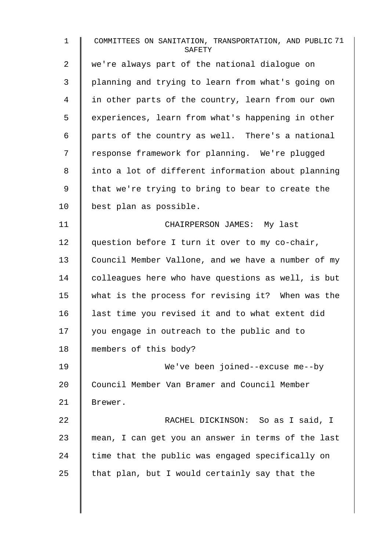1 COMMITTEES ON SANITATION, TRANSPORTATION, AND PUBLIC 71 **SAFETY** 2 we're always part of the national dialoque on 3 planning and trying to learn from what's going on 4 | in other parts of the country, learn from our own 5 | experiences, learn from what's happening in other 6 | parts of the country as well. There's a national 7 | response framework for planning. We're plugged 8 || into a lot of different information about planning 9  $\parallel$  that we're trying to bring to bear to create the 10 | best plan as possible. 11 | CHAIRPERSON JAMES: My last 12 | question before I turn it over to my co-chair, 13 Council Member Vallone, and we have a number of my 14 | colleagues here who have questions as well, is but 15 what is the process for revising it? When was the 16 last time you revised it and to what extent did 17 you engage in outreach to the public and to 18 members of this body? 19 We've been joined--excuse me--by 20 Council Member Van Bramer and Council Member 21 Brewer. 22 **CO** RACHEL DICKINSON: So as I said, I 23 mean, I can get you an answer in terms of the last  $24$  time that the public was engaged specifically on 25  $\parallel$  that plan, but I would certainly say that the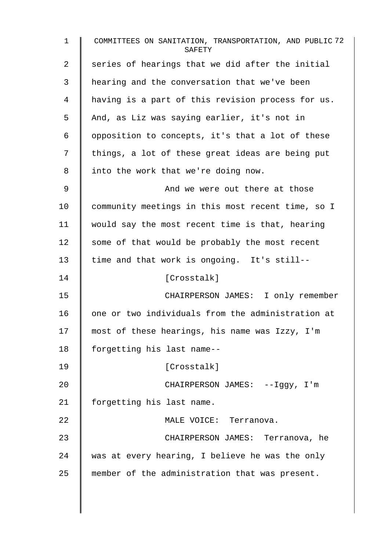1 COMMITTEES ON SANITATION, TRANSPORTATION, AND PUBLIC 72 **SAFETY**  $2 \parallel$  series of hearings that we did after the initial 3 hearing and the conversation that we've been 4 having is a part of this revision process for us. 5 And, as Liz was saying earlier, it's not in 6 | opposition to concepts, it's that a lot of these  $7 \parallel$  things, a lot of these great ideas are being put 8 | into the work that we're doing now. 9 And we were out there at those 10 Community meetings in this most recent time, so I 11 would say the most recent time is that, hearing 12  $\parallel$  some of that would be probably the most recent  $13$  time and that work is ongoing. It's still--14 | [Crosstalk] 15 CHAIRPERSON JAMES: I only remember 16 | one or two individuals from the administration at 17 | most of these hearings, his name was Izzy, I'm 18 | forgetting his last name--19 [Crosstalk] 20 | CHAIRPERSON JAMES: --Iggy, I'm 21 | forgetting his last name. 22 MALE VOICE: Terranova. 23 CHAIRPERSON JAMES: Terranova, he 24 was at every hearing, I believe he was the only 25 member of the administration that was present.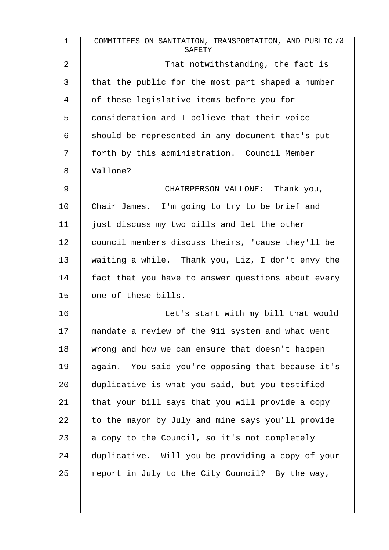| $\mathbf 1$ | COMMITTEES ON SANITATION, TRANSPORTATION, AND PUBLIC 73<br>SAFETY |
|-------------|-------------------------------------------------------------------|
| 2           | That notwithstanding, the fact is                                 |
| 3           | that the public for the most part shaped a number                 |
| 4           | of these legislative items before you for                         |
| 5           | consideration and I believe that their voice                      |
| 6           | should be represented in any document that's put                  |
| 7           | forth by this administration. Council Member                      |
| 8           | Vallone?                                                          |
| 9           | CHAIRPERSON VALLONE: Thank you,                                   |
| 10          | Chair James. I'm going to try to be brief and                     |
| 11          | just discuss my two bills and let the other                       |
| 12          | council members discuss theirs, 'cause they'll be                 |
| 13          | waiting a while. Thank you, Liz, I don't envy the                 |
| 14          | fact that you have to answer questions about every                |
| 15          | one of these bills.                                               |
| 16          | Let's start with my bill that would                               |
| 17          | mandate a review of the 911 system and what went                  |
| 18          | wrong and how we can ensure that doesn't happen                   |
| 19          | again. You said you're opposing that because it's                 |
| 20          | duplicative is what you said, but you testified                   |
| 21          | that your bill says that you will provide a copy                  |
| 22          | to the mayor by July and mine says you'll provide                 |
| 23          | a copy to the Council, so it's not completely                     |
| 24          | duplicative. Will you be providing a copy of your                 |
| 25          | report in July to the City Council? By the way,                   |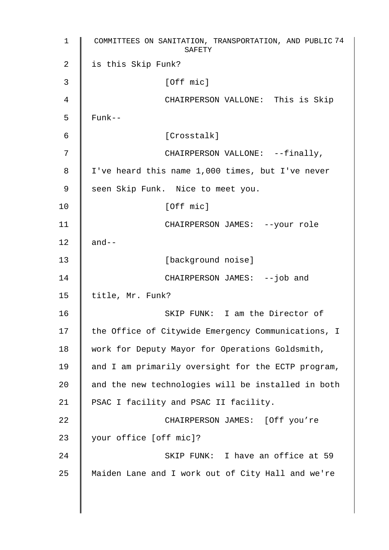1 COMMITTEES ON SANITATION, TRANSPORTATION, AND PUBLIC 74 SAFETY 2 | is this Skip Funk?  $3 \parallel$  [Off mic] 4 CHAIRPERSON VALLONE: This is Skip  $5 \parallel$  Funk--6 [Crosstalk] 7 || CHAIRPERSON VALLONE: --finally, 8 | I've heard this name 1,000 times, but I've never 9 | seen Skip Funk. Nice to meet you. 10 | **IOFF** micl 11 | CHAIRPERSON JAMES: --your role 12  $\parallel$  and--13 | [background noise] 14 CHAIRPERSON JAMES: --job and 15 | title, Mr. Funk? 16 **SKIP FUNK:** I am the Director of 17 | the Office of Citywide Emergency Communications, I 18 | work for Deputy Mayor for Operations Goldsmith, 19 | and I am primarily oversight for the ECTP program, 20 and the new technologies will be installed in both 21 | PSAC I facility and PSAC II facility. 22 | CHAIRPERSON JAMES: [Off you're 23 | your office [off mic]? 24 | SKIP FUNK: I have an office at 59 25 Maiden Lane and I work out of City Hall and we're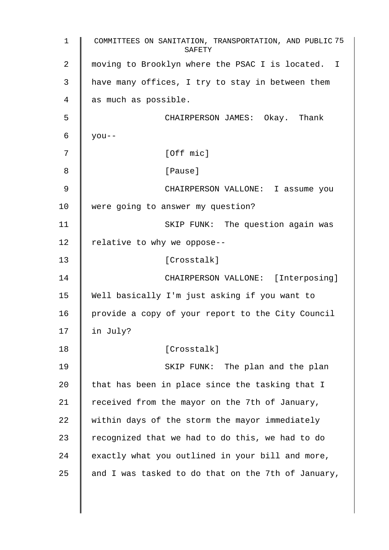1 COMMITTEES ON SANITATION, TRANSPORTATION, AND PUBLIC 75 SAFETY 2 | moving to Brooklyn where the PSAC I is located. I 3 have many offices, I try to stay in between them 4 as much as possible. 5 CHAIRPERSON JAMES: Okay. Thank  $6 \mid$  you--7 | [Off mic] 8 | Pause] 9 CHAIRPERSON VALLONE: I assume you 10 Were going to answer my question? 11 | SKIP FUNK: The question again was 12  $\parallel$  relative to why we oppose--13 | Crosstalk] 14 CHAIRPERSON VALLONE: [Interposing] 15 Well basically I'm just asking if you want to 16 | provide a copy of your report to the City Council  $17$  | in July? 18 | [Crosstalk] 19 **I** SKIP FUNK: The plan and the plan 20  $\parallel$  that has been in place since the tasking that I 21  $\parallel$  received from the mayor on the 7th of January,  $22$  within days of the storm the mayor immediately 23  $\parallel$  recognized that we had to do this, we had to do  $24$  exactly what you outlined in your bill and more, 25  $\parallel$  and I was tasked to do that on the 7th of January,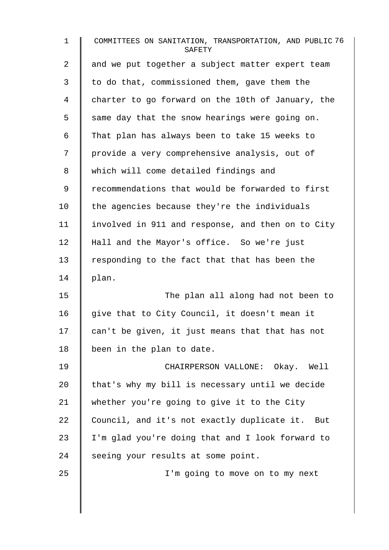| $\mathbf 1$    | COMMITTEES ON SANITATION, TRANSPORTATION, AND PUBLIC 76<br>SAFETY |
|----------------|-------------------------------------------------------------------|
| $\overline{2}$ | and we put together a subject matter expert team                  |
| 3              | to do that, commissioned them, gave them the                      |
| $\overline{4}$ | charter to go forward on the 10th of January, the                 |
| 5              | same day that the snow hearings were going on.                    |
| 6              | That plan has always been to take 15 weeks to                     |
| 7              | provide a very comprehensive analysis, out of                     |
| 8              | which will come detailed findings and                             |
| 9              | recommendations that would be forwarded to first                  |
| 10             | the agencies because they're the individuals                      |
| 11             | involved in 911 and response, and then on to City                 |
| 12             | Hall and the Mayor's office. So we're just                        |
| 13             | responding to the fact that that has been the                     |
| 14             | plan.                                                             |
| 15             | The plan all along had not been to                                |
| 16             | give that to City Council, it doesn't mean it                     |
| 17             | can't be given, it just means that that has not                   |
| 18             | been in the plan to date.                                         |
| 19             | CHAIRPERSON VALLONE: Okay. Well                                   |
| $20 \,$        | that's why my bill is necessary until we decide                   |
| 21             | whether you're going to give it to the City                       |
| 22             | Council, and it's not exactly duplicate it. But                   |
| 23             | I'm glad you're doing that and I look forward to                  |
| 24             | seeing your results at some point.                                |
| 25             | I'm going to move on to my next                                   |
|                |                                                                   |

 $\overline{\phantom{a}}$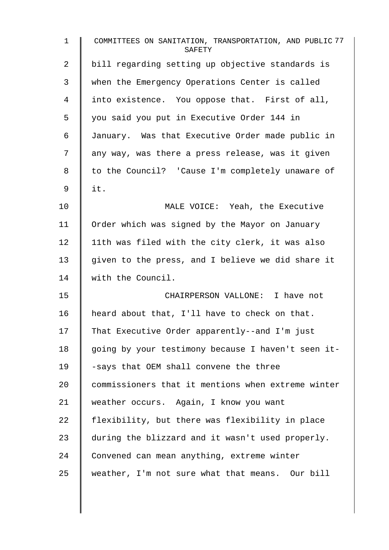| $\mathbf 1$ | COMMITTEES ON SANITATION, TRANSPORTATION, AND PUBLIC 77<br>SAFETY |
|-------------|-------------------------------------------------------------------|
| 2           | bill regarding setting up objective standards is                  |
| 3           | when the Emergency Operations Center is called                    |
| 4           | into existence. You oppose that. First of all,                    |
| 5           | you said you put in Executive Order 144 in                        |
| 6           | January. Was that Executive Order made public in                  |
| 7           | any way, was there a press release, was it given                  |
| 8           | to the Council? 'Cause I'm completely unaware of                  |
| 9           | it.                                                               |
| 10          | MALE VOICE: Yeah, the Executive                                   |
| 11          | Order which was signed by the Mayor on January                    |
| 12          | 11th was filed with the city clerk, it was also                   |
| 13          | given to the press, and I believe we did share it                 |
| 14          | with the Council.                                                 |
| 15          | CHAIRPERSON VALLONE: I have not                                   |
| 16          | heard about that, I'll have to check on that.                     |
| 17          | That Executive Order apparently--and I'm just                     |
| 18          | going by your testimony because I haven't seen it-                |
| 19          | -says that OEM shall convene the three                            |
| 20          | commissioners that it mentions when extreme winter                |
| 21          | weather occurs. Again, I know you want                            |
| 22          | flexibility, but there was flexibility in place                   |
| 23          | during the blizzard and it wasn't used properly.                  |
| 24          | Convened can mean anything, extreme winter                        |
| 25          | weather, I'm not sure what that means. Our bill                   |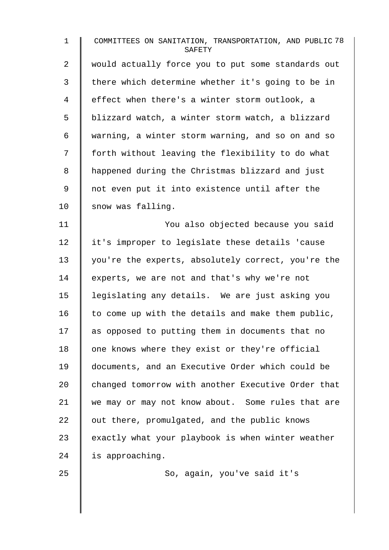1 COMMITTEES ON SANITATION, TRANSPORTATION, AND PUBLIC 78 **SAFETY** 2 | would actually force you to put some standards out 3 | there which determine whether it's going to be in 4 | effect when there's a winter storm outlook, a 5 | blizzard watch, a winter storm watch, a blizzard 6 warning, a winter storm warning, and so on and so 7 | forth without leaving the flexibility to do what 8 | happened during the Christmas blizzard and just 9 || not even put it into existence until after the 10 snow was falling. 11 You also objected because you said 12 it's improper to legislate these details 'cause 13 you're the experts, absolutely correct, you're the 14 experts, we are not and that's why we're not 15 | legislating any details. We are just asking you 16  $\parallel$  to come up with the details and make them public,  $17$  as opposed to putting them in documents that no 18  $\parallel$  one knows where they exist or they're official 19 documents, and an Executive Order which could be 20 changed tomorrow with another Executive Order that 21 we may or may not know about. Some rules that are 22  $\parallel$  out there, promulgated, and the public knows  $23$  exactly what your playbook is when winter weather 24 | is approaching.

25 | So, again, you've said it's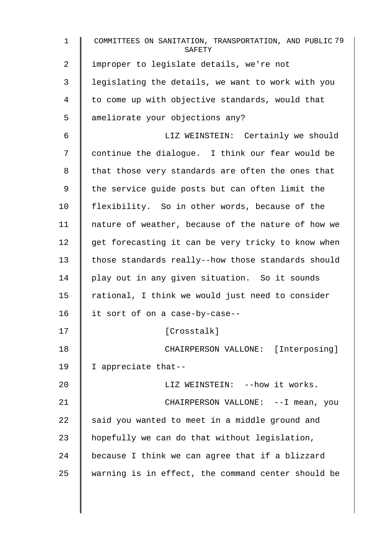| $\mathbf{1}$   | COMMITTEES ON SANITATION, TRANSPORTATION, AND PUBLIC 79<br>SAFETY |
|----------------|-------------------------------------------------------------------|
| $\overline{2}$ | improper to legislate details, we're not                          |
| 3              | legislating the details, we want to work with you                 |
| 4              | to come up with objective standards, would that                   |
| 5              | ameliorate your objections any?                                   |
| 6              | LIZ WEINSTEIN: Certainly we should                                |
| 7              | continue the dialogue. I think our fear would be                  |
| 8              | that those very standards are often the ones that                 |
| 9              | the service guide posts but can often limit the                   |
| 10             | flexibility. So in other words, because of the                    |
| 11             | nature of weather, because of the nature of how we                |
| 12             | get forecasting it can be very tricky to know when                |
| 13             | those standards really--how those standards should                |
| 14             | play out in any given situation. So it sounds                     |
| 15             | rational, I think we would just need to consider                  |
| 16             | it sort of on a case-by-case--                                    |
| 17             | [Crosstalk]                                                       |
| 18             | CHAIRPERSON VALLONE: [Interposing]                                |
| 19             | I appreciate that--                                               |
| 20             | LIZ WEINSTEIN: -- how it works.                                   |
| 21             | CHAIRPERSON VALLONE: -- I mean, you                               |
| 22             | said you wanted to meet in a middle ground and                    |
| 23             | hopefully we can do that without legislation,                     |
| 24             | because I think we can agree that if a blizzard                   |
| 25             | warning is in effect, the command center should be                |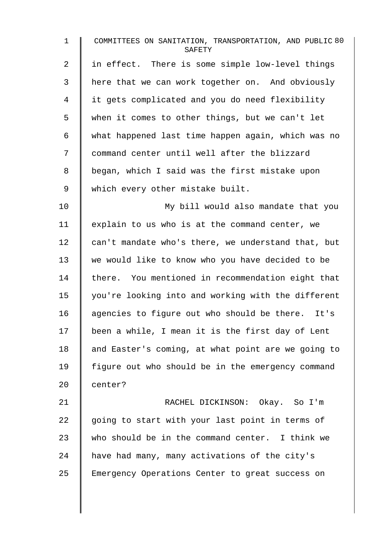1 COMMITTEES ON SANITATION, TRANSPORTATION, AND PUBLIC 80 **SAFETY** 2 | in effect. There is some simple low-level things 3 | here that we can work together on. And obviously 4 I it gets complicated and you do need flexibility 5 when it comes to other things, but we can't let 6 what happened last time happen again, which was no 7 | command center until well after the blizzard 8 | began, which I said was the first mistake upon 9 | which every other mistake built. 10 | My bill would also mandate that you 11 | explain to us who is at the command center, we 12  $\parallel$  can't mandate who's there, we understand that, but 13 we would like to know who you have decided to be 14 there. You mentioned in recommendation eight that 15 you're looking into and working with the different 16 agencies to figure out who should be there. It's 17 been a while, I mean it is the first day of Lent 18 and Easter's coming, at what point are we going to 19 figure out who should be in the emergency command 20 center? 21 | RACHEL DICKINSON: Okay. So I'm 22  $\parallel$  going to start with your last point in terms of 23 who should be in the command center. I think we 24 have had many, many activations of the city's

25 Emergency Operations Center to great success on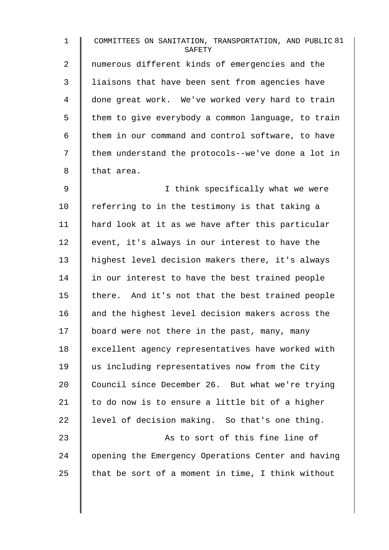| $\mathbf 1$ | COMMITTEES ON SANITATION, TRANSPORTATION, AND PUBLIC 81<br>SAFETY |
|-------------|-------------------------------------------------------------------|
| 2           | numerous different kinds of emergencies and the                   |
| 3           | liaisons that have been sent from agencies have                   |
| 4           | done great work. We've worked very hard to train                  |
| 5           | them to give everybody a common language, to train                |
| 6           | them in our command and control software, to have                 |
| 7           | them understand the protocols--we've done a lot in                |
| 8           | that area.                                                        |
| $\mathsf 9$ | I think specifically what we were                                 |
| 10          | referring to in the testimony is that taking a                    |
| 11          | hard look at it as we have after this particular                  |
| 12          | event, it's always in our interest to have the                    |
| 13          | highest level decision makers there, it's always                  |
| 14          | in our interest to have the best trained people                   |
| 15          | there. And it's not that the best trained people                  |
| 16          | and the highest level decision makers across the                  |
| 17          | board were not there in the past, many, many                      |
| 18          | excellent agency representatives have worked with                 |
| 19          | us including representatives now from the City                    |
| 20          | Council since December 26. But what we're trying                  |
| 21          | to do now is to ensure a little bit of a higher                   |
| 22          | level of decision making. So that's one thing.                    |
| 23          | As to sort of this fine line of                                   |
| 24          | opening the Emergency Operations Center and having                |
| 25          | that be sort of a moment in time, I think without                 |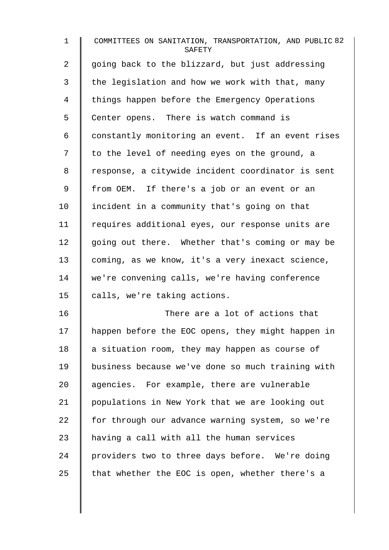1 COMMITTEES ON SANITATION, TRANSPORTATION, AND PUBLIC 82 **SAFETY** 2  $\parallel$  going back to the blizzard, but just addressing  $3 \parallel$  the legislation and how we work with that, many 4 things happen before the Emergency Operations 5 | Center opens. There is watch command is 6 constantly monitoring an event. If an event rises  $7 \parallel$  to the level of needing eyes on the ground, a 8 | response, a citywide incident coordinator is sent 9 | from OEM. If there's a job or an event or an 10 | incident in a community that's going on that 11 | requires additional eyes, our response units are  $12$  going out there. Whether that's coming or may be 13 coming, as we know, it's a very inexact science, 14 we're convening calls, we're having conference 15  $\parallel$  calls, we're taking actions. 16 There are a lot of actions that 17 | happen before the EOC opens, they might happen in 18  $\parallel$  a situation room, they may happen as course of 19 business because we've done so much training with 20 aqencies. For example, there are vulnerable 21 populations in New York that we are looking out

 for through our advance warning system, so we're | having a call with all the human services 24 providers two to three days before. We're doing  $\parallel$  that whether the EOC is open, whether there's a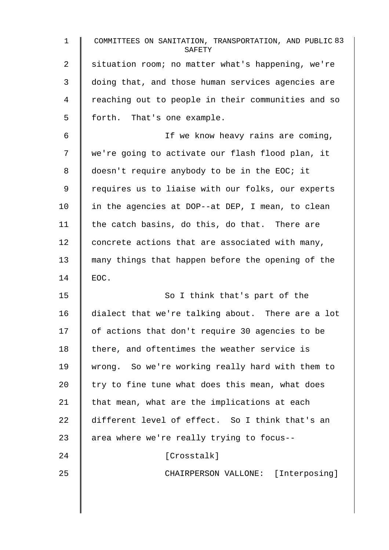1 COMMITTEES ON SANITATION, TRANSPORTATION, AND PUBLIC 83 **SAFETY** 2 Situation room; no matter what's happening, we're 3 doing that, and those human services agencies are 4 T reaching out to people in their communities and so 5 | forth. That's one example. 6 | If we know heavy rains are coming, 7 | we're going to activate our flash flood plan, it 8 doesn't require anybody to be in the EOC; it 9 | requires us to liaise with our folks, our experts 10 | in the agencies at DOP--at DEP, I mean, to clean 11  $\parallel$  the catch basins, do this, do that. There are 12 concrete actions that are associated with many, 13 many things that happen before the opening of the  $14 \parallel$  EOC. 15 | So I think that's part of the 16 dialect that we're talking about. There are a lot 17 | of actions that don't require 30 agencies to be  $18$  | there, and oftentimes the weather service is 19 wrong. So we're working really hard with them to 20  $\parallel$  try to fine tune what does this mean, what does 21  $\parallel$  that mean, what are the implications at each 22 different level of effect. So I think that's an 23  $\parallel$  area where we're really trying to focus--24 | Crosstalk] 25 || CHAIRPERSON VALLONE: [Interposing]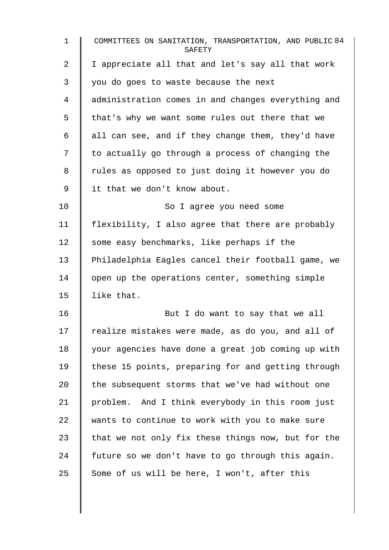| $\mathbf{1}$ | COMMITTEES ON SANITATION, TRANSPORTATION, AND PUBLIC 84<br>SAFETY |
|--------------|-------------------------------------------------------------------|
| 2            | I appreciate all that and let's say all that work                 |
| 3            | you do goes to waste because the next                             |
| 4            | administration comes in and changes everything and                |
| 5            | that's why we want some rules out there that we                   |
| 6            | all can see, and if they change them, they'd have                 |
| 7            | to actually go through a process of changing the                  |
| 8            | rules as opposed to just doing it however you do                  |
| 9            | it that we don't know about.                                      |
| 10           | So I agree you need some                                          |
| 11           | flexibility, I also agree that there are probably                 |
| 12           | some easy benchmarks, like perhaps if the                         |
| 13           | Philadelphia Eagles cancel their football game, we                |
| 14           | open up the operations center, something simple                   |
| 15           | like that.                                                        |
| 16           | But I do want to say that we all                                  |
| 17           | realize mistakes were made, as do you, and all of                 |
| 18           | your agencies have done a great job coming up with                |
| 19           | these 15 points, preparing for and getting through                |
| 20           | the subsequent storms that we've had without one                  |
| 21           | problem. And I think everybody in this room just                  |
| 22           | wants to continue to work with you to make sure                   |
| 23           | that we not only fix these things now, but for the                |
| 24           | future so we don't have to go through this again.                 |
| 25           | Some of us will be here, I won't, after this                      |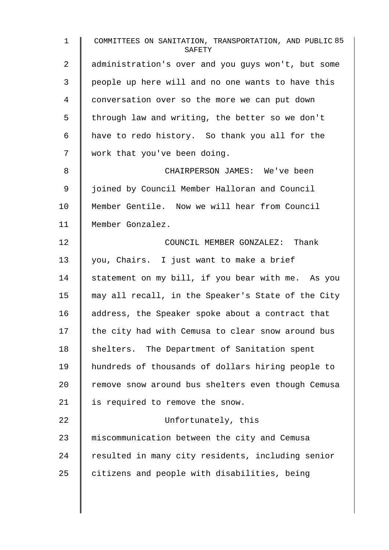| $\mathbf{1}$   | COMMITTEES ON SANITATION, TRANSPORTATION, AND PUBLIC 85<br>SAFETY |
|----------------|-------------------------------------------------------------------|
| $\overline{2}$ | administration's over and you guys won't, but some                |
| 3              | people up here will and no one wants to have this                 |
| 4              | conversation over so the more we can put down                     |
| 5              | through law and writing, the better so we don't                   |
| 6              | have to redo history. So thank you all for the                    |
| 7              | work that you've been doing.                                      |
| 8              | CHAIRPERSON JAMES: We've been                                     |
| 9              | joined by Council Member Halloran and Council                     |
| $10 \,$        | Member Gentile. Now we will hear from Council                     |
| 11             | Member Gonzalez.                                                  |
| 12             | COUNCIL MEMBER GONZALEZ: Thank                                    |
| 13             | you, Chairs. I just want to make a brief                          |
| 14             | statement on my bill, if you bear with me. As you                 |
| 15             | may all recall, in the Speaker's State of the City                |
| 16             | address, the Speaker spoke about a contract that                  |
| 17             | the city had with Cemusa to clear snow around bus                 |
| 18             | shelters. The Department of Sanitation spent                      |
| 19             | hundreds of thousands of dollars hiring people to                 |
| 20             | remove snow around bus shelters even though Cemusa                |
| 21             | is required to remove the snow.                                   |
| 22             | Unfortunately, this                                               |
| 23             | miscommunication between the city and Cemusa                      |
| 24             | resulted in many city residents, including senior                 |
| 25             | citizens and people with disabilities, being                      |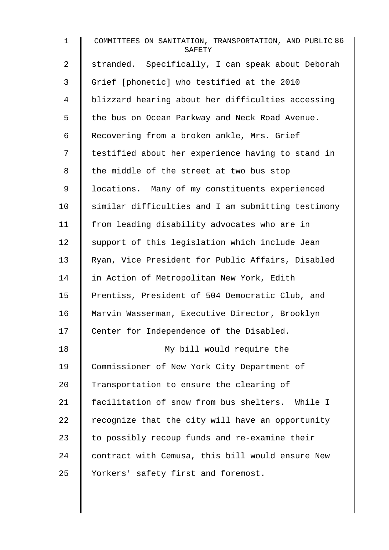1 COMMITTEES ON SANITATION, TRANSPORTATION, AND PUBLIC 86 **SAFETY** 2 | stranded. Specifically, I can speak about Deborah 3 Grief [phonetic] who testified at the 2010 4 blizzard hearing about her difficulties accessing 5 | the bus on Ocean Parkway and Neck Road Avenue. 6 | Recovering from a broken ankle, Mrs. Grief 7 | testified about her experience having to stand in 8 | the middle of the street at two bus stop 9 | locations. Many of my constituents experienced 10 Similar difficulties and I am submitting testimony 11 | from leading disability advocates who are in  $12$  support of this legislation which include Jean 13 Ryan, Vice President for Public Affairs, Disabled 14 In Action of Metropolitan New York, Edith 15 | Prentiss, President of 504 Democratic Club, and 16 | Marvin Wasserman, Executive Director, Brooklyn 17 | Center for Independence of the Disabled. 18 My bill would require the 19 Commissioner of New York City Department of 20 Transportation to ensure the clearing of 21 | facilitation of snow from bus shelters. While I 22  $\parallel$  recognize that the city will have an opportunity 23  $\parallel$  to possibly recoup funds and re-examine their 24 contract with Cemusa, this bill would ensure New 25 | Yorkers' safety first and foremost.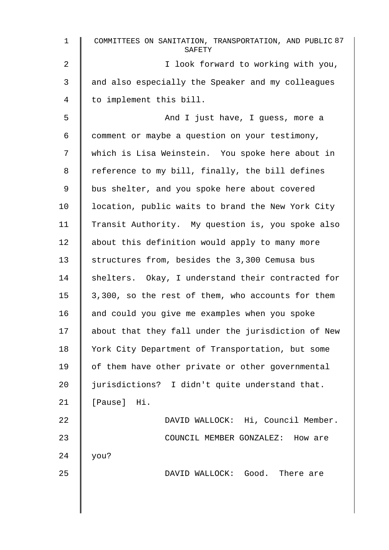| $\mathbf 1$ | COMMITTEES ON SANITATION, TRANSPORTATION, AND PUBLIC 87<br>SAFETY |
|-------------|-------------------------------------------------------------------|
| 2           | I look forward to working with you,                               |
| 3           | and also especially the Speaker and my colleagues                 |
| 4           | to implement this bill.                                           |
| 5           | And I just have, I guess, more a                                  |
| 6           | comment or maybe a question on your testimony,                    |
| 7           | which is Lisa Weinstein. You spoke here about in                  |
| 8           | reference to my bill, finally, the bill defines                   |
| 9           | bus shelter, and you spoke here about covered                     |
| 10          | location, public waits to brand the New York City                 |
| 11          | Transit Authority. My question is, you spoke also                 |
| 12          | about this definition would apply to many more                    |
| 13          | structures from, besides the 3,300 Cemusa bus                     |
| 14          | shelters. Okay, I understand their contracted for                 |
| 15          | 3,300, so the rest of them, who accounts for them                 |
| 16          | and could you give me examples when you spoke                     |
| 17          | about that they fall under the jurisdiction of New                |
| 18          | York City Department of Transportation, but some                  |
| 19          | of them have other private or other governmental                  |
| 20          | jurisdictions? I didn't quite understand that.                    |
| 21          | [Pause] Hi.                                                       |
| 22          | DAVID WALLOCK: Hi, Council Member.                                |
| 23          | COUNCIL MEMBER GONZALEZ: How are                                  |
| 24          | you?                                                              |
| 25          | DAVID WALLOCK: Good. There are                                    |
|             |                                                                   |
|             |                                                                   |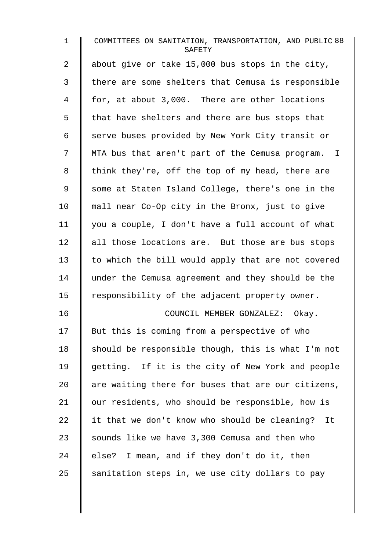| $\mathbf{1}$ | COMMITTEES ON SANITATION, TRANSPORTATION, AND PUBLIC 88<br>SAFETY |
|--------------|-------------------------------------------------------------------|
| 2            | about give or take 15,000 bus stops in the city,                  |
| 3            | there are some shelters that Cemusa is responsible                |
| 4            | for, at about 3,000. There are other locations                    |
| 5            | that have shelters and there are bus stops that                   |
| 6            | serve buses provided by New York City transit or                  |
| 7            | MTA bus that aren't part of the Cemusa program. I                 |
| 8            | think they're, off the top of my head, there are                  |
| $\mathsf 9$  | some at Staten Island College, there's one in the                 |
| 10           | mall near Co-Op city in the Bronx, just to give                   |
| 11           | you a couple, I don't have a full account of what                 |
| 12           | all those locations are. But those are bus stops                  |
| 13           | to which the bill would apply that are not covered                |
| 14           | under the Cemusa agreement and they should be the                 |
| 15           | responsibility of the adjacent property owner.                    |
| 16           | COUNCIL MEMBER GONZALEZ: Okay.                                    |
| 17           | But this is coming from a perspective of who                      |
| 18           | should be responsible though, this is what I'm not                |
| 19           | getting. If it is the city of New York and people                 |
| 20           | are waiting there for buses that are our citizens,                |
| 21           | our residents, who should be responsible, how is                  |
| 22           | it that we don't know who should be cleaning?<br>It               |
| 23           | sounds like we have 3,300 Cemusa and then who                     |
| 24           | else? I mean, and if they don't do it, then                       |
| 25           | sanitation steps in, we use city dollars to pay                   |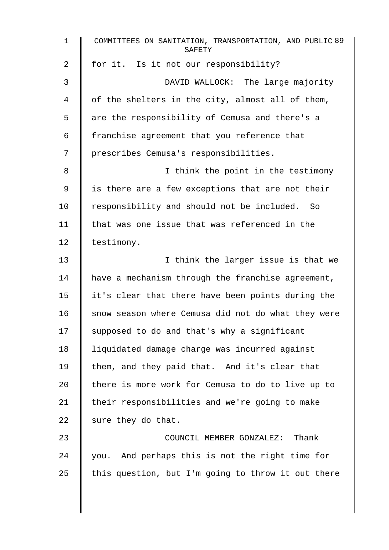| $\mathbf{1}$    | COMMITTEES ON SANITATION, TRANSPORTATION, AND PUBLIC 89<br>SAFETY |
|-----------------|-------------------------------------------------------------------|
| 2               | for it. Is it not our responsibility?                             |
| 3               | DAVID WALLOCK: The large majority                                 |
| 4               | of the shelters in the city, almost all of them,                  |
| 5               | are the responsibility of Cemusa and there's a                    |
| 6               | franchise agreement that you reference that                       |
| 7               | prescribes Cemusa's responsibilities.                             |
| 8               | I think the point in the testimony                                |
| 9               | is there are a few exceptions that are not their                  |
| 10 <sub>1</sub> | responsibility and should not be included. So                     |
| 11              | that was one issue that was referenced in the                     |
| 12              | testimony.                                                        |
| 13              | I think the larger issue is that we                               |
| 14              | have a mechanism through the franchise agreement,                 |
| 15              | it's clear that there have been points during the                 |
| 16              | snow season where Cemusa did not do what they were                |
| 17              | supposed to do and that's why a significant                       |
| 18              | liquidated damage charge was incurred against                     |
| 19              | them, and they paid that. And it's clear that                     |
| 20              | there is more work for Cemusa to do to live up to                 |
| 21              | their responsibilities and we're going to make                    |
| 22              | sure they do that.                                                |
| 23              | COUNCIL MEMBER GONZALEZ: Thank                                    |
| 24              | you. And perhaps this is not the right time for                   |
| 25              | this question, but I'm going to throw it out there                |
|                 |                                                                   |

 $\overline{\phantom{a}}$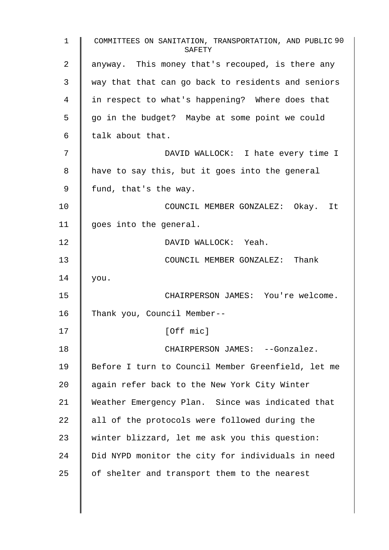1 COMMITTEES ON SANITATION, TRANSPORTATION, AND PUBLIC 90 SAFETY 2 | anyway. This money that's recouped, is there any 3 way that that can go back to residents and seniors 4 I in respect to what's happening? Where does that  $5 \parallel$  go in the budget? Maybe at some point we could  $6 \parallel$  talk about that. 7 DAVID WALLOCK: I hate every time I  $8$  | have to say this, but it goes into the general  $9 \parallel$  fund, that's the way. 10 **COUNCIL MEMBER GONZALEZ:** Okay. It 11 | goes into the general. 12 DAVID WALLOCK: Yeah. 13 **COUNCIL MEMBER GONZALEZ:** Thank  $14$  | you. 15 CHAIRPERSON JAMES: You're welcome. 16 Thank you, Council Member-- 17 | [Off mic] 18 | CHAIRPERSON JAMES: --Gonzalez. 19 | Before I turn to Council Member Greenfield, let me 20 | again refer back to the New York City Winter 21 Weather Emergency Plan. Since was indicated that 22  $\parallel$  all of the protocols were followed during the 23 winter blizzard, let me ask you this question: 24 | Did NYPD monitor the city for individuals in need 25  $\parallel$  of shelter and transport them to the nearest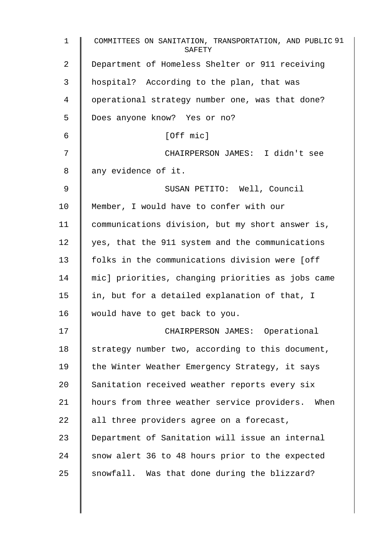| $\mathbf 1$    | COMMITTEES ON SANITATION, TRANSPORTATION, AND PUBLIC 91<br>SAFETY |
|----------------|-------------------------------------------------------------------|
| $\overline{2}$ | Department of Homeless Shelter or 911 receiving                   |
| 3              | hospital? According to the plan, that was                         |
| 4              | operational strategy number one, was that done?                   |
| 5              | Does anyone know? Yes or no?                                      |
| 6              | [Off mic]                                                         |
| 7              | CHAIRPERSON JAMES: I didn't see                                   |
| 8              | any evidence of it.                                               |
| 9              | SUSAN PETITO: Well, Council                                       |
| 10             | Member, I would have to confer with our                           |
| 11             | communications division, but my short answer is,                  |
| 12             | yes, that the 911 system and the communications                   |
| 13             | folks in the communications division were [off                    |
| 14             | mic] priorities, changing priorities as jobs came                 |
| 15             | in, but for a detailed explanation of that, I                     |
| 16             | would have to get back to you.                                    |
| 17             | CHAIRPERSON JAMES: Operational                                    |
| 18             | strategy number two, according to this document,                  |
| 19             | the Winter Weather Emergency Strategy, it says                    |
| 20             | Sanitation received weather reports every six                     |
| 21             | hours from three weather service providers. When                  |
| 22             | all three providers agree on a forecast,                          |
| 23             | Department of Sanitation will issue an internal                   |
| 24             | snow alert 36 to 48 hours prior to the expected                   |
| 25             | snowfall. Was that done during the blizzard?                      |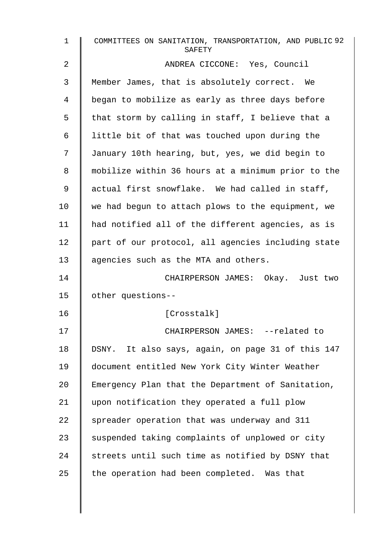| $\mathbf 1$ | COMMITTEES ON SANITATION, TRANSPORTATION, AND PUBLIC 92<br>SAFETY |
|-------------|-------------------------------------------------------------------|
| 2           | ANDREA CICCONE: Yes, Council                                      |
| 3           | Member James, that is absolutely correct. We                      |
| 4           | began to mobilize as early as three days before                   |
| 5           | that storm by calling in staff, I believe that a                  |
| 6           | little bit of that was touched upon during the                    |
| 7           | January 10th hearing, but, yes, we did begin to                   |
| 8           | mobilize within 36 hours at a minimum prior to the                |
| 9           | actual first snowflake. We had called in staff,                   |
| 10          | we had begun to attach plows to the equipment, we                 |
| 11          | had notified all of the different agencies, as is                 |
| 12          | part of our protocol, all agencies including state                |
| 13          | agencies such as the MTA and others.                              |
| 14          | CHAIRPERSON JAMES: Okay. Just two                                 |
| 15          | other questions--                                                 |
| 16          | [Crosstalk]                                                       |
| 17          | CHAIRPERSON JAMES: --related to                                   |
| 18          | DSNY. It also says, again, on page 31 of this 147                 |
| 19          | document entitled New York City Winter Weather                    |
| 20          | Emergency Plan that the Department of Sanitation,                 |
| 21          | upon notification they operated a full plow                       |
| 22          | spreader operation that was underway and 311                      |
| 23          | suspended taking complaints of unplowed or city                   |
| 24          | streets until such time as notified by DSNY that                  |
| 25          | the operation had been completed. Was that                        |
|             |                                                                   |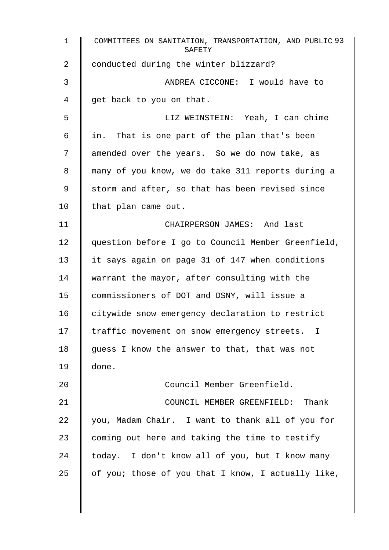1 COMMITTEES ON SANITATION, TRANSPORTATION, AND PUBLIC 93 **SAFETY** 2 conducted during the winter blizzard? 3 ANDREA CICCONE: I would have to 4 get back to you on that. 5 LIZ WEINSTEIN: Yeah, I can chime  $6 \parallel$  in. That is one part of the plan that's been 7 | amended over the years. So we do now take, as 8 || many of you know, we do take 311 reports during a 9 Storm and after, so that has been revised since 10 | that plan came out. 11 | CHAIRPERSON JAMES: And last 12 | question before I go to Council Member Greenfield, 13 it says again on page 31 of 147 when conditions 14 warrant the mayor, after consulting with the 15 commissioners of DOT and DSNY, will issue a 16 | citywide snow emergency declaration to restrict 17 I traffic movement on snow emergency streets. I 18 | guess I know the answer to that, that was not 19 done. 20 | Council Member Greenfield. 21 **COUNCIL MEMBER GREENFIELD:** Thank 22  $\parallel$  you, Madam Chair. I want to thank all of you for 23  $\parallel$  coming out here and taking the time to testify 24 today. I don't know all of you, but I know many 25  $\parallel$  of you; those of you that I know, I actually like,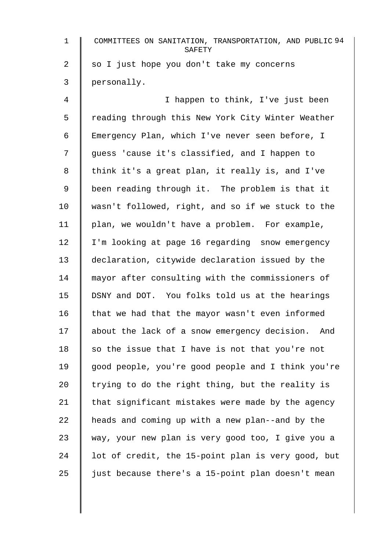| $\mathbf{1}$   | COMMITTEES ON SANITATION, TRANSPORTATION, AND PUBLIC 94<br>SAFETY |
|----------------|-------------------------------------------------------------------|
| $\overline{2}$ | so I just hope you don't take my concerns                         |
| 3              | personally.                                                       |
| 4              | I happen to think, I've just been                                 |
| 5              | reading through this New York City Winter Weather                 |
| 6              | Emergency Plan, which I've never seen before, I                   |
| 7              | guess 'cause it's classified, and I happen to                     |
| 8              | think it's a great plan, it really is, and I've                   |
| 9              | been reading through it. The problem is that it                   |
| 10             | wasn't followed, right, and so if we stuck to the                 |
| 11             | plan, we wouldn't have a problem. For example,                    |
| 12             | I'm looking at page 16 regarding snow emergency                   |
| 13             | declaration, citywide declaration issued by the                   |
| 14             | mayor after consulting with the commissioners of                  |
| 15             | DSNY and DOT. You folks told us at the hearings                   |
| 16             | that we had that the mayor wasn't even informed                   |
| 17             | about the lack of a snow emergency decision.<br>And               |
| 18             | so the issue that I have is not that you're not                   |
| 19             | good people, you're good people and I think you're                |
| 20             | trying to do the right thing, but the reality is                  |
| 21             | that significant mistakes were made by the agency                 |
| 22             | heads and coming up with a new plan--and by the                   |
| 23             | way, your new plan is very good too, I give you a                 |
| 24             | lot of credit, the 15-point plan is very good, but                |
| 25             | just because there's a 15-point plan doesn't mean                 |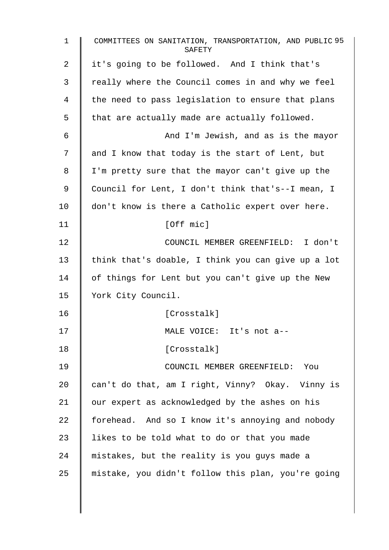| $\mathbf 1$ | COMMITTEES ON SANITATION, TRANSPORTATION, AND PUBLIC 95<br>SAFETY |
|-------------|-------------------------------------------------------------------|
| 2           | it's going to be followed. And I think that's                     |
| 3           | really where the Council comes in and why we feel                 |
| 4           | the need to pass legislation to ensure that plans                 |
| 5           | that are actually made are actually followed.                     |
| 6           | And I'm Jewish, and as is the mayor                               |
| 7           | and I know that today is the start of Lent, but                   |
| 8           | I'm pretty sure that the mayor can't give up the                  |
| 9           | Council for Lent, I don't think that's--I mean, I                 |
| 10          | don't know is there a Catholic expert over here.                  |
| 11          | [Off mic]                                                         |
| 12          | COUNCIL MEMBER GREENFIELD: I don't                                |
| 13          | think that's doable, I think you can give up a lot                |
| 14          | of things for Lent but you can't give up the New                  |
| 15          | York City Council.                                                |
| 16          | [Crosstalk]                                                       |
| 17          | MALE VOICE: It's not a--                                          |
| 18          | [Crosstalk]                                                       |
| 19          | COUNCIL MEMBER GREENFIELD: You                                    |
| 20          | can't do that, am I right, Vinny? Okay. Vinny is                  |
| 21          | our expert as acknowledged by the ashes on his                    |
| 22          | forehead. And so I know it's annoying and nobody                  |
| 23          | likes to be told what to do or that you made                      |
| 24          | mistakes, but the reality is you guys made a                      |
| 25          | mistake, you didn't follow this plan, you're going                |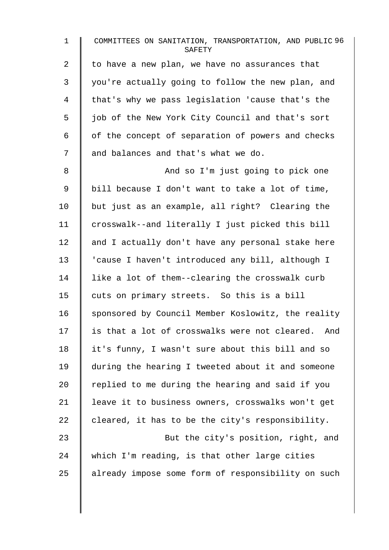1 COMMITTEES ON SANITATION, TRANSPORTATION, AND PUBLIC 96 **SAFETY** 2  $\parallel$  to have a new plan, we have no assurances that 3 you're actually going to follow the new plan, and 4 | that's why we pass legislation 'cause that's the 5 | job of the New York City Council and that's sort  $6 \parallel$  of the concept of separation of powers and checks 7 and balances and that's what we do. 8 || And so I'm just going to pick one 9 | bill because I don't want to take a lot of time, 10 but just as an example, all right? Clearing the 11 crosswalk--and literally I just picked this bill  $12$  and I actually don't have any personal stake here 13 'cause I haven't introduced any bill, although I 14 I like a lot of them--clearing the crosswalk curb 15 cuts on primary streets. So this is a bill 16 Sponsored by Council Member Koslowitz, the reality 17 | is that a lot of crosswalks were not cleared. And 18 | it's funny, I wasn't sure about this bill and so 19 during the hearing I tweeted about it and someone 20  $\parallel$  replied to me during the hearing and said if you 21 | leave it to business owners, crosswalks won't get 22 cleared, it has to be the city's responsibility. 23 **But the city's position, right, and**  $24$  which I'm reading, is that other large cities 25 already impose some form of responsibility on such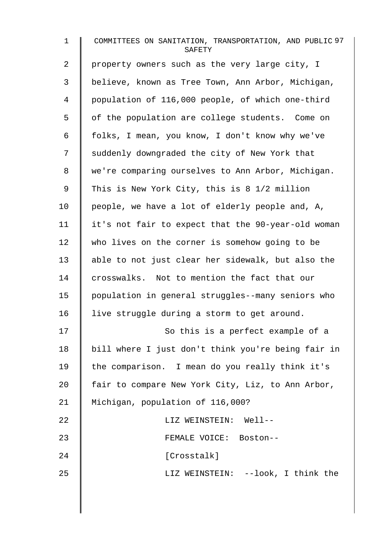| $\mathbf{1}$ | COMMITTEES ON SANITATION, TRANSPORTATION, AND PUBLIC 97<br>SAFETY |
|--------------|-------------------------------------------------------------------|
| 2            | property owners such as the very large city, I                    |
| 3            | believe, known as Tree Town, Ann Arbor, Michigan,                 |
| 4            | population of 116,000 people, of which one-third                  |
| 5            | of the population are college students. Come on                   |
| 6            | folks, I mean, you know, I don't know why we've                   |
| 7            | suddenly downgraded the city of New York that                     |
| 8            | we're comparing ourselves to Ann Arbor, Michigan.                 |
| 9            | This is New York City, this is 8 1/2 million                      |
| 10           | people, we have a lot of elderly people and, A,                   |
| 11           | it's not fair to expect that the 90-year-old woman                |
| 12           | who lives on the corner is somehow going to be                    |
| 13           | able to not just clear her sidewalk, but also the                 |
| 14           | crosswalks. Not to mention the fact that our                      |
| 15           | population in general struggles--many seniors who                 |
| 16           | live struggle during a storm to get around.                       |
| 17           | So this is a perfect example of a                                 |
| 18           | bill where I just don't think you're being fair in                |
| 19           | the comparison. I mean do you really think it's                   |
| 20           | fair to compare New York City, Liz, to Ann Arbor,                 |
| 21           | Michigan, population of 116,000?                                  |
| 22           | LIZ WEINSTEIN: Well--                                             |
| 23           | FEMALE VOICE: Boston--                                            |
| 24           | [Crosstalk]                                                       |
| 25           | LIZ WEINSTEIN: --look, I think the                                |
|              |                                                                   |
|              |                                                                   |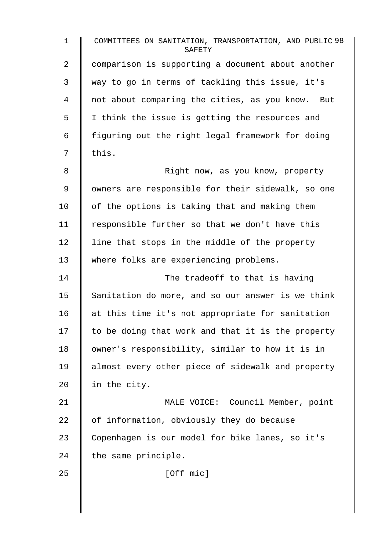1 COMMITTEES ON SANITATION, TRANSPORTATION, AND PUBLIC 98 **SAFETY** 2 | comparison is supporting a document about another 3 way to go in terms of tackling this issue, it's 4 | not about comparing the cities, as you know. But 5 | I think the issue is getting the resources and  $6 \parallel$  figuring out the right legal framework for doing  $7 \parallel \text{this}.$ 8 | Right now, as you know, property 9 | owners are responsible for their sidewalk, so one 10  $\parallel$  of the options is taking that and making them 11  $\parallel$  responsible further so that we don't have this  $12$  | line that stops in the middle of the property 13 Where folks are experiencing problems. 14 The tradeoff to that is having 15 Sanitation do more, and so our answer is we think 16 at this time it's not appropriate for sanitation  $17$   $\parallel$  to be doing that work and that it is the property 18 | owner's responsibility, similar to how it is in 19 | almost every other piece of sidewalk and property 20  $\parallel$  in the city. 21 | MALE VOICE: Council Member, point 22  $\parallel$  of information, obviously they do because 23 Copenhagen is our model for bike lanes, so it's 24  $\parallel$  the same principle. 25 | [Off mic]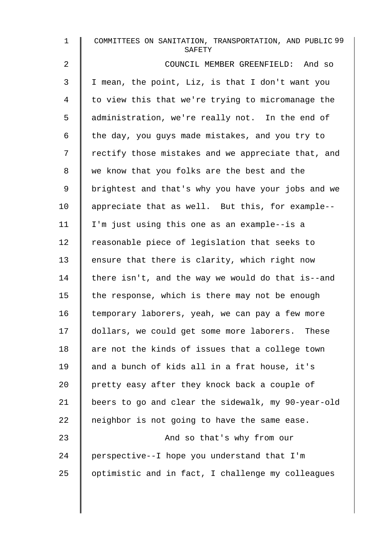| $\mathbf{1}$ | COMMITTEES ON SANITATION, TRANSPORTATION, AND PUBLIC 99<br>SAFETY |
|--------------|-------------------------------------------------------------------|
| 2            | COUNCIL MEMBER GREENFIELD: And so                                 |
| 3            | I mean, the point, Liz, is that I don't want you                  |
| 4            | to view this that we're trying to micromanage the                 |
| 5            | administration, we're really not. In the end of                   |
| 6            | the day, you guys made mistakes, and you try to                   |
| 7            | rectify those mistakes and we appreciate that, and                |
| 8            | we know that you folks are the best and the                       |
| 9            | brightest and that's why you have your jobs and we                |
| $10 \,$      | appreciate that as well. But this, for example--                  |
| 11           | I'm just using this one as an example--is a                       |
| 12           | reasonable piece of legislation that seeks to                     |
| 13           | ensure that there is clarity, which right now                     |
| 14           | there isn't, and the way we would do that is--and                 |
| 15           | the response, which is there may not be enough                    |
| 16           | temporary laborers, yeah, we can pay a few more                   |
| 17           | dollars, we could get some more laborers. These                   |
| 18           | are not the kinds of issues that a college town                   |
| 19           | and a bunch of kids all in a frat house, it's                     |
| 20           | pretty easy after they knock back a couple of                     |
| 21           | beers to go and clear the sidewalk, my 90-year-old                |
| 22           | neighbor is not going to have the same ease.                      |
| 23           | And so that's why from our                                        |
| 24           | perspective--I hope you understand that I'm                       |
| 25           | optimistic and in fact, I challenge my colleagues                 |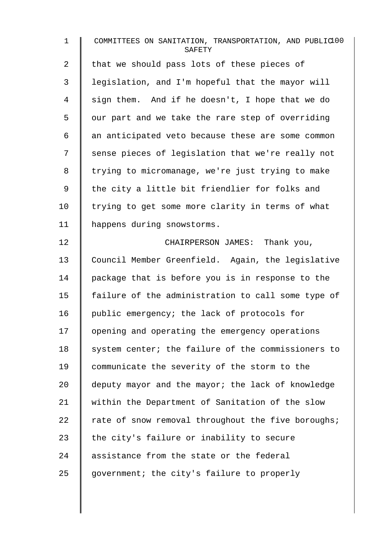| $\mathbf{1}$   | COMMITTEES ON SANITATION, TRANSPORTATION, AND PUBLIC100<br>SAFETY |
|----------------|-------------------------------------------------------------------|
| $\overline{a}$ | that we should pass lots of these pieces of                       |
| 3              | legislation, and I'm hopeful that the mayor will                  |
| 4              | sign them. And if he doesn't, I hope that we do                   |
| 5              | our part and we take the rare step of overriding                  |
| 6              | an anticipated veto because these are some common                 |
| 7              | sense pieces of legislation that we're really not                 |
| 8              | trying to micromanage, we're just trying to make                  |
| 9              | the city a little bit friendlier for folks and                    |
| 10             | trying to get some more clarity in terms of what                  |
| 11             | happens during snowstorms.                                        |
| 12             | CHAIRPERSON JAMES: Thank you,                                     |
| 13             | Council Member Greenfield. Again, the legislative                 |
| 14             | package that is before you is in response to the                  |
| 15             | failure of the administration to call some type of                |
| 16             | public emergency; the lack of protocols for                       |
| 17             | opening and operating the emergency operations                    |
| 18             | system center; the failure of the commissioners to                |
| 19             | communicate the severity of the storm to the                      |
| 20             | deputy mayor and the mayor; the lack of knowledge                 |
| 21             | within the Department of Sanitation of the slow                   |
| 22             | rate of snow removal throughout the five boroughs;                |
| 23             | the city's failure or inability to secure                         |
| 24             | assistance from the state or the federal                          |
| 25             | government; the city's failure to properly                        |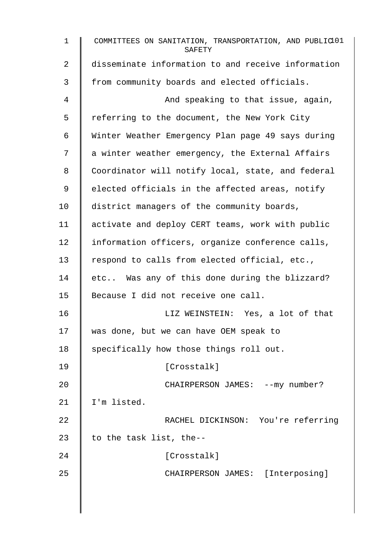1 COMMITTEES ON SANITATION, TRANSPORTATION, AND PUBLIC<sup>101</sup> **SAFETY** 2 disseminate information to and receive information 3 From community boards and elected officials. 4 | And speaking to that issue, again, 5 Feferring to the document, the New York City 6 | Winter Weather Emergency Plan page 49 says during 7 a winter weather emergency, the External Affairs 8 Coordinator will notify local, state, and federal 9 | elected officials in the affected areas, notify 10 district managers of the community boards, 11 | activate and deploy CERT teams, work with public 12 | information officers, organize conference calls, 13 Tespond to calls from elected official, etc., 14 etc.. Was any of this done during the blizzard? 15 Because I did not receive one call. 16 **I** LIZ WEINSTEIN: Yes, a lot of that 17 was done, but we can have OEM speak to 18 Specifically how those things roll out. 19 | [Crosstalk] 20 | CHAIRPERSON JAMES: --my number? 21 | I'm listed. 22 RACHEL DICKINSON: You're referring 23  $\parallel$  to the task list, the--24 | Crosstalk] 25 | CHAIRPERSON JAMES: [Interposing]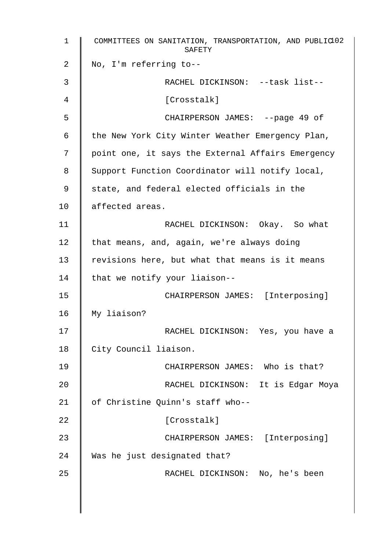| $\mathbf{1}$ | COMMITTEES ON SANITATION, TRANSPORTATION, AND PUBLIC102<br>SAFETY |
|--------------|-------------------------------------------------------------------|
| 2            | No, I'm referring to--                                            |
| 3            | RACHEL DICKINSON: --task list--                                   |
| 4            | [Crosstalk]                                                       |
| 5            | CHAIRPERSON JAMES: --page 49 of                                   |
| 6            | the New York City Winter Weather Emergency Plan,                  |
| 7            | point one, it says the External Affairs Emergency                 |
| 8            | Support Function Coordinator will notify local,                   |
| 9            | state, and federal elected officials in the                       |
| 10           | affected areas.                                                   |
| 11           | RACHEL DICKINSON: Okay. So what                                   |
| 12           | that means, and, again, we're always doing                        |
| 13           | revisions here, but what that means is it means                   |
| 14           | that we notify your liaison--                                     |
| 15           | CHAIRPERSON JAMES: [Interposing]                                  |
| 16           | My liaison?                                                       |
| 17           | RACHEL DICKINSON: Yes, you have a                                 |
| 18           | City Council liaison.                                             |
| 19           | CHAIRPERSON JAMES: Who is that?                                   |
| 20           | RACHEL DICKINSON: It is Edgar Moya                                |
| 21           | of Christine Quinn's staff who--                                  |
| 22           | [Crosstalk]                                                       |
| 23           | CHAIRPERSON JAMES: [Interposing]                                  |
| 24           | Was he just designated that?                                      |
| 25           | RACHEL DICKINSON: No, he's been                                   |
|              |                                                                   |
|              |                                                                   |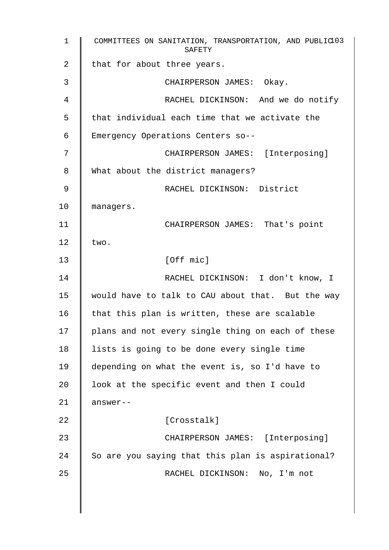1 COMMITTEES ON SANITATION, TRANSPORTATION, AND PUBLIC 103 SAFETY 2 | that for about three years. 3 **CHAIRPERSON JAMES:** Okay. 4 || RACHEL DICKINSON: And we do notify  $5 \parallel$  that individual each time that we activate the 6 Emergency Operations Centers so-- 7 || CHAIRPERSON JAMES: [Interposing] 8 What about the district managers? 9 || RACHEL DICKINSON: District 10 managers. 11 | CHAIRPERSON JAMES: That's point 12  $\vert$  two. 13 | [Off mic] 14 | RACHEL DICKINSON: I don't know, I 15 would have to talk to CAU about that. But the way 16  $\parallel$  that this plan is written, these are scalable 17 | plans and not every single thing on each of these 18 | lists is going to be done every single time 19 depending on what the event is, so I'd have to 20 | look at the specific event and then I could  $21$  answer--22 | Crosstalk] 23 CHAIRPERSON JAMES: [Interposing]  $24$  So are you saying that this plan is aspirational? 25 | RACHEL DICKINSON: No, I'm not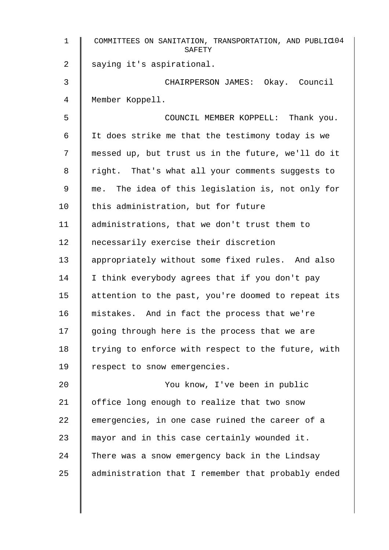| $\mathbf{1}$ | COMMITTEES ON SANITATION, TRANSPORTATION, AND PUBLIC104<br>SAFETY |
|--------------|-------------------------------------------------------------------|
| 2            | saying it's aspirational.                                         |
| 3            | CHAIRPERSON JAMES: Okay. Council                                  |
| 4            | Member Koppell.                                                   |
| 5            | COUNCIL MEMBER KOPPELL: Thank you.                                |
| 6            | It does strike me that the testimony today is we                  |
| 7            | messed up, but trust us in the future, we'll do it                |
| 8            | right. That's what all your comments suggests to                  |
| 9            | me. The idea of this legislation is, not only for                 |
| 10           | this administration, but for future                               |
| 11           | administrations, that we don't trust them to                      |
| 12           | necessarily exercise their discretion                             |
| 13           | appropriately without some fixed rules. And also                  |
| 14           | I think everybody agrees that if you don't pay                    |
| 15           | attention to the past, you're doomed to repeat its                |
| 16           | mistakes. And in fact the process that we're                      |
| 17           | going through here is the process that we are                     |
| 18           | trying to enforce with respect to the future, with                |
| 19           | respect to snow emergencies.                                      |
| 20           | You know, I've been in public                                     |
| 21           | office long enough to realize that two snow                       |
| 22           | emergencies, in one case ruined the career of a                   |
| 23           | mayor and in this case certainly wounded it.                      |
| 24           | There was a snow emergency back in the Lindsay                    |
| 25           | administration that I remember that probably ended                |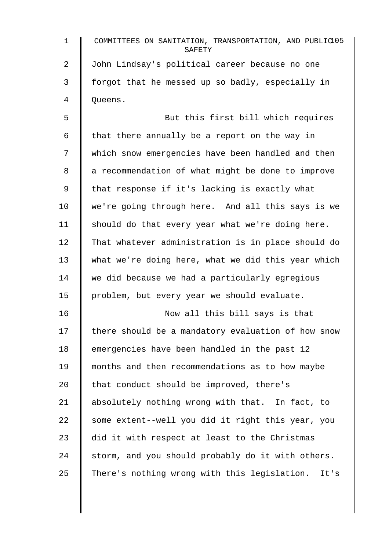| 1       | COMMITTEES ON SANITATION, TRANSPORTATION, AND PUBLIC105<br>SAFETY |
|---------|-------------------------------------------------------------------|
| 2       | John Lindsay's political career because no one                    |
| 3       | forgot that he messed up so badly, especially in                  |
| 4       | Queens.                                                           |
| 5       | But this first bill which requires                                |
| 6       | that there annually be a report on the way in                     |
| 7       | which snow emergencies have been handled and then                 |
| 8       | a recommendation of what might be done to improve                 |
| 9       | that response if it's lacking is exactly what                     |
| 10      | we're going through here. And all this says is we                 |
| 11      | should do that every year what we're doing here.                  |
| 12      | That whatever administration is in place should do                |
| 13      | what we're doing here, what we did this year which                |
| 14      | we did because we had a particularly egregious                    |
| 15      | problem, but every year we should evaluate.                       |
| 16      | Now all this bill says is that                                    |
| 17      | there should be a mandatory evaluation of how snow                |
| 18      | emergencies have been handled in the past 12                      |
| 19      | months and then recommendations as to how maybe                   |
| $20 \,$ | that conduct should be improved, there's                          |
| 21      | absolutely nothing wrong with that. In fact, to                   |
| 22      | some extent--well you did it right this year, you                 |
| 23      | did it with respect at least to the Christmas                     |
| 24      | storm, and you should probably do it with others.                 |
| 25      | There's nothing wrong with this legislation.<br>It's              |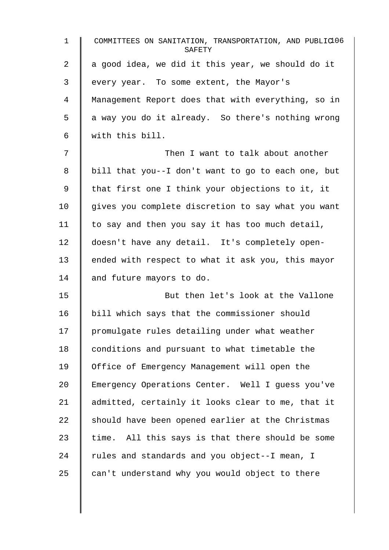1 COMMITTEES ON SANITATION, TRANSPORTATION, AND PUBLIC 106 **SAFETY** 2  $\parallel$  a good idea, we did it this year, we should do it 3 every year. To some extent, the Mayor's 4 Management Report does that with everything, so in  $5 \parallel$  a way you do it already. So there's nothing wrong 6 with this bill. 7 Then I want to talk about another 8 | bill that you--I don't want to go to each one, but 9 | that first one I think your objections to it, it  $10$  | gives you complete discretion to say what you want 11  $\parallel$  to say and then you say it has too much detail, 12 doesn't have any detail. It's completely open-13 | ended with respect to what it ask you, this mayor 14 and future mayors to do. 15 But then let's look at the Vallone 16 bill which says that the commissioner should  $17$  promulgate rules detailing under what weather 18 conditions and pursuant to what timetable the 19 Office of Emergency Management will open the 20 Emergency Operations Center. Well I guess you've 21 | admitted, certainly it looks clear to me, that it  $22$  should have been opened earlier at the Christmas  $23$  time. All this says is that there should be some 24  $\parallel$  rules and standards and you object--I mean, I  $25$   $\parallel$  can't understand why you would object to there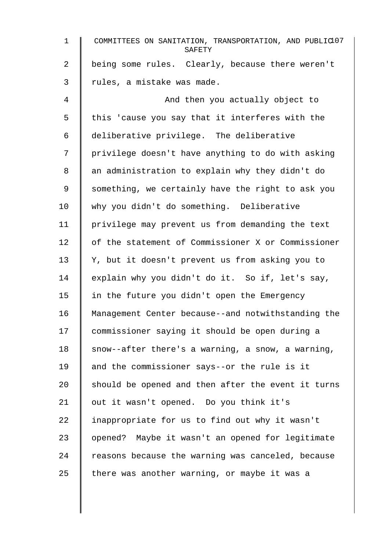| $\mathbf{1}$   | COMMITTEES ON SANITATION, TRANSPORTATION, AND PUBLIC107<br>SAFETY |
|----------------|-------------------------------------------------------------------|
| $\overline{2}$ | being some rules. Clearly, because there weren't                  |
| 3              | rules, a mistake was made.                                        |
| 4              | And then you actually object to                                   |
| 5              | this 'cause you say that it interferes with the                   |
| 6              | deliberative privilege. The deliberative                          |
| 7              | privilege doesn't have anything to do with asking                 |
| 8              | an administration to explain why they didn't do                   |
| 9              | something, we certainly have the right to ask you                 |
| 10             | why you didn't do something. Deliberative                         |
| 11             | privilege may prevent us from demanding the text                  |
| 12             | of the statement of Commissioner X or Commissioner                |
| 13             | Y, but it doesn't prevent us from asking you to                   |
| 14             | explain why you didn't do it. So if, let's say,                   |
| 15             | in the future you didn't open the Emergency                       |
| 16             | Management Center because--and notwithstanding the                |
| 17             | commissioner saying it should be open during a                    |
| 18             | snow--after there's a warning, a snow, a warning,                 |
| 19             | and the commissioner says--or the rule is it                      |
| 20             | should be opened and then after the event it turns                |
| 21             | out it wasn't opened. Do you think it's                           |
| 22             | inappropriate for us to find out why it wasn't                    |
| 23             | opened? Maybe it wasn't an opened for legitimate                  |
| 24             | reasons because the warning was canceled, because                 |
| 25             | there was another warning, or maybe it was a                      |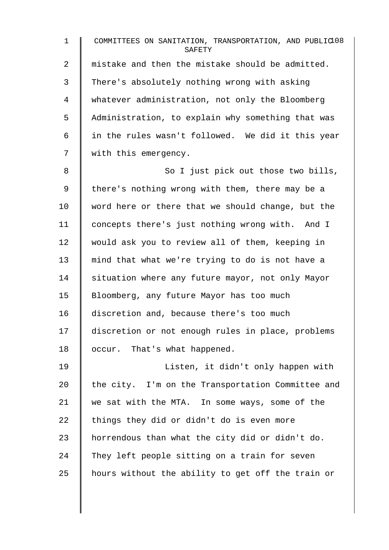1 COMMITTEES ON SANITATION, TRANSPORTATION, AND PUBLIC 108 **SAFETY** 2  $\parallel$  mistake and then the mistake should be admitted. 3 There's absolutely nothing wrong with asking 4 whatever administration, not only the Bloomberg 5 | Administration, to explain why something that was 6  $\parallel$  in the rules wasn't followed. We did it this year 7 | with this emergency. 8 || So I just pick out those two bills, 9 | there's nothing wrong with them, there may be a 10  $\parallel$  word here or there that we should change, but the 11 concepts there's just nothing wrong with. And I 12 would ask you to review all of them, keeping in 13 mind that what we're trying to do is not have a 14 Situation where any future mayor, not only Mayor 15 | Bloomberg, any future Mayor has too much 16 discretion and, because there's too much 17 discretion or not enough rules in place, problems 18 | occur. That's what happened. 19 | Listen, it didn't only happen with 20  $\parallel$  the city. I'm on the Transportation Committee and 21 we sat with the MTA. In some ways, some of the 22 things they did or didn't do is even more 23 | horrendous than what the city did or didn't do. 24 They left people sitting on a train for seven

25  $\parallel$  hours without the ability to get off the train or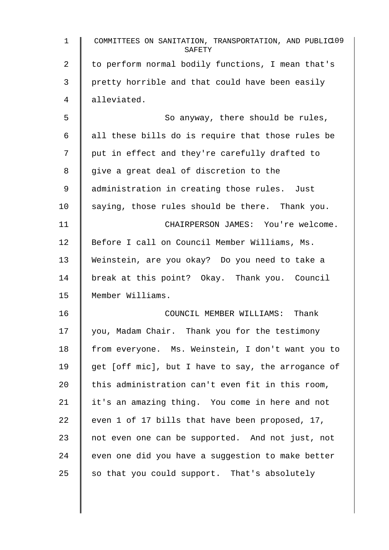| 1  | COMMITTEES ON SANITATION, TRANSPORTATION, AND PUBLIC109<br>SAFETY |
|----|-------------------------------------------------------------------|
| 2  | to perform normal bodily functions, I mean that's                 |
| 3  | pretty horrible and that could have been easily                   |
| 4  | alleviated.                                                       |
| 5  | So anyway, there should be rules,                                 |
| 6  | all these bills do is require that those rules be                 |
| 7  | put in effect and they're carefully drafted to                    |
| 8  | give a great deal of discretion to the                            |
| 9  | administration in creating those rules. Just                      |
| 10 | saying, those rules should be there. Thank you.                   |
| 11 | CHAIRPERSON JAMES: You're welcome.                                |
| 12 | Before I call on Council Member Williams, Ms.                     |
| 13 | Weinstein, are you okay? Do you need to take a                    |
| 14 | break at this point? Okay. Thank you. Council                     |
| 15 | Member Williams.                                                  |
| 16 | COUNCIL MEMBER WILLIAMS: Thank                                    |
| 17 | you, Madam Chair. Thank you for the testimony                     |
| 18 | from everyone. Ms. Weinstein, I don't want you to                 |
| 19 | get [off mic], but I have to say, the arrogance of                |
| 20 | this administration can't even fit in this room,                  |
| 21 | it's an amazing thing. You come in here and not                   |
| 22 | even 1 of 17 bills that have been proposed, 17,                   |
| 23 | not even one can be supported. And not just, not                  |
| 24 | even one did you have a suggestion to make better                 |
| 25 | so that you could support. That's absolutely                      |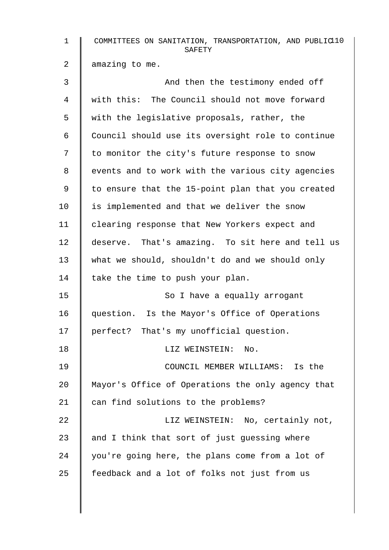| $\mathbf{1}$   | COMMITTEES ON SANITATION, TRANSPORTATION, AND PUBLIC10<br>SAFETY |
|----------------|------------------------------------------------------------------|
| $\overline{a}$ | amazing to me.                                                   |
| 3              | And then the testimony ended off                                 |
| 4              | with this: The Council should not move forward                   |
| 5              | with the legislative proposals, rather, the                      |
| 6              | Council should use its oversight role to continue                |
| 7              | to monitor the city's future response to snow                    |
| 8              | events and to work with the various city agencies                |
| 9              | to ensure that the 15-point plan that you created                |
| 10             | is implemented and that we deliver the snow                      |
| 11             | clearing response that New Yorkers expect and                    |
| 12             | deserve. That's amazing. To sit here and tell us                 |
| 13             | what we should, shouldn't do and we should only                  |
| 14             | take the time to push your plan.                                 |
| 15             | So I have a equally arrogant                                     |
| 16             | question. Is the Mayor's Office of Operations                    |
| 17             | perfect? That's my unofficial question.                          |
| 18             | LIZ WEINSTEIN:<br>No.                                            |
| 19             | COUNCIL MEMBER WILLIAMS: Is the                                  |
| 20             | Mayor's Office of Operations the only agency that                |
| 21             | can find solutions to the problems?                              |
| 22             | LIZ WEINSTEIN: No, certainly not,                                |
| 23             | and I think that sort of just guessing where                     |
| 24             | you're going here, the plans come from a lot of                  |
| 25             | feedback and a lot of folks not just from us                     |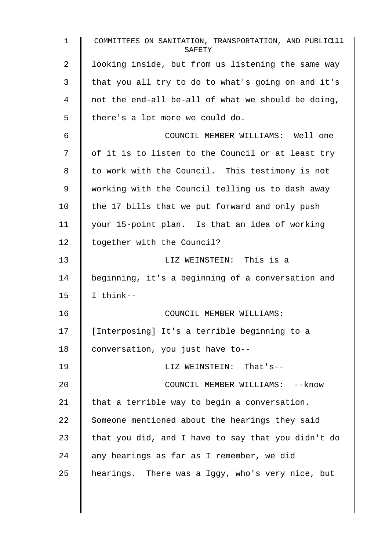1 COMMITTEES ON SANITATION, TRANSPORTATION, AND PUBLIC<sup>11</sup> SAFETY 2 I looking inside, but from us listening the same way  $3 \parallel$  that you all try to do to what's going on and it's  $4 \parallel$  not the end-all be-all of what we should be doing,  $5 \parallel$  there's a lot more we could do. 6 COUNCIL MEMBER WILLIAMS: Well one  $7 \parallel$  of it is to listen to the Council or at least try 8 | to work with the Council. This testimony is not 9 working with the Council telling us to dash away 10  $\parallel$  the 17 bills that we put forward and only push 11 your 15-point plan. Is that an idea of working 12 | together with the Council? 13 || LIZ WEINSTEIN: This is a 14 beginning, it's a beginning of a conversation and 15  $\parallel$  I think--16 **COUNCIL MEMBER WILLIAMS:** 17 | [Interposing] It's a terrible beginning to a 18 | conversation, you just have to--19 LIZ WEINSTEIN: That's-- 20 **COUNCIL MEMBER WILLIAMS:** --know 21  $\parallel$  that a terrible way to begin a conversation.  $22$  Someone mentioned about the hearings they said 23  $\parallel$  that you did, and I have to say that you didn't do  $24$  | any hearings as far as I remember, we did  $25$  | hearings. There was a Iggy, who's very nice, but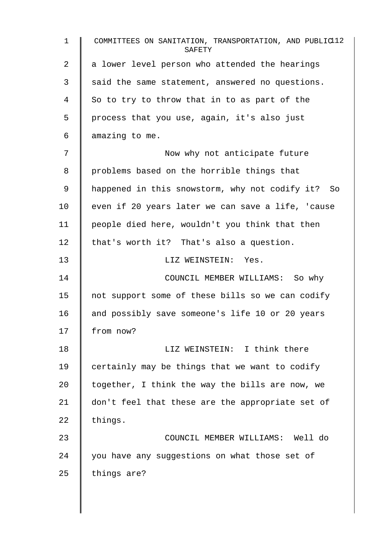1 COMMITTEES ON SANITATION, TRANSPORTATION, AND PUBLIC<sup>12</sup> **SAFETY**  $2 \parallel a$  lower level person who attended the hearings  $3 \parallel$  said the same statement, answered no questions.  $4 \parallel$  So to try to throw that in to as part of the 5 | process that you use, again, it's also just  $6 \parallel$  amazing to me. 7 Now why not anticipate future 8 | problems based on the horrible things that 9 | happened in this snowstorm, why not codify it? So  $10$  even if 20 years later we can save a life, 'cause 11 people died here, wouldn't you think that then 12  $\parallel$  that's worth it? That's also a question. 13 LIZ WEINSTEIN: Yes. 14 COUNCIL MEMBER WILLIAMS: So why 15 | not support some of these bills so we can codify 16 and possibly save someone's life 10 or 20 years 17 from now? 18 **I** LIZ WEINSTEIN: I think there 19  $\parallel$  certainly may be things that we want to codify 20  $\parallel$  together, I think the way the bills are now, we 21 don't feel that these are the appropriate set of  $22$  things. 23 COUNCIL MEMBER WILLIAMS: Well do  $24$  | you have any suggestions on what those set of  $25$  things are?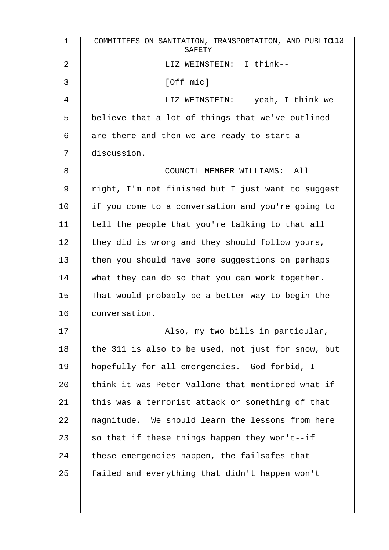| $\mathbf 1$ | COMMITTEES ON SANITATION, TRANSPORTATION, AND PUBLIC13<br>SAFETY |
|-------------|------------------------------------------------------------------|
| 2           | LIZ WEINSTEIN: I think--                                         |
| 3           | [Off mic]                                                        |
| 4           | LIZ WEINSTEIN: --yeah, I think we                                |
| 5           | believe that a lot of things that we've outlined                 |
| 6           | are there and then we are ready to start a                       |
| 7           | discussion.                                                      |
| 8           | COUNCIL MEMBER WILLIAMS: All                                     |
| 9           | right, I'm not finished but I just want to suggest               |
| 10          | if you come to a conversation and you're going to                |
| 11          | tell the people that you're talking to that all                  |
| 12          | they did is wrong and they should follow yours,                  |
| 13          | then you should have some suggestions on perhaps                 |
| 14          | what they can do so that you can work together.                  |
| 15          | That would probably be a better way to begin the                 |
| 16          | conversation.                                                    |
| 17          | Also, my two bills in particular,                                |
| 18          | the 311 is also to be used, not just for snow, but               |
| 19          | hopefully for all emergencies. God forbid, I                     |
| 20          | think it was Peter Vallone that mentioned what if                |
| 21          | this was a terrorist attack or something of that                 |
| 22          | magnitude. We should learn the lessons from here                 |
| 23          | so that if these things happen they won't--if                    |
| 24          | these emergencies happen, the failsafes that                     |
| 25          | failed and everything that didn't happen won't                   |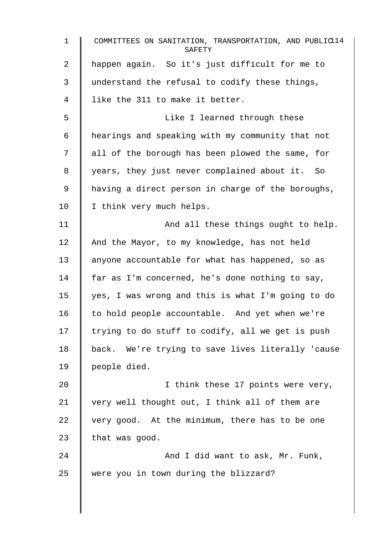1 COMMITTEES ON SANITATION, TRANSPORTATION, AND PUBLIC 114 **SAFETY** 2 happen again. So it's just difficult for me to 3 understand the refusal to codify these things, 4 || like the 311 to make it better. 5 Like I learned through these 6 hearings and speaking with my community that not 7 | all of the borough has been plowed the same, for 8 | years, they just never complained about it. So 9 | having a direct person in charge of the boroughs, 10 | I think very much helps. 11 | And all these things ought to help. 12 And the Mayor, to my knowledge, has not held 13 anyone accountable for what has happened, so as 14 far as I'm concerned, he's done nothing to say, 15  $\parallel$  yes, I was wrong and this is what I'm going to do 16  $\parallel$  to hold people accountable. And yet when we're 17  $\parallel$  trying to do stuff to codify, all we get is push 18 | back. We're trying to save lives literally 'cause 19 | people died. 20 | I think these 17 points were very, 21  $\parallel$  very well thought out, I think all of them are  $22$  | very good. At the minimum, there has to be one 23 | that was good. 24 And I did want to ask, Mr. Funk, 25 were you in town during the blizzard?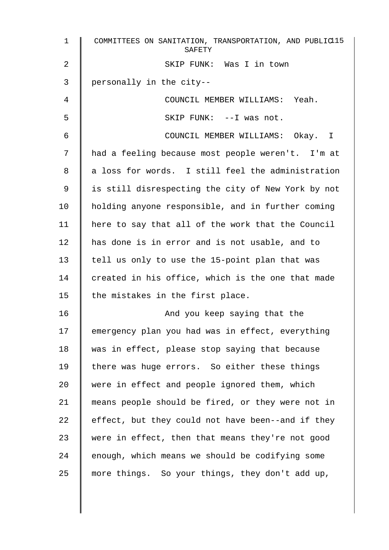| 1              | COMMITTEES ON SANITATION, TRANSPORTATION, AND PUBLIC15<br>SAFETY |
|----------------|------------------------------------------------------------------|
| $\overline{2}$ | SKIP FUNK: Was I in town                                         |
| 3              | personally in the city--                                         |
| 4              | COUNCIL MEMBER WILLIAMS: Yeah.                                   |
| 5              | SKIP FUNK: -- I was not.                                         |
| 6              | COUNCIL MEMBER WILLIAMS: Okay. I                                 |
| 7              | had a feeling because most people weren't. I'm at                |
| 8              | a loss for words. I still feel the administration                |
| 9              | is still disrespecting the city of New York by not               |
| 10             | holding anyone responsible, and in further coming                |
| 11             | here to say that all of the work that the Council                |
| 12             | has done is in error and is not usable, and to                   |
| 13             | tell us only to use the 15-point plan that was                   |
| 14             | created in his office, which is the one that made                |
| 15             | the mistakes in the first place.                                 |
| 16             | And you keep saying that the                                     |
| 17             | emergency plan you had was in effect, everything                 |
| 18             | was in effect, please stop saying that because                   |
| 19             | there was huge errors. So either these things                    |
| 20             | were in effect and people ignored them, which                    |
| 21             | means people should be fired, or they were not in                |
| 22             | effect, but they could not have been--and if they                |
| 23             | were in effect, then that means they're not good                 |
| 24             | enough, which means we should be codifying some                  |
| 25             | more things. So your things, they don't add up,                  |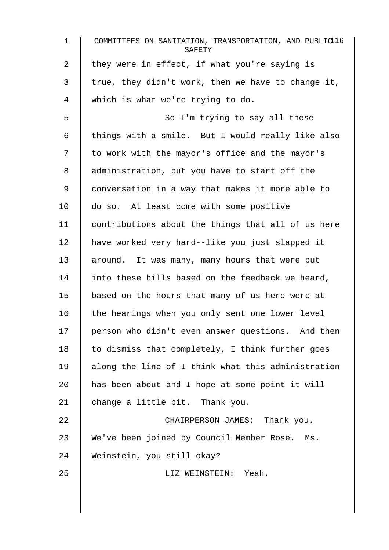| $\mathbf{1}$   | COMMITTEES ON SANITATION, TRANSPORTATION, AND PUBLIC16<br>SAFETY |
|----------------|------------------------------------------------------------------|
| $\overline{a}$ | they were in effect, if what you're saying is                    |
| 3              | true, they didn't work, then we have to change it,               |
| 4              | which is what we're trying to do.                                |
| 5              | So I'm trying to say all these                                   |
| 6              | things with a smile. But I would really like also                |
| 7              | to work with the mayor's office and the mayor's                  |
| 8              | administration, but you have to start off the                    |
| 9              | conversation in a way that makes it more able to                 |
| 10             | do so. At least come with some positive                          |
| 11             | contributions about the things that all of us here               |
| 12             | have worked very hard--like you just slapped it                  |
| 13             | around. It was many, many hours that were put                    |
| 14             | into these bills based on the feedback we heard,                 |
| 15             | based on the hours that many of us here were at                  |
| 16             | the hearings when you only sent one lower level                  |
| 17             | person who didn't even answer questions. And then                |
| 18             | to dismiss that completely, I think further goes                 |
| 19             | along the line of I think what this administration               |
| 20             | has been about and I hope at some point it will                  |
| 21             | change a little bit. Thank you.                                  |
| 22             | CHAIRPERSON JAMES: Thank you.                                    |
| 23             | We've been joined by Council Member Rose. Ms.                    |
| 24             | Weinstein, you still okay?                                       |
| 25             | LIZ WEINSTEIN: Yeah.                                             |
|                |                                                                  |
|                |                                                                  |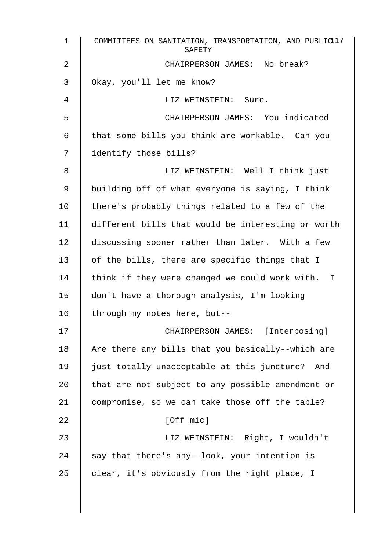| $\mathbf{1}$ | COMMITTEES ON SANITATION, TRANSPORTATION, AND PUBLIC17<br>SAFETY |
|--------------|------------------------------------------------------------------|
| 2            | CHAIRPERSON JAMES: No break?                                     |
| 3            | Okay, you'll let me know?                                        |
| 4            | LIZ WEINSTEIN: Sure.                                             |
| 5            | CHAIRPERSON JAMES: You indicated                                 |
| 6            | that some bills you think are workable. Can you                  |
| 7            | identify those bills?                                            |
| 8            | LIZ WEINSTEIN: Well I think just                                 |
| 9            | building off of what everyone is saying, I think                 |
| 10           | there's probably things related to a few of the                  |
| 11           | different bills that would be interesting or worth               |
| 12           | discussing sooner rather than later. With a few                  |
| 13           | of the bills, there are specific things that I                   |
| 14           | think if they were changed we could work with. I                 |
| 15           | don't have a thorough analysis, I'm looking                      |
| 16           | through my notes here, but--                                     |
| 17           | CHAIRPERSON JAMES: [Interposing]                                 |
| $18\,$       | Are there any bills that you basically--which are                |
| 19           | just totally unacceptable at this juncture? And                  |
| 20           | that are not subject to any possible amendment or                |
| 21           | compromise, so we can take those off the table?                  |
| 22           | [Off mic]                                                        |
| 23           | LIZ WEINSTEIN: Right, I wouldn't                                 |
| 24           | say that there's any--look, your intention is                    |
| 25           | clear, it's obviously from the right place, I                    |
|              |                                                                  |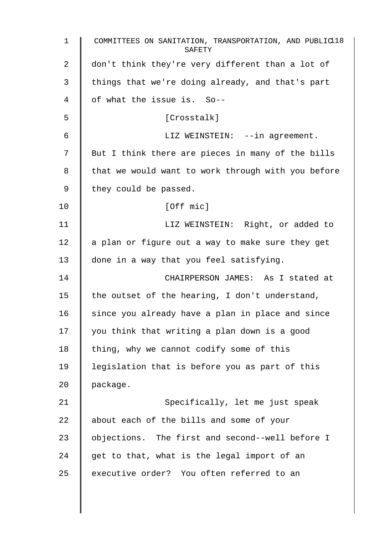| $\mathbf{1}$ | COMMITTEES ON SANITATION, TRANSPORTATION, AND PUBLIC18<br>SAFETY |
|--------------|------------------------------------------------------------------|
| 2            | don't think they're very different than a lot of                 |
| 3            | things that we're doing already, and that's part                 |
| 4            | of what the issue is. So--                                       |
| 5            | [Crosstalk]                                                      |
| 6            | LIZ WEINSTEIN: --in agreement.                                   |
| 7            | But I think there are pieces in many of the bills                |
| 8            | that we would want to work through with you before               |
| 9            | they could be passed.                                            |
| 10           | [Off mic]                                                        |
| 11           | LIZ WEINSTEIN: Right, or added to                                |
| 12           | a plan or figure out a way to make sure they get                 |
| 13           | done in a way that you feel satisfying.                          |
| 14           | CHAIRPERSON JAMES: As I stated at                                |
| 15           | the outset of the hearing, I don't understand,                   |
| 16           | since you already have a plan in place and since                 |
| 17           | you think that writing a plan down is a good                     |
| 18           | thing, why we cannot codify some of this                         |
| 19           | legislation that is before you as part of this                   |
| 20           | package.                                                         |
| 21           | Specifically, let me just speak                                  |
| 22           | about each of the bills and some of your                         |
| 23           | objections. The first and second--well before I                  |
| 24           | get to that, what is the legal import of an                      |
| 25           | executive order? You often referred to an                        |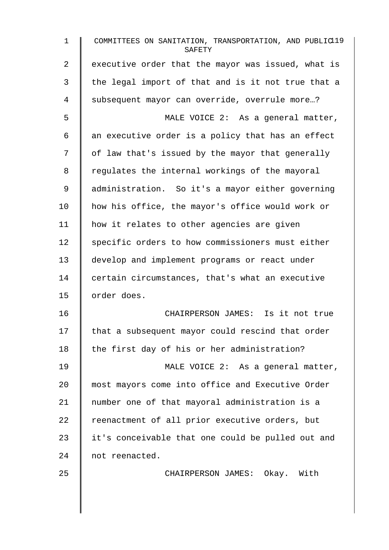| $\mathbf 1$ | COMMITTEES ON SANITATION, TRANSPORTATION, AND PUBLIC19<br>SAFETY |
|-------------|------------------------------------------------------------------|
| 2           | executive order that the mayor was issued, what is               |
| 3           | the legal import of that and is it not true that a               |
| 4           | subsequent mayor can override, overrule more?                    |
| 5           | MALE VOICE 2: As a general matter,                               |
| 6           | an executive order is a policy that has an effect                |
| 7           | of law that's issued by the mayor that generally                 |
| 8           | regulates the internal workings of the mayoral                   |
| 9           | administration. So it's a mayor either governing                 |
| 10          | how his office, the mayor's office would work or                 |
| 11          | how it relates to other agencies are given                       |
| 12          | specific orders to how commissioners must either                 |
| 13          | develop and implement programs or react under                    |
| 14          | certain circumstances, that's what an executive                  |
| 15          | order does.                                                      |
| 16          | CHAIRPERSON JAMES: Is it not true                                |
| 17          | that a subsequent mayor could rescind that order                 |
| 18          | the first day of his or her administration?                      |
| 19          | MALE VOICE 2: As a general matter,                               |
| 20          | most mayors come into office and Executive Order                 |
| 21          | number one of that mayoral administration is a                   |
| 22          | reenactment of all prior executive orders, but                   |
| 23          | it's conceivable that one could be pulled out and                |
| 24          | not reenacted.                                                   |
| 25          | CHAIRPERSON JAMES: Okay. With                                    |
|             |                                                                  |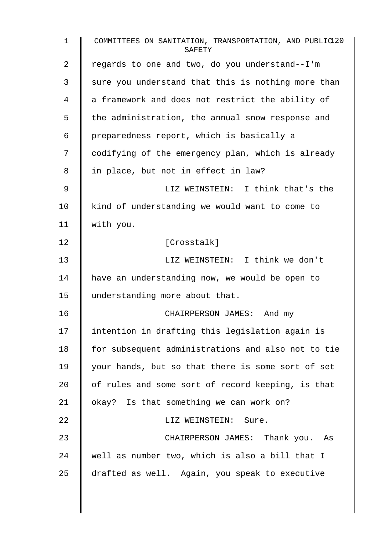| $\mathbf{1}$ | COMMITTEES ON SANITATION, TRANSPORTATION, AND PUBLIC120<br>SAFETY |
|--------------|-------------------------------------------------------------------|
| 2            | regards to one and two, do you understand--I'm                    |
| 3            | sure you understand that this is nothing more than                |
| 4            | a framework and does not restrict the ability of                  |
| 5            | the administration, the annual snow response and                  |
| 6            | preparedness report, which is basically a                         |
| 7            | codifying of the emergency plan, which is already                 |
| 8            | in place, but not in effect in law?                               |
| 9            | LIZ WEINSTEIN: I think that's the                                 |
| 10           | kind of understanding we would want to come to                    |
| 11           | with you.                                                         |
| 12           | [Crosstalk]                                                       |
| 13           | LIZ WEINSTEIN: I think we don't                                   |
| 14           | have an understanding now, we would be open to                    |
| 15           | understanding more about that.                                    |
| 16           | CHAIRPERSON JAMES: And my                                         |
| 17           | intention in drafting this legislation again is                   |
| 18           | for subsequent administrations and also not to tie                |
| 19           | your hands, but so that there is some sort of set                 |
| 20           | of rules and some sort of record keeping, is that                 |
| 21           | okay? Is that something we can work on?                           |
| 22           | LIZ WEINSTEIN: Sure.                                              |
| 23           | CHAIRPERSON JAMES: Thank you. As                                  |
| 24           | well as number two, which is also a bill that I                   |
| 25           | drafted as well. Again, you speak to executive                    |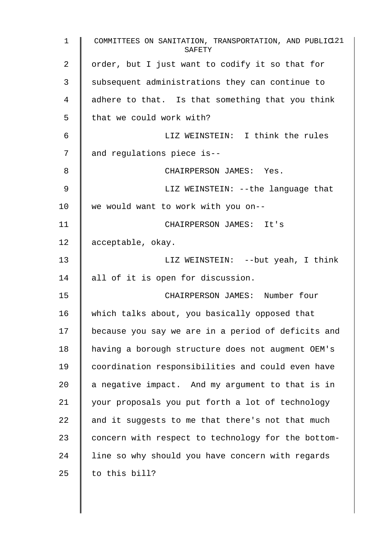1 COMMITTEES ON SANITATION, TRANSPORTATION, AND PUBLIC<sup>121</sup> **SAFETY** 2 | order, but I just want to codify it so that for 3 Subsequent administrations they can continue to 4 adhere to that. Is that something that you think  $5 \parallel$  that we could work with? 6 LIZ WEINSTEIN: I think the rules 7 and requlations piece is--8 **CHAIRPERSON JAMES:** Yes. 9 || LIZ WEINSTEIN: --the language that 10 we would want to work with you on-- 11 CHAIRPERSON JAMES: It's 12 acceptable, okay. 13 || LIZ WEINSTEIN: --but yeah, I think 14 all of it is open for discussion. 15 CHAIRPERSON JAMES: Number four 16 which talks about, you basically opposed that 17 | because you say we are in a period of deficits and 18 having a borough structure does not augment OEM's 19 coordination responsibilities and could even have 20  $\parallel$  a negative impact. And my argument to that is in 21 your proposals you put forth a lot of technology 22  $\parallel$  and it suggests to me that there's not that much 23 concern with respect to technology for the bottom-24 I line so why should you have concern with regards 25  $\parallel$  to this bill?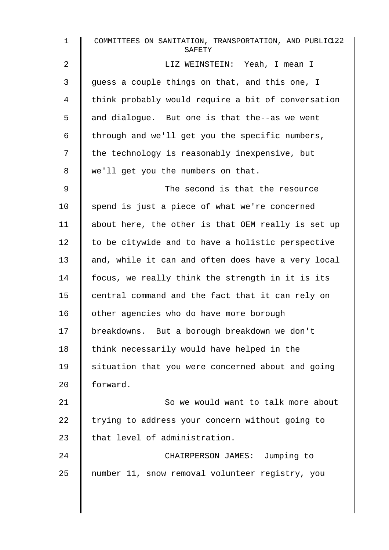| $\mathbf 1$ | COMMITTEES ON SANITATION, TRANSPORTATION, AND PUBLIC122<br>SAFETY |
|-------------|-------------------------------------------------------------------|
| 2           | LIZ WEINSTEIN: Yeah, I mean I                                     |
| 3           | guess a couple things on that, and this one, I                    |
| 4           | think probably would require a bit of conversation                |
| 5           | and dialogue. But one is that the--as we went                     |
| 6           | through and we'll get you the specific numbers,                   |
| 7           | the technology is reasonably inexpensive, but                     |
| 8           | we'll get you the numbers on that.                                |
| 9           | The second is that the resource                                   |
| 10          | spend is just a piece of what we're concerned                     |
| 11          | about here, the other is that OEM really is set up                |
| 12          | to be citywide and to have a holistic perspective                 |
| 13          | and, while it can and often does have a very local                |
| 14          | focus, we really think the strength in it is its                  |
| 15          | central command and the fact that it can rely on                  |
| 16          | other agencies who do have more borough                           |
| 17          | breakdowns. But a borough breakdown we don't                      |
| 18          | think necessarily would have helped in the                        |
| 19          | situation that you were concerned about and going                 |
| 20          | forward.                                                          |
| 21          | So we would want to talk more about                               |
| 22          | trying to address your concern without going to                   |
| 23          | that level of administration.                                     |
| 24          | CHAIRPERSON JAMES: Jumping to                                     |
| 25          | number 11, snow removal volunteer registry, you                   |
|             |                                                                   |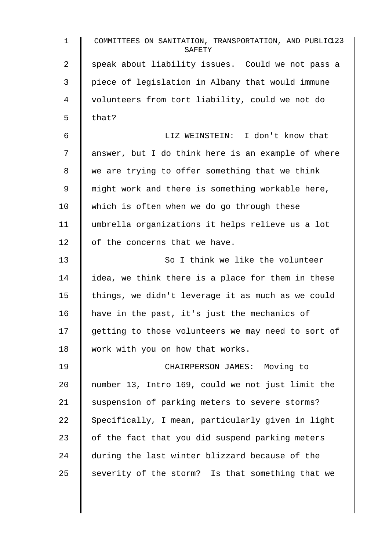| $\mathbf 1$ | COMMITTEES ON SANITATION, TRANSPORTATION, AND PUBLIC123<br>SAFETY |
|-------------|-------------------------------------------------------------------|
| 2           | speak about liability issues. Could we not pass a                 |
| 3           | piece of legislation in Albany that would immune                  |
| 4           | volunteers from tort liability, could we not do                   |
| 5           | that?                                                             |
| 6           | LIZ WEINSTEIN: I don't know that                                  |
| 7           | answer, but I do think here is an example of where                |
| 8           | we are trying to offer something that we think                    |
| 9           | might work and there is something workable here,                  |
| 10          | which is often when we do go through these                        |
| 11          | umbrella organizations it helps relieve us a lot                  |
| 12          | of the concerns that we have.                                     |
| 13          | So I think we like the volunteer                                  |
| 14          | idea, we think there is a place for them in these                 |
| 15          | things, we didn't leverage it as much as we could                 |
| 16          | have in the past, it's just the mechanics of                      |
| 17          | getting to those volunteers we may need to sort of                |
| 18          | work with you on how that works.                                  |
| 19          | CHAIRPERSON JAMES: Moving to                                      |
| 20          | number 13, Intro 169, could we not just limit the                 |
| 21          | suspension of parking meters to severe storms?                    |
| 22          | Specifically, I mean, particularly given in light                 |
| 23          | of the fact that you did suspend parking meters                   |
| 24          | during the last winter blizzard because of the                    |
| 25          | severity of the storm? Is that something that we                  |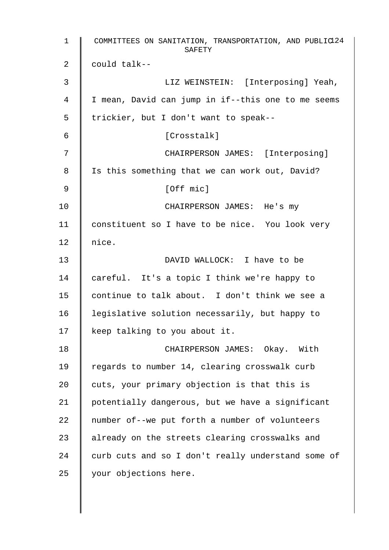| $\mathbf 1$ | COMMITTEES ON SANITATION, TRANSPORTATION, AND PUBLIC124<br>SAFETY |
|-------------|-------------------------------------------------------------------|
| 2           | could talk--                                                      |
| 3           | LIZ WEINSTEIN: [Interposing] Yeah,                                |
| 4           | I mean, David can jump in if--this one to me seems                |
| 5           | trickier, but I don't want to speak--                             |
| 6           | [Crosstalk]                                                       |
| 7           | CHAIRPERSON JAMES: [Interposing]                                  |
| 8           | Is this something that we can work out, David?                    |
| 9           | [Off mic]                                                         |
| 10          | CHAIRPERSON JAMES: He's my                                        |
| 11          | constituent so I have to be nice. You look very                   |
| 12          | nice.                                                             |
| 13          | DAVID WALLOCK: I have to be                                       |
| 14          | careful. It's a topic I think we're happy to                      |
| 15          | continue to talk about. I don't think we see a                    |
| 16          | legislative solution necessarily, but happy to                    |
| 17          | keep talking to you about it.                                     |
| 18          | CHAIRPERSON JAMES: Okay. With                                     |
| 19          | regards to number 14, clearing crosswalk curb                     |
| 20          | cuts, your primary objection is that this is                      |
| 21          | potentially dangerous, but we have a significant                  |
| 22          | number of--we put forth a number of volunteers                    |
| 23          | already on the streets clearing crosswalks and                    |
| 24          | curb cuts and so I don't really understand some of                |
| 25          | your objections here.                                             |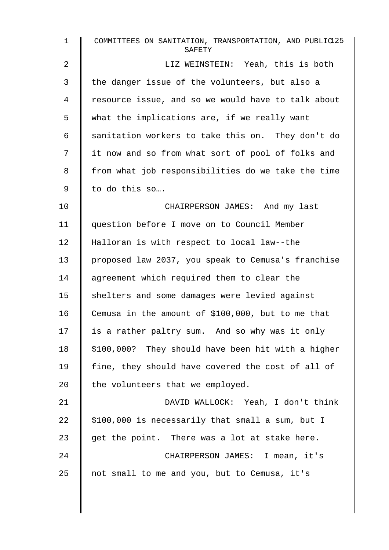| $\mathbf{1}$ | COMMITTEES ON SANITATION, TRANSPORTATION, AND PUBLIC125<br>SAFETY |
|--------------|-------------------------------------------------------------------|
| 2            | LIZ WEINSTEIN: Yeah, this is both                                 |
| 3            | the danger issue of the volunteers, but also a                    |
| 4            | resource issue, and so we would have to talk about                |
| 5            | what the implications are, if we really want                      |
| 6            | sanitation workers to take this on. They don't do                 |
| 7            | it now and so from what sort of pool of folks and                 |
| 8            | from what job responsibilities do we take the time                |
| 9            | to do this so                                                     |
| 10           | CHAIRPERSON JAMES: And my last                                    |
| 11           | question before I move on to Council Member                       |
| 12           | Halloran is with respect to local law--the                        |
| 13           | proposed law 2037, you speak to Cemusa's franchise                |
| 14           | agreement which required them to clear the                        |
| 15           | shelters and some damages were levied against                     |
| 16           | Cemusa in the amount of \$100,000, but to me that                 |
| 17           | is a rather paltry sum. And so why was it only                    |
| 18           | \$100,000? They should have been hit with a higher                |
| 19           | fine, they should have covered the cost of all of                 |
| 20           | the volunteers that we employed.                                  |
| 21           | DAVID WALLOCK: Yeah, I don't think                                |
| 22           | \$100,000 is necessarily that small a sum, but I                  |
| 23           | get the point. There was a lot at stake here.                     |
| 24           | CHAIRPERSON JAMES: I mean, it's                                   |
| 25           | not small to me and you, but to Cemusa, it's                      |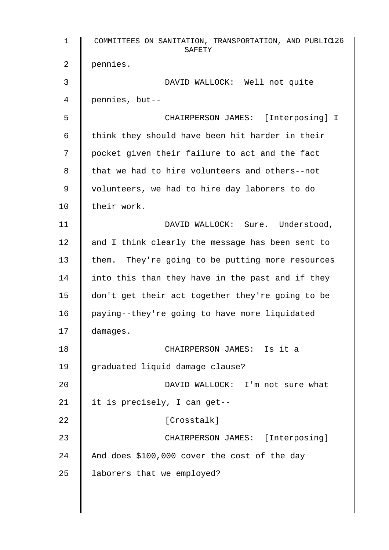1 COMMITTEES ON SANITATION, TRANSPORTATION, AND PUBLIC 126 SAFETY 2 pennies. 3 DAVID WALLOCK: Well not quite 4 pennies, but-- 5 CHAIRPERSON JAMES: [Interposing] I 6  $\parallel$  think they should have been hit harder in their 7 | pocket given their failure to act and the fact  $8 \parallel$  that we had to hire volunteers and others--not 9 | volunteers, we had to hire day laborers to do 10 | their work. 11 | DAVID WALLOCK: Sure. Understood, 12  $\parallel$  and I think clearly the message has been sent to 13 them. They're going to be putting more resources 14 | into this than they have in the past and if they 15 don't get their act together they're going to be 16 | paying--they're going to have more liquidated 17 damages. 18 CHAIRPERSON JAMES: Is it a 19 | graduated liquid damage clause? 20 DAVID WALLOCK: I'm not sure what 21 | it is precisely, I can get--22 | Crosstalk] 23 CHAIRPERSON JAMES: [Interposing] 24 And does \$100,000 cover the cost of the day 25 | laborers that we employed?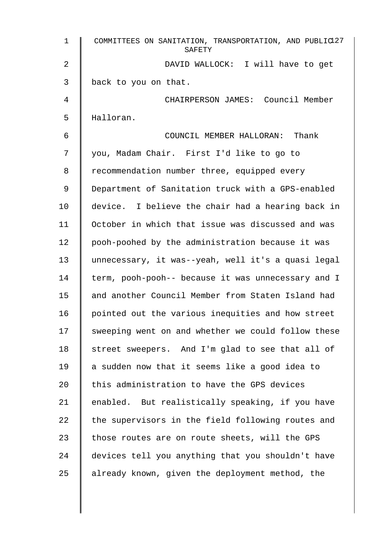| 1  | COMMITTEES ON SANITATION, TRANSPORTATION, AND PUBLIC127<br>SAFETY |
|----|-------------------------------------------------------------------|
| 2  | DAVID WALLOCK: I will have to get                                 |
| 3  | back to you on that.                                              |
| 4  | CHAIRPERSON JAMES: Council Member                                 |
| 5  | Halloran.                                                         |
| 6  | COUNCIL MEMBER HALLORAN: Thank                                    |
| 7  | you, Madam Chair. First I'd like to go to                         |
| 8  | recommendation number three, equipped every                       |
| 9  | Department of Sanitation truck with a GPS-enabled                 |
| 10 | device. I believe the chair had a hearing back in                 |
| 11 | October in which that issue was discussed and was                 |
| 12 | pooh-poohed by the administration because it was                  |
| 13 | unnecessary, it was--yeah, well it's a quasi legal                |
| 14 | term, pooh-pooh-- because it was unnecessary and I                |
| 15 | and another Council Member from Staten Island had                 |
| 16 | pointed out the various inequities and how street                 |
| 17 | sweeping went on and whether we could follow these                |
| 18 | street sweepers. And I'm glad to see that all of                  |
| 19 | a sudden now that it seems like a good idea to                    |
| 20 | this administration to have the GPS devices                       |
| 21 | enabled. But realistically speaking, if you have                  |
| 22 | the supervisors in the field following routes and                 |
| 23 | those routes are on route sheets, will the GPS                    |
| 24 | devices tell you anything that you shouldn't have                 |
| 25 | already known, given the deployment method, the                   |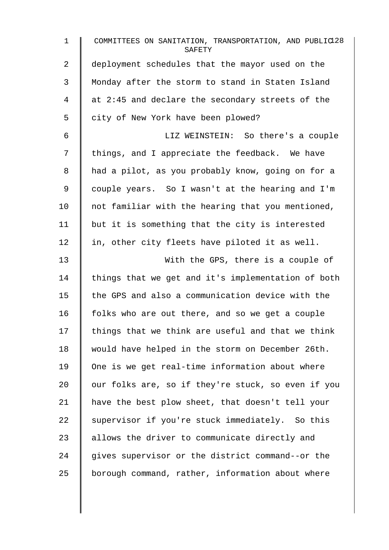| $\mathbf{1}$   | COMMITTEES ON SANITATION, TRANSPORTATION, AND PUBLIC128<br>SAFETY |
|----------------|-------------------------------------------------------------------|
| $\overline{a}$ | deployment schedules that the mayor used on the                   |
| 3              | Monday after the storm to stand in Staten Island                  |
| 4              | at 2:45 and declare the secondary streets of the                  |
| 5              | city of New York have been plowed?                                |
| 6              | LIZ WEINSTEIN: So there's a couple                                |
| 7              | things, and I appreciate the feedback. We have                    |
| 8              | had a pilot, as you probably know, going on for a                 |
| 9              | couple years. So I wasn't at the hearing and I'm                  |
| 10             | not familiar with the hearing that you mentioned,                 |
| 11             | but it is something that the city is interested                   |
| 12             | in, other city fleets have piloted it as well.                    |
| 13             | With the GPS, there is a couple of                                |
| 14             | things that we get and it's implementation of both                |
| 15             | the GPS and also a communication device with the                  |
| 16             | folks who are out there, and so we get a couple                   |
| 17             | things that we think are useful and that we think                 |
| 18             | would have helped in the storm on December 26th.                  |
| 19             | One is we get real-time information about where                   |
| 20             | our folks are, so if they're stuck, so even if you                |
| 21             | have the best plow sheet, that doesn't tell your                  |
| 22             | supervisor if you're stuck immediately. So this                   |
| 23             | allows the driver to communicate directly and                     |
| 24             | gives supervisor or the district command--or the                  |
| 25             | borough command, rather, information about where                  |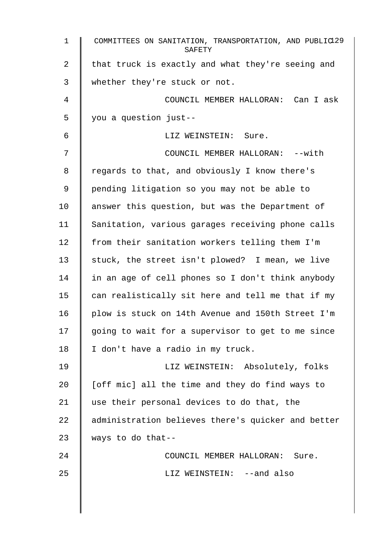| $\mathbf 1$    | COMMITTEES ON SANITATION, TRANSPORTATION, AND PUBLIC129<br>SAFETY |
|----------------|-------------------------------------------------------------------|
| $\overline{2}$ | that truck is exactly and what they're seeing and                 |
| 3              | whether they're stuck or not.                                     |
| 4              | COUNCIL MEMBER HALLORAN: Can I ask                                |
| 5              | you a question just--                                             |
| 6              | LIZ WEINSTEIN: Sure.                                              |
| 7              | COUNCIL MEMBER HALLORAN: --with                                   |
| 8              | regards to that, and obviously I know there's                     |
| 9              | pending litigation so you may not be able to                      |
| 10             | answer this question, but was the Department of                   |
| 11             | Sanitation, various garages receiving phone calls                 |
| 12             | from their sanitation workers telling them I'm                    |
| 13             | stuck, the street isn't plowed? I mean, we live                   |
| 14             | in an age of cell phones so I don't think anybody                 |
| 15             | can realistically sit here and tell me that if my                 |
| 16             | plow is stuck on 14th Avenue and 150th Street I'm                 |
| 17             | going to wait for a supervisor to get to me since                 |
| 18             | I don't have a radio in my truck.                                 |
| 19             | LIZ WEINSTEIN: Absolutely, folks                                  |
| 20             | [off mic] all the time and they do find ways to                   |
| 21             | use their personal devices to do that, the                        |
| 22             | administration believes there's quicker and better                |
| 23             | ways to do that--                                                 |
| 24             | COUNCIL MEMBER HALLORAN: Sure.                                    |
| 25             | LIZ WEINSTEIN: --and also                                         |
|                |                                                                   |
|                |                                                                   |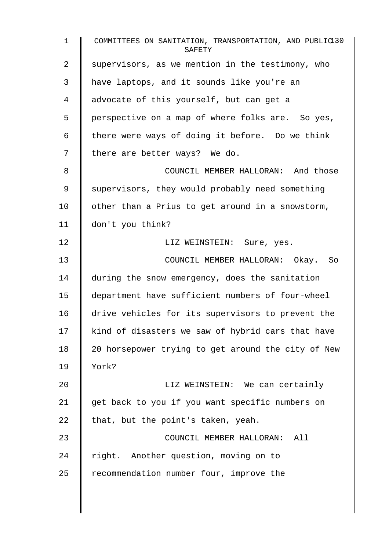1 COMMITTEES ON SANITATION, TRANSPORTATION, AND PUBLIC130 **SAFETY** 2 Supervisors, as we mention in the testimony, who 3 | have laptops, and it sounds like you're an 4 advocate of this yourself, but can get a 5 | perspective on a map of where folks are. So yes, 6  $\parallel$  there were ways of doing it before. Do we think  $7 \parallel$  there are better ways? We do. 8 **COUNCIL MEMBER HALLORAN:** And those 9 Supervisors, they would probably need something  $10$   $\parallel$  other than a Prius to get around in a snowstorm, 11 don't you think? 12 | Res. LIZ WEINSTEIN: Sure, yes. 13 COUNCIL MEMBER HALLORAN: Okay. So 14 during the snow emergency, does the sanitation 15 department have sufficient numbers of four-wheel 16 drive vehicles for its supervisors to prevent the  $17$  kind of disasters we saw of hybrid cars that have 18 | 20 horsepower trying to get around the city of New 19 York? 20 **EXAMPLE 20** LIZ WEINSTEIN: We can certainly 21 | get back to you if you want specific numbers on 22  $\parallel$  that, but the point's taken, yeah. 23 **COUNCIL MEMBER HALLORAN:** All 24 | right. Another question, moving on to  $25$  recommendation number four, improve the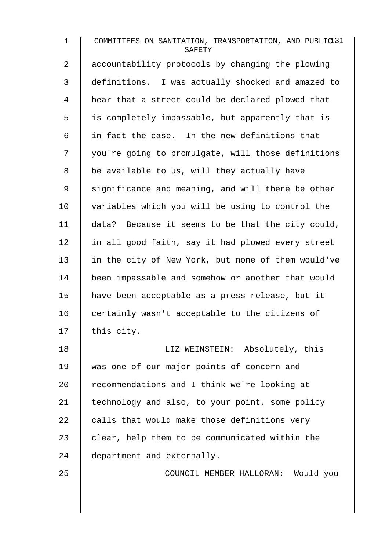| $\mathbf{1}$   | COMMITTEES ON SANITATION, TRANSPORTATION, AND PUBLIC11<br>SAFETY |
|----------------|------------------------------------------------------------------|
| $\overline{a}$ | accountability protocols by changing the plowing                 |
| 3              | definitions. I was actually shocked and amazed to                |
| 4              | hear that a street could be declared plowed that                 |
| 5              | is completely impassable, but apparently that is                 |
| 6              | in fact the case. In the new definitions that                    |
| 7              | you're going to promulgate, will those definitions               |
| 8              | be available to us, will they actually have                      |
| 9              | significance and meaning, and will there be other                |
| 10             | variables which you will be using to control the                 |
| 11             | data? Because it seems to be that the city could,                |
| 12             | in all good faith, say it had plowed every street                |
| 13             | in the city of New York, but none of them would've               |
| 14             | been impassable and somehow or another that would                |
| 15             | have been acceptable as a press release, but it                  |
| 16             | certainly wasn't acceptable to the citizens of                   |
| 17             | this city.                                                       |
| 18             | LIZ WEINSTEIN: Absolutely, this                                  |
| 19             | was one of our major points of concern and                       |
| 20             | recommendations and I think we're looking at                     |
| 21             | technology and also, to your point, some policy                  |
| 22             | calls that would make those definitions very                     |
| 23             | clear, help them to be communicated within the                   |
| 24             | department and externally.                                       |
| 25             | COUNCIL MEMBER HALLORAN: Would you                               |
|                |                                                                  |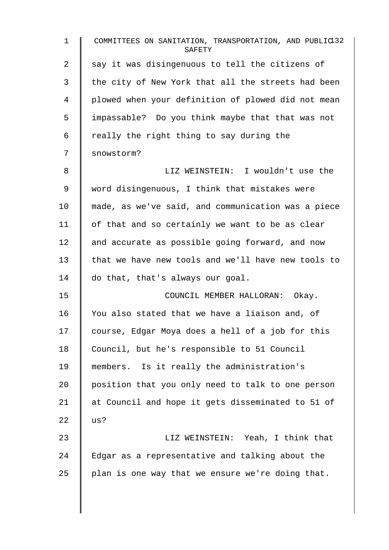1 COMMITTEES ON SANITATION, TRANSPORTATION, AND PUBLIC<sup>132</sup> **SAFETY** 2 say it was disingenuous to tell the citizens of 3 | the city of New York that all the streets had been 4 plowed when your definition of plowed did not mean 5 | impassable? Do you think maybe that that was not  $6 \parallel$  really the right thing to say during the 7 Snowstorm? 8 LIZ WEINSTEIN: I wouldn't use the 9 word disingenuous, I think that mistakes were 10 made, as we've said, and communication was a piece  $11$  | of that and so certainly we want to be as clear 12 and accurate as possible going forward, and now 13 that we have new tools and we'll have new tools to 14 do that, that's always our goal. 15 | COUNCIL MEMBER HALLORAN: Okay. 16 You also stated that we have a liaison and, of 17 course, Edgar Moya does a hell of a job for this 18 Council, but he's responsible to 51 Council 19 members. Is it really the administration's 20 position that you only need to talk to one person 21 at Council and hope it gets disseminated to 51 of  $22 \mid \text{us?}$ 23 | LIZ WEINSTEIN: Yeah, I think that 24 Edgar as a representative and talking about the 25 | plan is one way that we ensure we're doing that.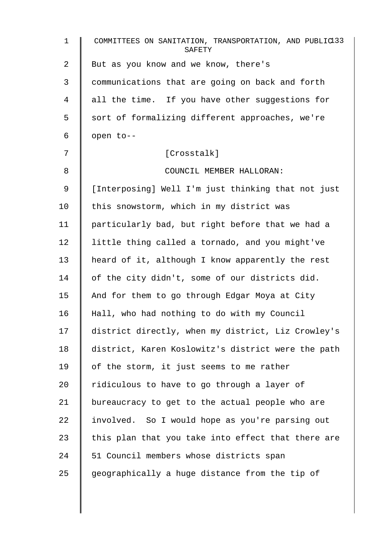| $\mathbf 1$ | COMMITTEES ON SANITATION, TRANSPORTATION, AND PUBLIC133<br>SAFETY |
|-------------|-------------------------------------------------------------------|
| 2           | But as you know and we know, there's                              |
| 3           | communications that are going on back and forth                   |
| 4           | all the time. If you have other suggestions for                   |
| 5           | sort of formalizing different approaches, we're                   |
| 6           | open to--                                                         |
| 7           | [Crosstalk]                                                       |
| 8           | COUNCIL MEMBER HALLORAN:                                          |
| 9           | [Interposing] Well I'm just thinking that not just                |
| 10          | this snowstorm, which in my district was                          |
| 11          | particularly bad, but right before that we had a                  |
| 12          | little thing called a tornado, and you might've                   |
| 13          | heard of it, although I know apparently the rest                  |
| 14          | of the city didn't, some of our districts did.                    |
| 15          | And for them to go through Edgar Moya at City                     |
| 16          | Hall, who had nothing to do with my Council                       |
| 17          | district directly, when my district, Liz Crowley's                |
| 18          | district, Karen Koslowitz's district were the path                |
| 19          | of the storm, it just seems to me rather                          |
| 20          | ridiculous to have to go through a layer of                       |
| 21          | bureaucracy to get to the actual people who are                   |
| 22          | involved. So I would hope as you're parsing out                   |
| 23          | this plan that you take into effect that there are                |
| 24          | 51 Council members whose districts span                           |
| 25          | geographically a huge distance from the tip of                    |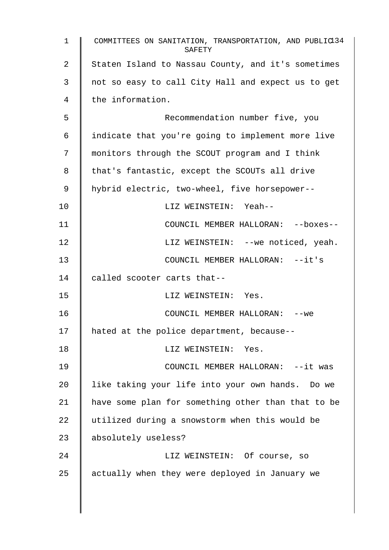| $\mathbf{1}$ | COMMITTEES ON SANITATION, TRANSPORTATION, AND PUBLIC134<br>SAFETY |
|--------------|-------------------------------------------------------------------|
| 2            | Staten Island to Nassau County, and it's sometimes                |
| 3            | not so easy to call City Hall and expect us to get                |
| 4            | the information.                                                  |
| 5            | Recommendation number five, you                                   |
| 6            | indicate that you're going to implement more live                 |
| 7            | monitors through the SCOUT program and I think                    |
| 8            | that's fantastic, except the SCOUTs all drive                     |
| 9            | hybrid electric, two-wheel, five horsepower--                     |
| 10           | LIZ WEINSTEIN: Yeah--                                             |
| 11           | COUNCIL MEMBER HALLORAN: -- boxes--                               |
| 12           | LIZ WEINSTEIN: -- we noticed, yeah.                               |
| 13           | COUNCIL MEMBER HALLORAN: --it's                                   |
| 14           | called scooter carts that--                                       |
| 15           | LIZ WEINSTEIN: Yes.                                               |
| 16           | COUNCIL MEMBER HALLORAN:<br>--we                                  |
| 17           | hated at the police department, because--                         |
| 18           | LIZ WEINSTEIN: Yes.                                               |
| 19           | COUNCIL MEMBER HALLORAN: --it was                                 |
| 20           | like taking your life into your own hands. Do we                  |
| 21           | have some plan for something other than that to be                |
| 22           | utilized during a snowstorm when this would be                    |
| 23           | absolutely useless?                                               |
| 24           | LIZ WEINSTEIN: Of course, so                                      |
| 25           | actually when they were deployed in January we                    |
|              |                                                                   |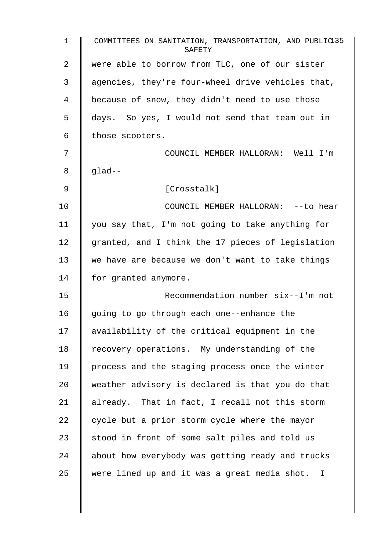| 1  | COMMITTEES ON SANITATION, TRANSPORTATION, AND PUBLIC135<br>SAFETY |
|----|-------------------------------------------------------------------|
| 2  | were able to borrow from TLC, one of our sister                   |
| 3  | agencies, they're four-wheel drive vehicles that,                 |
| 4  | because of snow, they didn't need to use those                    |
| 5  | days. So yes, I would not send that team out in                   |
| 6  | those scooters.                                                   |
| 7  | COUNCIL MEMBER HALLORAN: Well I'm                                 |
| 8  | $q$ lad--                                                         |
| 9  | [Crosstalk]                                                       |
| 10 | COUNCIL MEMBER HALLORAN: -- to hear                               |
| 11 | you say that, I'm not going to take anything for                  |
| 12 | granted, and I think the 17 pieces of legislation                 |
| 13 | we have are because we don't want to take things                  |
| 14 | for granted anymore.                                              |
| 15 | Recommendation number six--I'm not                                |
| 16 | going to go through each one--enhance the                         |
| 17 | availability of the critical equipment in the                     |
| 18 | recovery operations. My understanding of the                      |
| 19 | process and the staging process once the winter                   |
| 20 | weather advisory is declared is that you do that                  |
| 21 | already. That in fact, I recall not this storm                    |
| 22 | cycle but a prior storm cycle where the mayor                     |
| 23 | stood in front of some salt piles and told us                     |
| 24 | about how everybody was getting ready and trucks                  |
| 25 | were lined up and it was a great media shot. I                    |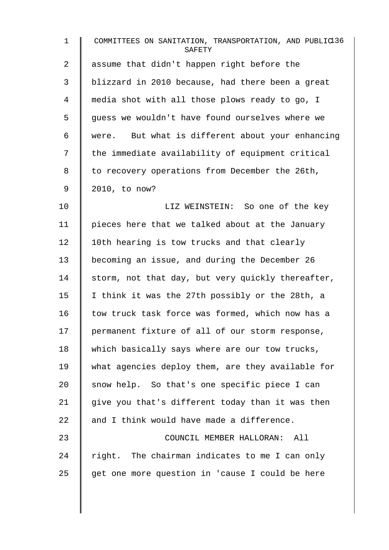| $\mathbf{1}$   | COMMITTEES ON SANITATION, TRANSPORTATION, AND PUBLIC136<br>SAFETY |
|----------------|-------------------------------------------------------------------|
| $\overline{a}$ | assume that didn't happen right before the                        |
| 3              | blizzard in 2010 because, had there been a great                  |
| 4              | media shot with all those plows ready to go, I                    |
| 5              | guess we wouldn't have found ourselves where we                   |
| 6              | were. But what is different about your enhancing                  |
| 7              | the immediate availability of equipment critical                  |
| 8              | to recovery operations from December the 26th,                    |
| $\mathsf 9$    | 2010, to now?                                                     |
| 10             | LIZ WEINSTEIN: So one of the key                                  |
| 11             | pieces here that we talked about at the January                   |
| 12             | 10th hearing is tow trucks and that clearly                       |
| 13             | becoming an issue, and during the December 26                     |
| 14             | storm, not that day, but very quickly thereafter,                 |
| 15             | I think it was the 27th possibly or the 28th, a                   |
| 16             | tow truck task force was formed, which now has a                  |
| 17             | permanent fixture of all of our storm response,                   |
| 18             | which basically says where are our tow trucks,                    |
| 19             | what agencies deploy them, are they available for                 |
| 20             | snow help. So that's one specific piece I can                     |
| 21             | give you that's different today than it was then                  |
| 22             | and I think would have made a difference.                         |
| 23             | COUNCIL MEMBER HALLORAN:<br>All                                   |
| 24             | right. The chairman indicates to me I can only                    |
| 25             | get one more question in 'cause I could be here                   |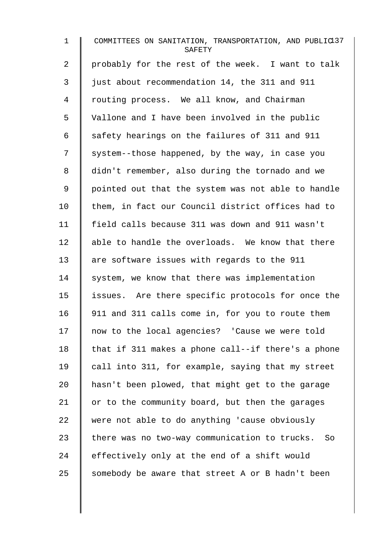| $\mathbf 1$    | COMMITTEES ON SANITATION, TRANSPORTATION, AND PUBLIC137<br>SAFETY |
|----------------|-------------------------------------------------------------------|
| $\overline{2}$ | probably for the rest of the week. I want to talk                 |
| 3              | just about recommendation 14, the 311 and 911                     |
| 4              | routing process. We all know, and Chairman                        |
| 5              | Vallone and I have been involved in the public                    |
| 6              | safety hearings on the failures of 311 and 911                    |
| 7              | system--those happened, by the way, in case you                   |
| 8              | didn't remember, also during the tornado and we                   |
| 9              | pointed out that the system was not able to handle                |
| 10             | them, in fact our Council district offices had to                 |
| 11             | field calls because 311 was down and 911 wasn't                   |
| 12             | able to handle the overloads. We know that there                  |
| 13             | are software issues with regards to the 911                       |
| 14             | system, we know that there was implementation                     |
| 15             | issues. Are there specific protocols for once the                 |
| 16             | 911 and 311 calls come in, for you to route them                  |
| 17             | now to the local agencies? 'Cause we were told                    |
| 18             | that if 311 makes a phone call--if there's a phone                |
| 19             | call into 311, for example, saying that my street                 |
| 20             | hasn't been plowed, that might get to the garage                  |
| 21             | or to the community board, but then the garages                   |
| 22             | were not able to do anything 'cause obviously                     |
| 23             | there was no two-way communication to trucks.<br>So               |
| 24             | effectively only at the end of a shift would                      |
| 25             | somebody be aware that street A or B hadn't been                  |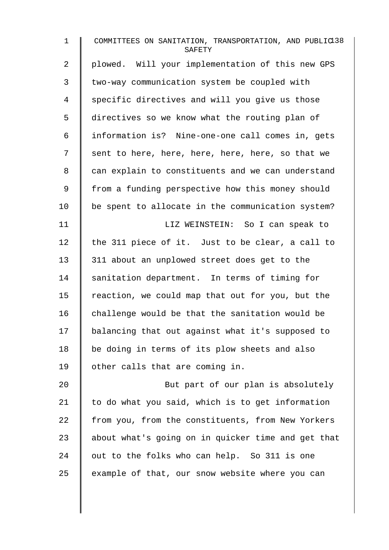| $\mathbf 1$ | COMMITTEES ON SANITATION, TRANSPORTATION, AND PUBLIC138<br>SAFETY |
|-------------|-------------------------------------------------------------------|
| 2           | plowed. Will your implementation of this new GPS                  |
| 3           | two-way communication system be coupled with                      |
| 4           | specific directives and will you give us those                    |
| 5           | directives so we know what the routing plan of                    |
| 6           | information is? Nine-one-one call comes in, gets                  |
| 7           | sent to here, here, here, here, here, so that we                  |
| 8           | can explain to constituents and we can understand                 |
| 9           | from a funding perspective how this money should                  |
| 10          | be spent to allocate in the communication system?                 |
| 11          | LIZ WEINSTEIN: So I can speak to                                  |
| 12          | the 311 piece of it. Just to be clear, a call to                  |
| 13          | 311 about an unplowed street does get to the                      |
| 14          | sanitation department. In terms of timing for                     |
| 15          | reaction, we could map that out for you, but the                  |
| 16          | challenge would be that the sanitation would be                   |
| 17          | balancing that out against what it's supposed to                  |
| 18          | be doing in terms of its plow sheets and also                     |
| 19          | other calls that are coming in.                                   |
| 20          | But part of our plan is absolutely                                |
| 21          | to do what you said, which is to get information                  |
| 22          | from you, from the constituents, from New Yorkers                 |
| 23          | about what's going on in quicker time and get that                |
| 24          | out to the folks who can help. So 311 is one                      |
| 25          | example of that, our snow website where you can                   |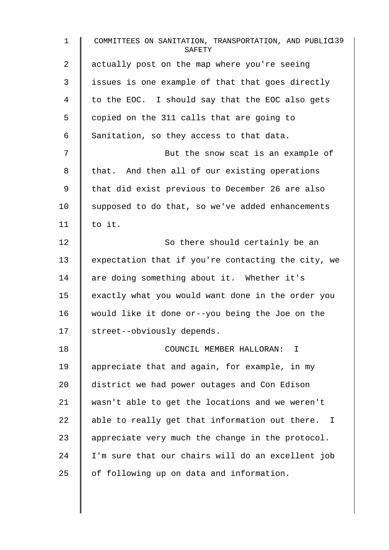| $\mathbf{1}$   | COMMITTEES ON SANITATION, TRANSPORTATION, AND PUBLIC139<br>SAFETY |
|----------------|-------------------------------------------------------------------|
| $\overline{a}$ | actually post on the map where you're seeing                      |
| 3              | issues is one example of that that goes directly                  |
| 4              | to the EOC. I should say that the EOC also gets                   |
| 5              | copied on the 311 calls that are going to                         |
| 6              | Sanitation, so they access to that data.                          |
| 7              | But the snow scat is an example of                                |
| 8              | that. And then all of our existing operations                     |
| 9              | that did exist previous to December 26 are also                   |
| 10             | supposed to do that, so we've added enhancements                  |
| 11             | to it.                                                            |
| 12             | So there should certainly be an                                   |
| 13             | expectation that if you're contacting the city, we                |
| 14             | are doing something about it. Whether it's                        |
| 15             | exactly what you would want done in the order you                 |
| 16             | would like it done or--you being the Joe on the                   |
| 17             | street--obviously depends.                                        |
| 18             | COUNCIL MEMBER HALLORAN: I                                        |
| 19             | appreciate that and again, for example, in my                     |
| 20             | district we had power outages and Con Edison                      |
| 21             | wasn't able to get the locations and we weren't                   |
| 22             | able to really get that information out there. I                  |
| 23             | appreciate very much the change in the protocol.                  |
| 24             | I'm sure that our chairs will do an excellent job                 |
| 25             | of following up on data and information.                          |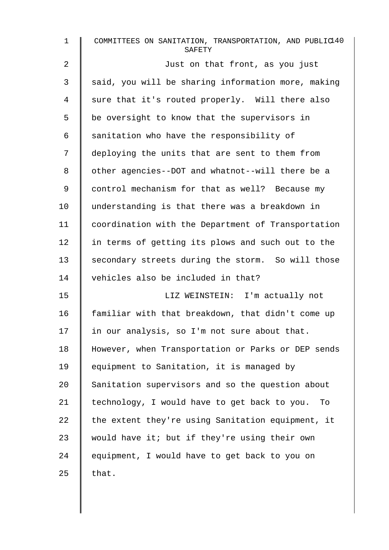| $\mathbf{1}$ | COMMITTEES ON SANITATION, TRANSPORTATION, AND PUBLIC140<br>SAFETY |
|--------------|-------------------------------------------------------------------|
| 2            | Just on that front, as you just                                   |
| 3            | said, you will be sharing information more, making                |
| 4            | sure that it's routed properly. Will there also                   |
| 5            | be oversight to know that the supervisors in                      |
| 6            | sanitation who have the responsibility of                         |
| 7            | deploying the units that are sent to them from                    |
| 8            | other agencies--DOT and whatnot--will there be a                  |
| 9            | control mechanism for that as well? Because my                    |
| 10           | understanding is that there was a breakdown in                    |
| 11           | coordination with the Department of Transportation                |
| 12           | in terms of getting its plows and such out to the                 |
| 13           | secondary streets during the storm. So will those                 |
| 14           | vehicles also be included in that?                                |
| 15           | LIZ WEINSTEIN: I'm actually not                                   |
| 16           | familiar with that breakdown, that didn't come up                 |
| 17           | in our analysis, so I'm not sure about that.                      |
| 18           | However, when Transportation or Parks or DEP sends                |
| 19           | equipment to Sanitation, it is managed by                         |
| 20           | Sanitation supervisors and so the question about                  |
| 21           | technology, I would have to get back to you.<br>To                |
| 22           | the extent they're using Sanitation equipment, it                 |
| 23           | would have it; but if they're using their own                     |
| 24           | equipment, I would have to get back to you on                     |
| 25           | that.                                                             |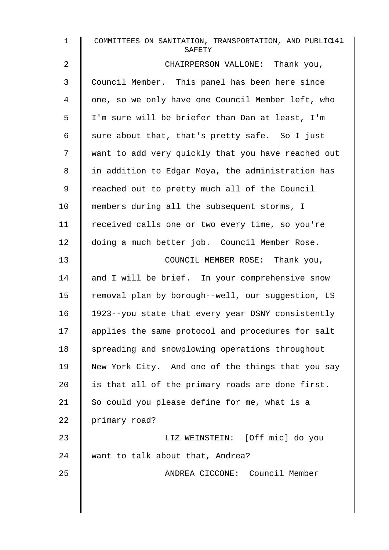| $\mathbf 1$    | COMMITTEES ON SANITATION, TRANSPORTATION, AND PUBLIC41<br>SAFETY |
|----------------|------------------------------------------------------------------|
| $\overline{2}$ | CHAIRPERSON VALLONE: Thank you,                                  |
| 3              | Council Member. This panel has been here since                   |
| 4              | one, so we only have one Council Member left, who                |
| 5              | I'm sure will be briefer than Dan at least, I'm                  |
| 6              | sure about that, that's pretty safe. So I just                   |
| 7              | want to add very quickly that you have reached out               |
| 8              | in addition to Edgar Moya, the administration has                |
| $\mathsf 9$    | reached out to pretty much all of the Council                    |
| 10             | members during all the subsequent storms, I                      |
| 11             | received calls one or two every time, so you're                  |
| 12             | doing a much better job. Council Member Rose.                    |
| 13             | COUNCIL MEMBER ROSE: Thank you,                                  |
| 14             | and I will be brief. In your comprehensive snow                  |
| 15             | removal plan by borough--well, our suggestion, LS                |
| 16             | 1923--you state that every year DSNY consistently                |
| 17             | applies the same protocol and procedures for salt                |
| 18             | spreading and snowplowing operations throughout                  |
| 19             | New York City. And one of the things that you say                |
| 20             | is that all of the primary roads are done first.                 |
| 21             | So could you please define for me, what is a                     |
| 22             | primary road?                                                    |
| 23             | LIZ WEINSTEIN: [Off mic] do you                                  |
| 24             | want to talk about that, Andrea?                                 |
| 25             | ANDREA CICCONE: Council Member                                   |
|                |                                                                  |
|                |                                                                  |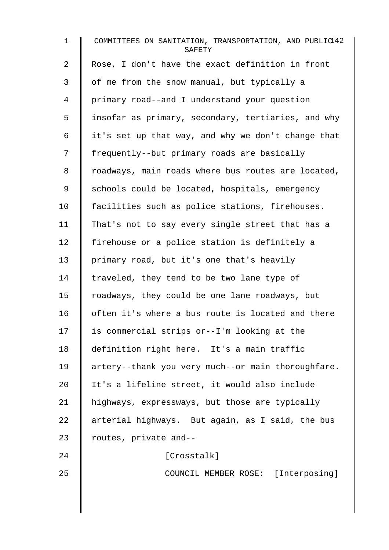| $\mathbf{1}$   | COMMITTEES ON SANITATION, TRANSPORTATION, AND PUBLIC142<br>SAFETY |
|----------------|-------------------------------------------------------------------|
| $\overline{2}$ | Rose, I don't have the exact definition in front                  |
| 3              | of me from the snow manual, but typically a                       |
| 4              | primary road--and I understand your question                      |
| 5              | insofar as primary, secondary, tertiaries, and why                |
| 6              | it's set up that way, and why we don't change that                |
| 7              | frequently--but primary roads are basically                       |
| 8              | roadways, main roads where bus routes are located,                |
| 9              | schools could be located, hospitals, emergency                    |
| 10             | facilities such as police stations, firehouses.                   |
| 11             | That's not to say every single street that has a                  |
| 12             | firehouse or a police station is definitely a                     |
| 13             | primary road, but it's one that's heavily                         |
| 14             | traveled, they tend to be two lane type of                        |
| 15             | roadways, they could be one lane roadways, but                    |
| 16             | often it's where a bus route is located and there                 |
| 17             | is commercial strips or--I'm looking at the                       |
| 18             | definition right here. It's a main traffic                        |
| 19             | artery--thank you very much--or main thoroughfare.                |
| 20             | It's a lifeline street, it would also include                     |
| 21             | highways, expressways, but those are typically                    |
| 22             | arterial highways. But again, as I said, the bus                  |
| 23             | routes, private and--                                             |
| 24             | [Crosstalk]                                                       |
| 25             | COUNCIL MEMBER ROSE: [Interposing]                                |
|                |                                                                   |
|                |                                                                   |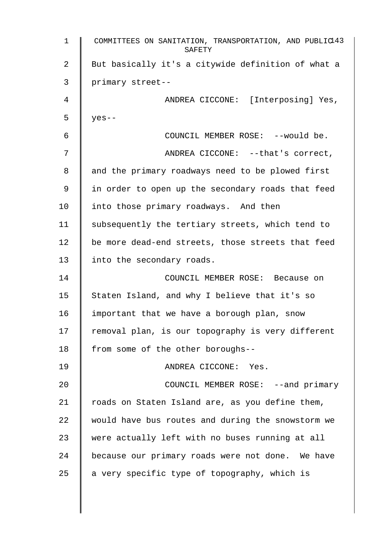1 COMMITTEES ON SANITATION, TRANSPORTATION, AND PUBLIC 143 SAFETY 2 | But basically it's a citywide definition of what a 3 primary street-- 4 || ANDREA CICCONE: [Interposing] Yes, 5  $|$  yes--6 COUNCIL MEMBER ROSE: --would be. 7 || ANDREA CICCONE: --that's correct, 8 and the primary roadways need to be plowed first 9 | in order to open up the secondary roads that feed 10 | into those primary roadways. And then 11 Subsequently the tertiary streets, which tend to 12 be more dead-end streets, those streets that feed 13 | into the secondary roads. 14 COUNCIL MEMBER ROSE: Because on 15 Staten Island, and why I believe that it's so 16  $\parallel$  important that we have a borough plan, snow  $17$  | removal plan, is our topography is very different 18 | from some of the other boroughs--19 ANDREA CICCONE: Yes. 20 **COUNCIL MEMBER ROSE:** --and primary 21  $\parallel$  roads on Staten Island are, as you define them, 22 would have bus routes and during the snowstorm we 23 were actually left with no buses running at all 24 because our primary roads were not done. We have 25  $\parallel$  a very specific type of topography, which is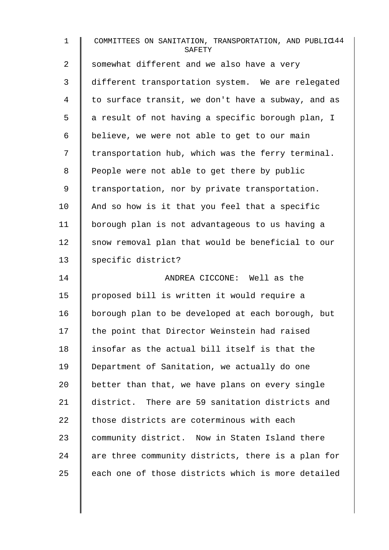| $\mathbf 1$    | COMMITTEES ON SANITATION, TRANSPORTATION, AND PUBLIC144<br>SAFETY |
|----------------|-------------------------------------------------------------------|
| 2              | somewhat different and we also have a very                        |
| 3              | different transportation system. We are relegated                 |
| $\overline{4}$ | to surface transit, we don't have a subway, and as                |
| 5              | a result of not having a specific borough plan, I                 |
| 6              | believe, we were not able to get to our main                      |
| 7              | transportation hub, which was the ferry terminal.                 |
| 8              | People were not able to get there by public                       |
| $\mathsf 9$    | transportation, nor by private transportation.                    |
| 10             | And so how is it that you feel that a specific                    |
| 11             | borough plan is not advantageous to us having a                   |
| 12             | snow removal plan that would be beneficial to our                 |
| 13             | specific district?                                                |
| 14             | ANDREA CICCONE: Well as the                                       |
| 15             | proposed bill is written it would require a                       |
| 16             | borough plan to be developed at each borough, but                 |
| 17             | the point that Director Weinstein had raised                      |
| 18             | insofar as the actual bill itself is that the                     |
| 19             | Department of Sanitation, we actually do one                      |
| 20             | better than that, we have plans on every single                   |
| 21             | district. There are 59 sanitation districts and                   |
| 22             | those districts are coterminous with each                         |
| 23             | community district. Now in Staten Island there                    |
| 24             | are three community districts, there is a plan for                |
| 25             | each one of those districts which is more detailed                |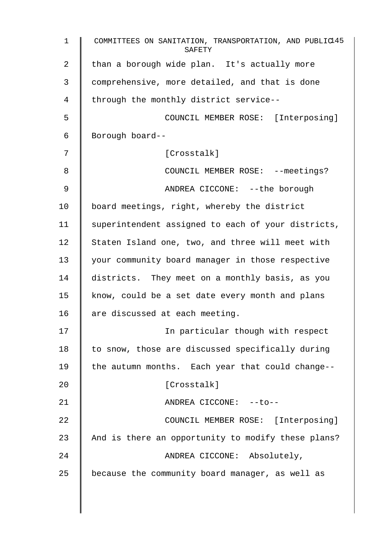| $\mathbf 1$    | COMMITTEES ON SANITATION, TRANSPORTATION, AND PUBLIC145<br>SAFETY |
|----------------|-------------------------------------------------------------------|
| $\overline{2}$ | than a borough wide plan. It's actually more                      |
| 3              | comprehensive, more detailed, and that is done                    |
| 4              | through the monthly district service--                            |
| 5              | COUNCIL MEMBER ROSE: [Interposing]                                |
| 6              | Borough board--                                                   |
| 7              | [Crosstalk]                                                       |
| 8              | COUNCIL MEMBER ROSE: --meetings?                                  |
| 9              | ANDREA CICCONE: -- the borough                                    |
| 10             | board meetings, right, whereby the district                       |
| 11             | superintendent assigned to each of your districts,                |
| 12             | Staten Island one, two, and three will meet with                  |
| 13             | your community board manager in those respective                  |
| 14             | districts. They meet on a monthly basis, as you                   |
| 15             | know, could be a set date every month and plans                   |
| 16             | are discussed at each meeting.                                    |
| 17             | In particular though with respect                                 |
| 18             | to snow, those are discussed specifically during                  |
| 19             | the autumn months. Each year that could change--                  |
| 20             | [Crosstalk]                                                       |
| 21             | ANDREA CICCONE: --to--                                            |
| 22             | COUNCIL MEMBER ROSE: [Interposing]                                |
| 23             | And is there an opportunity to modify these plans?                |
| 24             | ANDREA CICCONE: Absolutely,                                       |
| 25             | because the community board manager, as well as                   |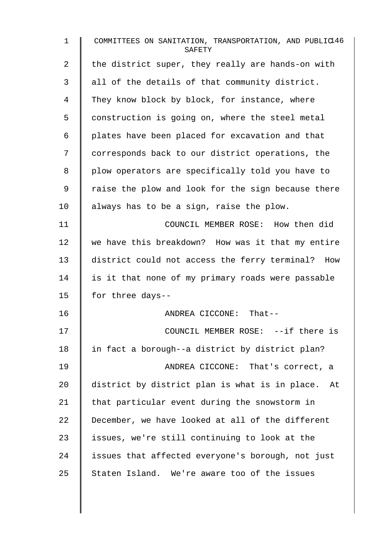| $\mathbf 1$ | COMMITTEES ON SANITATION, TRANSPORTATION, AND PUBLIC146<br>SAFETY |
|-------------|-------------------------------------------------------------------|
| 2           | the district super, they really are hands-on with                 |
| 3           | all of the details of that community district.                    |
| 4           | They know block by block, for instance, where                     |
| 5           | construction is going on, where the steel metal                   |
| 6           | plates have been placed for excavation and that                   |
| 7           | corresponds back to our district operations, the                  |
| 8           | plow operators are specifically told you have to                  |
| 9           | raise the plow and look for the sign because there                |
| 10          | always has to be a sign, raise the plow.                          |
| 11          | COUNCIL MEMBER ROSE: How then did                                 |
| 12          | we have this breakdown? How was it that my entire                 |
| 13          | district could not access the ferry terminal? How                 |
| 14          | is it that none of my primary roads were passable                 |
| 15          | for three days--                                                  |
| 16          | ANDREA CICCONE: That--                                            |
| 17          | COUNCIL MEMBER ROSE: --if there is                                |
| 18          | in fact a borough--a district by district plan?                   |
| 19          | ANDREA CICCONE: That's correct, a                                 |
| 20          | district by district plan is what is in place. At                 |
| 21          | that particular event during the snowstorm in                     |
| 22          | December, we have looked at all of the different                  |
| 23          | issues, we're still continuing to look at the                     |
| 24          | issues that affected everyone's borough, not just                 |
| 25          | Staten Island. We're aware too of the issues                      |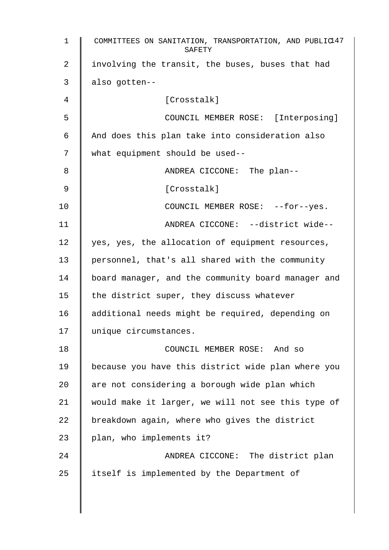| $\mathbf{1}$ | COMMITTEES ON SANITATION, TRANSPORTATION, AND PUBLIC47<br>SAFETY |
|--------------|------------------------------------------------------------------|
| 2            | involving the transit, the buses, buses that had                 |
| 3            | also gotten--                                                    |
| 4            | [Crosstalk]                                                      |
| 5            | COUNCIL MEMBER ROSE: [Interposing]                               |
| 6            | And does this plan take into consideration also                  |
| 7            | what equipment should be used--                                  |
| 8            | ANDREA CICCONE: The plan--                                       |
| 9            | [Crosstalk]                                                      |
| 10           | COUNCIL MEMBER ROSE: --for--yes.                                 |
| 11           | ANDREA CICCONE: --district wide--                                |
| 12           | yes, yes, the allocation of equipment resources,                 |
| 13           | personnel, that's all shared with the community                  |
| 14           | board manager, and the community board manager and               |
| 15           | the district super, they discuss whatever                        |
| 16           | additional needs might be required, depending on                 |
| 17           | unique circumstances.                                            |
| 18           | COUNCIL MEMBER ROSE: And so                                      |
| 19           | because you have this district wide plan where you               |
| 20           | are not considering a borough wide plan which                    |
| 21           | would make it larger, we will not see this type of               |
| 22           | breakdown again, where who gives the district                    |
| 23           | plan, who implements it?                                         |
| 24           | ANDREA CICCONE: The district plan                                |
| 25           | itself is implemented by the Department of                       |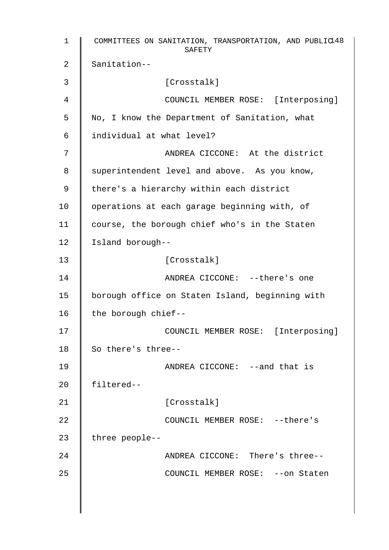1 COMMITTEES ON SANITATION, TRANSPORTATION, AND PUBLIC 148 SAFETY 2 Sanitation-- 3 Crosstalk] 4 COUNCIL MEMBER ROSE: [Interposing] 5 No, I know the Department of Sanitation, what 6 individual at what level? 7 || ANDREA CICCONE: At the district 8 | superintendent level and above. As you know, 9 | there's a hierarchy within each district 10 | operations at each garage beginning with, of 11 | course, the borough chief who's in the Staten 12 | Island borough--13 | Crosstalk] 14 | ANDREA CICCONE: --there's one 15 | borough office on Staten Island, beginning with 16  $\parallel$  the borough chief--17 || COUNCIL MEMBER ROSE: [Interposing] 18 So there's three--19 | ANDREA CICCONE: --and that is 20 filtered-- 21 | [Crosstalk] 22 COUNCIL MEMBER ROSE: --there's 23 | three people--24 **ANDREA CICCONE:** There's three--25 | COUNCIL MEMBER ROSE: --on Staten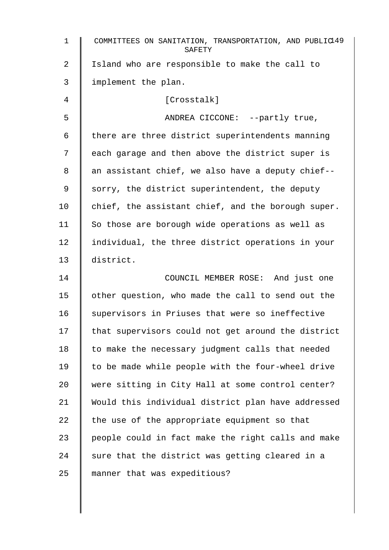| 1  | COMMITTEES ON SANITATION, TRANSPORTATION, AND PUBLIC49<br>SAFETY |
|----|------------------------------------------------------------------|
| 2  | Island who are responsible to make the call to                   |
| 3  | implement the plan.                                              |
| 4  | [Crosstalk]                                                      |
| 5  | ANDREA CICCONE: --partly true,                                   |
| 6  | there are three district superintendents manning                 |
| 7  | each garage and then above the district super is                 |
| 8  | an assistant chief, we also have a deputy chief--                |
| 9  | sorry, the district superintendent, the deputy                   |
| 10 | chief, the assistant chief, and the borough super.               |
| 11 | So those are borough wide operations as well as                  |
| 12 | individual, the three district operations in your                |
| 13 | district.                                                        |
| 14 | COUNCIL MEMBER ROSE: And just one                                |
| 15 | other question, who made the call to send out the                |
| 16 | supervisors in Priuses that were so ineffective                  |
| 17 | that supervisors could not get around the district               |
| 18 | to make the necessary judgment calls that needed                 |
| 19 | to be made while people with the four-wheel drive                |
| 20 | were sitting in City Hall at some control center?                |
| 21 | Would this individual district plan have addressed               |
| 22 | the use of the appropriate equipment so that                     |
| 23 | people could in fact make the right calls and make               |
| 24 | sure that the district was getting cleared in a                  |
| 25 | manner that was expeditious?                                     |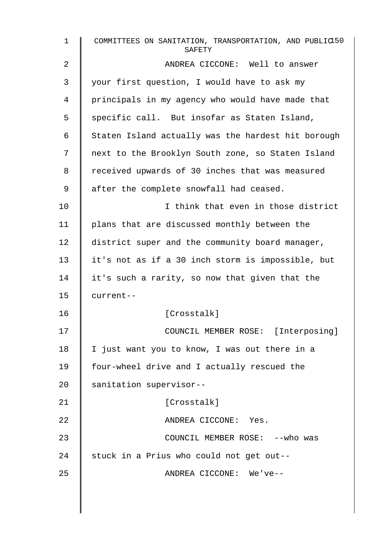| $\mathbf{1}$   | COMMITTEES ON SANITATION, TRANSPORTATION, AND PUBLIC150<br>SAFETY |
|----------------|-------------------------------------------------------------------|
| $\overline{2}$ | ANDREA CICCONE: Well to answer                                    |
| 3              | your first question, I would have to ask my                       |
| 4              | principals in my agency who would have made that                  |
| 5              | specific call. But insofar as Staten Island,                      |
| 6              | Staten Island actually was the hardest hit borough                |
| 7              | next to the Brooklyn South zone, so Staten Island                 |
| 8              | received upwards of 30 inches that was measured                   |
| 9              | after the complete snowfall had ceased.                           |
| 10             | I think that even in those district                               |
| 11             | plans that are discussed monthly between the                      |
| 12             | district super and the community board manager,                   |
| 13             | it's not as if a 30 inch storm is impossible, but                 |
| 14             | it's such a rarity, so now that given that the                    |
| 15             | current--                                                         |
| 16             | [Crosstalk]                                                       |
| 17             | COUNCIL MEMBER ROSE: [Interposing]                                |
| 18             | I just want you to know, I was out there in a                     |
| 19             | four-wheel drive and I actually rescued the                       |
| 20             | sanitation supervisor--                                           |
| 21             | [Crosstalk]                                                       |
| 22             | ANDREA CICCONE: Yes.                                              |
| 23             | COUNCIL MEMBER ROSE: -- who was                                   |
| 24             | stuck in a Prius who could not get out--                          |
| 25             | ANDREA CICCONE: We've--                                           |
|                |                                                                   |
|                |                                                                   |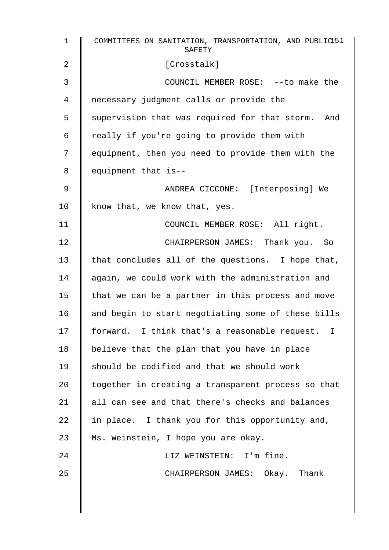| $\mathbf{1}$ | COMMITTEES ON SANITATION, TRANSPORTATION, AND PUBLIC151<br>SAFETY |
|--------------|-------------------------------------------------------------------|
| 2            | [Crosstalk]                                                       |
| 3            | COUNCIL MEMBER ROSE: -- to make the                               |
| 4            | necessary judgment calls or provide the                           |
| 5            | supervision that was required for that storm. And                 |
| 6            | really if you're going to provide them with                       |
| 7            | equipment, then you need to provide them with the                 |
| 8            | equipment that is--                                               |
| 9            | ANDREA CICCONE: [Interposing] We                                  |
| 10           | know that, we know that, yes.                                     |
| 11           | COUNCIL MEMBER ROSE: All right.                                   |
| 12           | CHAIRPERSON JAMES: Thank you. So                                  |
| 13           | that concludes all of the questions. I hope that,                 |
| 14           | again, we could work with the administration and                  |
| 15           | that we can be a partner in this process and move                 |
| 16           | and begin to start negotiating some of these bills                |
| 17           | forward. I think that's a reasonable request. I                   |
| 18           | believe that the plan that you have in place                      |
| 19           | should be codified and that we should work                        |
| 20           | together in creating a transparent process so that                |
| 21           | all can see and that there's checks and balances                  |
| 22           | in place. I thank you for this opportunity and,                   |
| 23           | Ms. Weinstein, I hope you are okay.                               |
| 24           | LIZ WEINSTEIN: I'm fine.                                          |
| 25           | CHAIRPERSON JAMES: Okay. Thank                                    |
|              |                                                                   |
|              |                                                                   |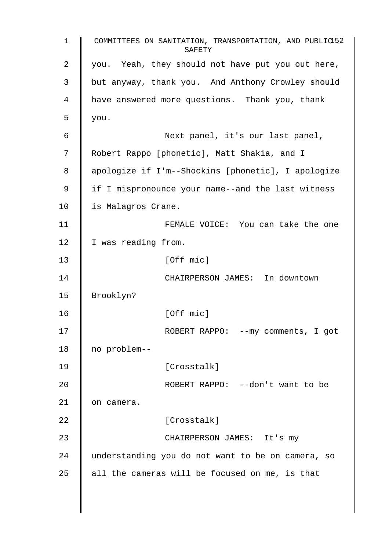1 COMMITTEES ON SANITATION, TRANSPORTATION, AND PUBLIC 152 SAFETY 2 you. Yeah, they should not have put you out here, 3 but anyway, thank you. And Anthony Crowley should 4 | have answered more questions. Thank you, thank  $5 \parallel$  you. 6 Next panel, it's our last panel, 7 Robert Rappo [phonetic], Matt Shakia, and I 8 apologize if I'm--Shockins [phonetic], I apologize 9 | if I mispronounce your name--and the last witness 10 | is Malagros Crane. 11 | FEMALE VOICE: You can take the one 12 | I was reading from. 13 | [Off mic] 14 | CHAIRPERSON JAMES: In downtown 15 Brooklyn? 16 | Coff micl 17 | ROBERT RAPPO: --my comments, I got 18 no problem-- 19 | [Crosstalk] 20 **CONFIGURE ALC INCORDERT RAPPO:** --don't want to be 21 | on camera. 22 | Crosstalk] 23 | CHAIRPERSON JAMES: It's my 24 understanding you do not want to be on camera, so 25  $\parallel$  all the cameras will be focused on me, is that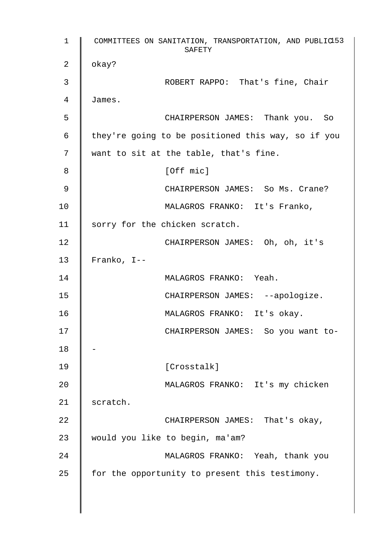1 COMMITTEES ON SANITATION, TRANSPORTATION, AND PUBLIC 153 SAFETY 2  $\parallel$  okay? 3 **COBERT RAPPO:** That's fine, Chair 4 James. 5 CHAIRPERSON JAMES: Thank you. So 6 | they're going to be positioned this way, so if you 7 want to sit at the table, that's fine. 8 | Coff mic] 9 | CHAIRPERSON JAMES: So Ms. Crane? 10 | MALAGROS FRANKO: It's Franko, 11 | sorry for the chicken scratch. 12 | CHAIRPERSON JAMES: Oh, oh, it's 13  $\parallel$  Franko, I--14 | MALAGROS FRANKO: Yeah. 15 | CHAIRPERSON JAMES: --apologize. 16 | MALAGROS FRANKO: It's okay. 17 | CHAIRPERSON JAMES: So you want to-18 19 || [Crosstalk] 20 MALAGROS FRANKO: It's my chicken 21 | scratch. 22 CHAIRPERSON JAMES: That's okay, 23 | would you like to begin, ma'am? 24 MALAGROS FRANKO: Yeah, thank you 25  $\parallel$  for the opportunity to present this testimony.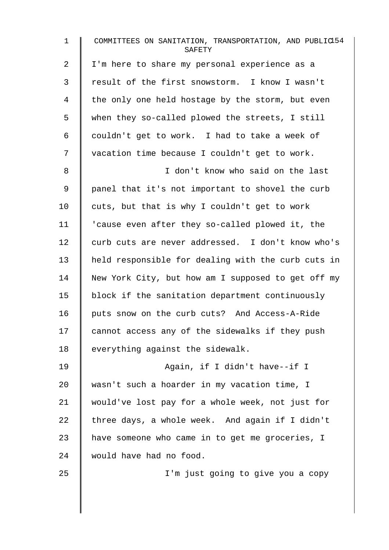| $\mathbf{1}$   | COMMITTEES ON SANITATION, TRANSPORTATION, AND PUBLIC154<br>SAFETY |
|----------------|-------------------------------------------------------------------|
| $\overline{a}$ | I'm here to share my personal experience as a                     |
| 3              | result of the first snowstorm. I know I wasn't                    |
| 4              | the only one held hostage by the storm, but even                  |
| 5              | when they so-called plowed the streets, I still                   |
| 6              | couldn't get to work. I had to take a week of                     |
| 7              | vacation time because I couldn't get to work.                     |
| 8              | I don't know who said on the last                                 |
| 9              | panel that it's not important to shovel the curb                  |
| 10             | cuts, but that is why I couldn't get to work                      |
| 11             | 'cause even after they so-called plowed it, the                   |
| 12             | curb cuts are never addressed. I don't know who's                 |
| 13             | held responsible for dealing with the curb cuts in                |
| 14             | New York City, but how am I supposed to get off my                |
| 15             | block if the sanitation department continuously                   |
| 16             | puts snow on the curb cuts? And Access-A-Ride                     |
| 17             | cannot access any of the sidewalks if they push                   |
| 18             | everything against the sidewalk.                                  |
| 19             | Again, if I didn't have--if I                                     |
| 20             | wasn't such a hoarder in my vacation time, I                      |
| 21             | would've lost pay for a whole week, not just for                  |
| 22             | three days, a whole week. And again if I didn't                   |
| 23             | have someone who came in to get me groceries, I                   |
| 24             | would have had no food.                                           |
| 25             | I'm just going to give you a copy                                 |
|                |                                                                   |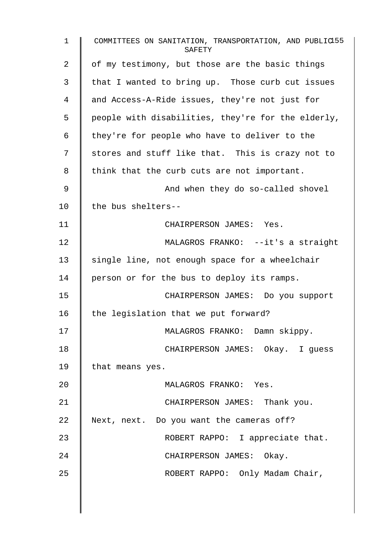| 1  | COMMITTEES ON SANITATION, TRANSPORTATION, AND PUBLIC155<br>SAFETY |
|----|-------------------------------------------------------------------|
| 2  | of my testimony, but those are the basic things                   |
| 3  | that I wanted to bring up. Those curb cut issues                  |
| 4  | and Access-A-Ride issues, they're not just for                    |
| 5  | people with disabilities, they're for the elderly,                |
| 6  | they're for people who have to deliver to the                     |
| 7  | stores and stuff like that. This is crazy not to                  |
| 8  | think that the curb cuts are not important.                       |
| 9  | And when they do so-called shovel                                 |
| 10 | the bus shelters--                                                |
| 11 | CHAIRPERSON JAMES: Yes.                                           |
| 12 | MALAGROS FRANKO: --it's a straight                                |
| 13 | single line, not enough space for a wheelchair                    |
| 14 | person or for the bus to deploy its ramps.                        |
| 15 | CHAIRPERSON JAMES: Do you support                                 |
| 16 | the legislation that we put forward?                              |
| 17 | MALAGROS FRANKO: Damn skippy.                                     |
| 18 | CHAIRPERSON JAMES: Okay. I guess                                  |
| 19 | that means yes.                                                   |
| 20 | MALAGROS FRANKO: Yes.                                             |
| 21 | CHAIRPERSON JAMES: Thank you.                                     |
| 22 | Next, next. Do you want the cameras off?                          |
| 23 | ROBERT RAPPO: I appreciate that.                                  |
| 24 | CHAIRPERSON JAMES: Okay.                                          |
| 25 | ROBERT RAPPO: Only Madam Chair,                                   |
|    |                                                                   |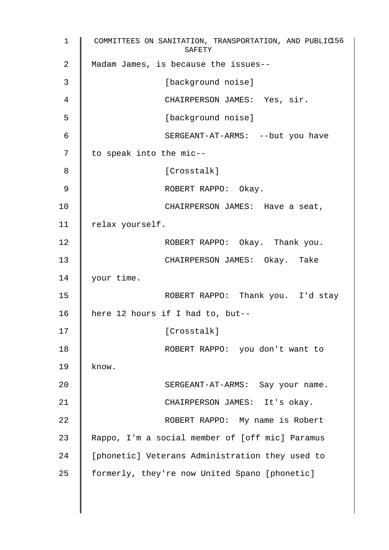1 COMMITTEES ON SANITATION, TRANSPORTATION, AND PUBLIC 156 SAFETY 2 Madam James, is because the issues--3 | [background noise] 4 CHAIRPERSON JAMES: Yes, sir. 5 [background noise] 6 SERGEANT-AT-ARMS: --but you have 7 | to speak into the mic--8 | Crosstalk] 9 | ROBERT RAPPO: Okay. 10 **CHAIRPERSON JAMES:** Have a seat, 11 | relax yourself. 12 | ROBERT RAPPO: Okay. Thank you. 13 | CHAIRPERSON JAMES: Okay. Take 14 | your time. 15 | ROBERT RAPPO: Thank you. I'd stay 16 here 12 hours if I had to, but-- 17 | Crosstalk] 18 | ROBERT RAPPO: you don't want to 19  $\parallel$  know. 20 | SERGEANT-AT-ARMS: Say your name. 21 | CHAIRPERSON JAMES: It's okay. 22 | ROBERT RAPPO: My name is Robert 23 | Rappo, I'm a social member of [off mic] Paramus 24 | [phonetic] Veterans Administration they used to  $25$  | formerly, they're now United Spano [phonetic]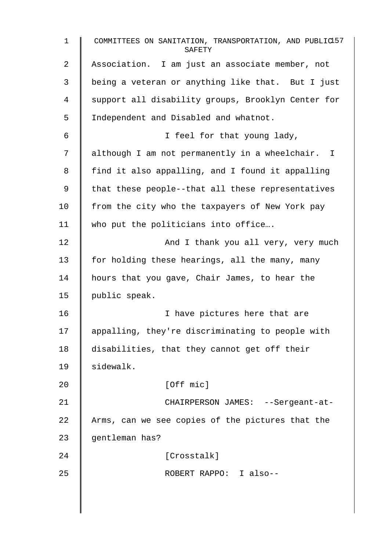| $\mathbf{1}$   | COMMITTEES ON SANITATION, TRANSPORTATION, AND PUBLIC157<br>SAFETY |
|----------------|-------------------------------------------------------------------|
| $\overline{2}$ | Association. I am just an associate member, not                   |
| 3              | being a veteran or anything like that. But I just                 |
| 4              | support all disability groups, Brooklyn Center for                |
| 5              | Independent and Disabled and whatnot.                             |
| 6              | I feel for that young lady,                                       |
| 7              | although I am not permanently in a wheelchair. I                  |
| 8              | find it also appalling, and I found it appalling                  |
| 9              | that these people--that all these representatives                 |
| 10             | from the city who the taxpayers of New York pay                   |
| 11             | who put the politicians into office                               |
| 12             | And I thank you all very, very much                               |
| 13             | for holding these hearings, all the many, many                    |
| 14             | hours that you gave, Chair James, to hear the                     |
| 15             | public speak.                                                     |
| 16             | I have pictures here that are                                     |
| 17             | appalling, they're discriminating to people with                  |
| 18             | disabilities, that they cannot get off their                      |
| 19             | sidewalk.                                                         |
| 20             | [Off mic]                                                         |
| 21             | CHAIRPERSON JAMES: --Sergeant-at-                                 |
| 22             | Arms, can we see copies of the pictures that the                  |
| 23             | gentleman has?                                                    |
| 24             | [Crosstalk]                                                       |
| 25             | ROBERT RAPPO: I also--                                            |
|                |                                                                   |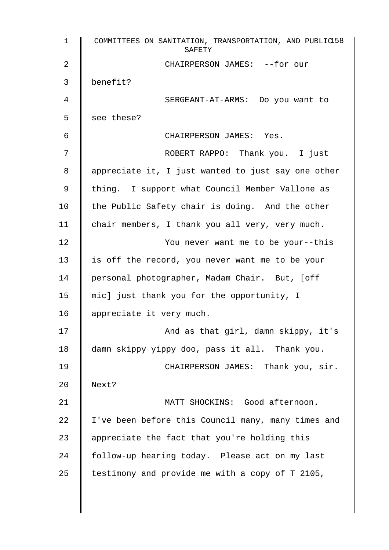| $\mathbf{1}$ | COMMITTEES ON SANITATION, TRANSPORTATION, AND PUBLIC158<br>SAFETY |
|--------------|-------------------------------------------------------------------|
| 2            | CHAIRPERSON JAMES: --for our                                      |
| 3            | benefit?                                                          |
| 4            | SERGEANT-AT-ARMS: Do you want to                                  |
| 5            | see these?                                                        |
| 6            | CHAIRPERSON JAMES: Yes.                                           |
| 7            | ROBERT RAPPO: Thank you. I just                                   |
| 8            | appreciate it, I just wanted to just say one other                |
| 9            | thing. I support what Council Member Vallone as                   |
| 10           | the Public Safety chair is doing. And the other                   |
| 11           | chair members, I thank you all very, very much.                   |
| 12           | You never want me to be your--this                                |
| 13           | is off the record, you never want me to be your                   |
| 14           | personal photographer, Madam Chair. But, [off                     |
| 15           | mic] just thank you for the opportunity, I                        |
| 16           | appreciate it very much.                                          |
| 17           | And as that girl, damn skippy, it's                               |
| 18           | damn skippy yippy doo, pass it all. Thank you.                    |
| 19           | CHAIRPERSON JAMES: Thank you, sir.                                |
| 20           | Next?                                                             |
| 21           | MATT SHOCKINS: Good afternoon.                                    |
| 22           | I've been before this Council many, many times and                |
| 23           | appreciate the fact that you're holding this                      |
| 24           | follow-up hearing today. Please act on my last                    |
| 25           | testimony and provide me with a copy of T 2105,                   |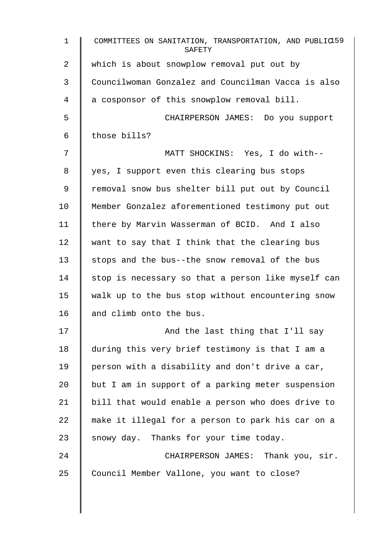| $\mathbf{1}$ | COMMITTEES ON SANITATION, TRANSPORTATION, AND PUBLIC159<br>SAFETY |
|--------------|-------------------------------------------------------------------|
| 2            | which is about snowplow removal put out by                        |
| 3            | Councilwoman Gonzalez and Councilman Vacca is also                |
| 4            | a cosponsor of this snowplow removal bill.                        |
| 5            | CHAIRPERSON JAMES: Do you support                                 |
| $\sqrt{6}$   | those bills?                                                      |
| 7            | MATT SHOCKINS: Yes, I do with--                                   |
| 8            | yes, I support even this clearing bus stops                       |
| $\mathsf 9$  | removal snow bus shelter bill put out by Council                  |
| 10           | Member Gonzalez aforementioned testimony put out                  |
| 11           | there by Marvin Wasserman of BCID. And I also                     |
| 12           | want to say that I think that the clearing bus                    |
| 13           | stops and the bus--the snow removal of the bus                    |
| 14           | stop is necessary so that a person like myself can                |
| 15           | walk up to the bus stop without encountering snow                 |
| 16           | and climb onto the bus.                                           |
| 17           | And the last thing that I'll say                                  |
| 18           | during this very brief testimony is that I am a                   |
| 19           | person with a disability and don't drive a car,                   |
| 20           | but I am in support of a parking meter suspension                 |
| 21           | bill that would enable a person who does drive to                 |
| 22           | make it illegal for a person to park his car on a                 |
| 23           | snowy day. Thanks for your time today.                            |
| 24           | CHAIRPERSON JAMES: Thank you, sir.                                |
| 25           | Council Member Vallone, you want to close?                        |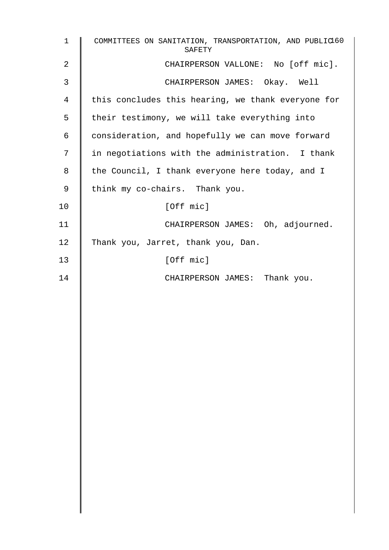| $\mathbf 1$ | COMMITTEES ON SANITATION, TRANSPORTATION, AND PUBLIC160<br>SAFETY |
|-------------|-------------------------------------------------------------------|
| 2           | CHAIRPERSON VALLONE: No [off mic].                                |
| 3           | CHAIRPERSON JAMES: Okay. Well                                     |
| 4           | this concludes this hearing, we thank everyone for                |
| 5           | their testimony, we will take everything into                     |
| 6           | consideration, and hopefully we can move forward                  |
| 7           | in negotiations with the administration. I thank                  |
| 8           | the Council, I thank everyone here today, and I                   |
| $\mathsf 9$ | think my co-chairs. Thank you.                                    |
| 10          | [Off mic]                                                         |
| 11          | CHAIRPERSON JAMES: Oh, adjourned.                                 |
| 12          | Thank you, Jarret, thank you, Dan.                                |
| 13          | [Off mic]                                                         |
| 14          | CHAIRPERSON JAMES: Thank you.                                     |
|             |                                                                   |
|             |                                                                   |
|             |                                                                   |
|             |                                                                   |
|             |                                                                   |
|             |                                                                   |
|             |                                                                   |
|             |                                                                   |
|             |                                                                   |
|             |                                                                   |
|             |                                                                   |
|             |                                                                   |
|             |                                                                   |